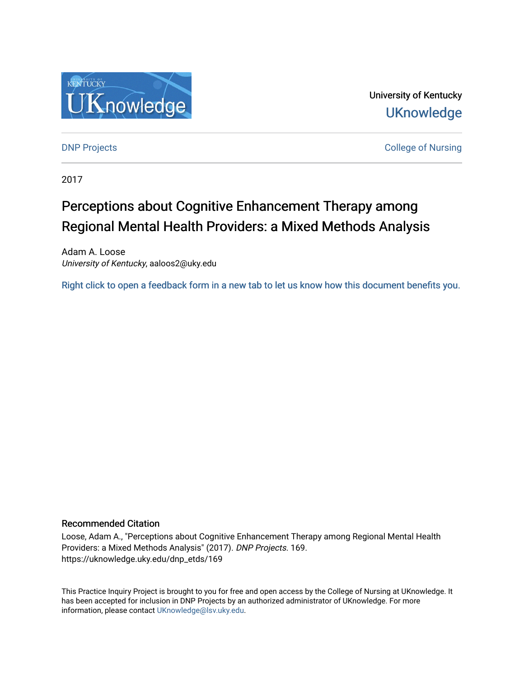

University of Kentucky **UKnowledge** 

**DNP Projects** College of Nursing

2017

# Perceptions about Cognitive Enhancement Therapy among Regional Mental Health Providers: a Mixed Methods Analysis

Adam A. Loose University of Kentucky, aaloos2@uky.edu

[Right click to open a feedback form in a new tab to let us know how this document benefits you.](https://uky.az1.qualtrics.com/jfe/form/SV_9mq8fx2GnONRfz7)

#### Recommended Citation

Loose, Adam A., "Perceptions about Cognitive Enhancement Therapy among Regional Mental Health Providers: a Mixed Methods Analysis" (2017). DNP Projects. 169. https://uknowledge.uky.edu/dnp\_etds/169

This Practice Inquiry Project is brought to you for free and open access by the College of Nursing at UKnowledge. It has been accepted for inclusion in DNP Projects by an authorized administrator of UKnowledge. For more information, please contact [UKnowledge@lsv.uky.edu](mailto:UKnowledge@lsv.uky.edu).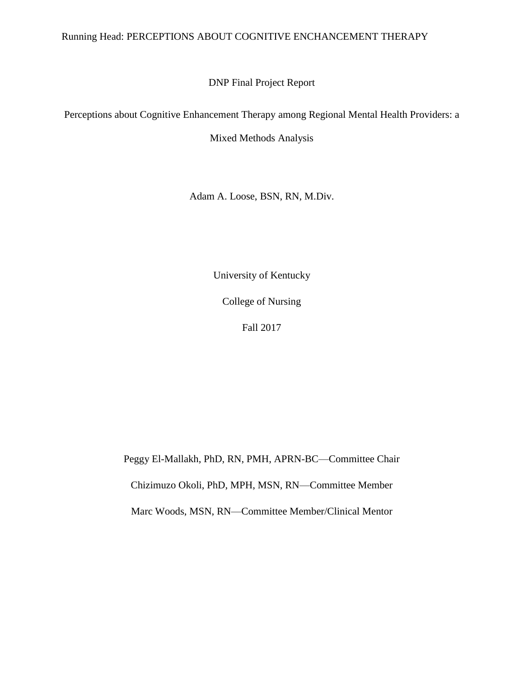### Running Head: PERCEPTIONS ABOUT COGNITIVE ENCHANCEMENT THERAPY

DNP Final Project Report

Perceptions about Cognitive Enhancement Therapy among Regional Mental Health Providers: a

Mixed Methods Analysis

Adam A. Loose, BSN, RN, M.Div.

University of Kentucky

College of Nursing

Fall 2017

Peggy El-Mallakh, PhD, RN, PMH, APRN-BC—Committee Chair Chizimuzo Okoli, PhD, MPH, MSN, RN—Committee Member Marc Woods, MSN, RN—Committee Member/Clinical Mentor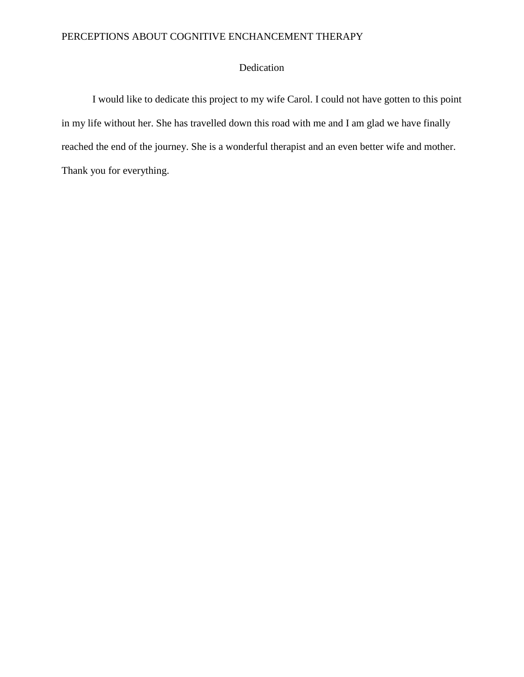### Dedication

I would like to dedicate this project to my wife Carol. I could not have gotten to this point in my life without her. She has travelled down this road with me and I am glad we have finally reached the end of the journey. She is a wonderful therapist and an even better wife and mother. Thank you for everything.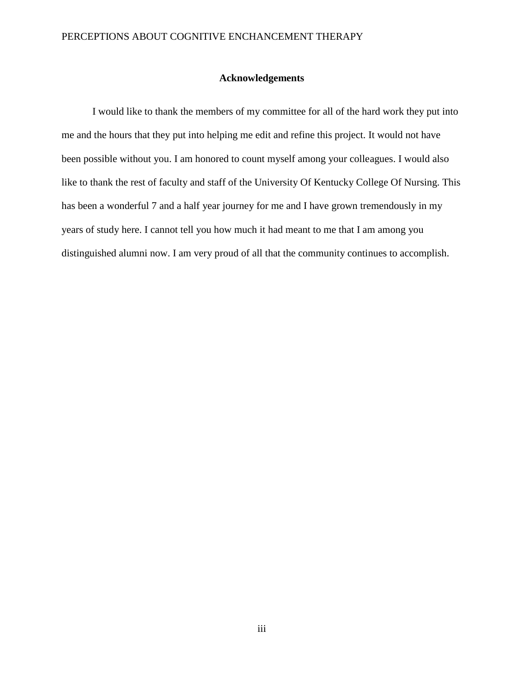### **Acknowledgements**

I would like to thank the members of my committee for all of the hard work they put into me and the hours that they put into helping me edit and refine this project. It would not have been possible without you. I am honored to count myself among your colleagues. I would also like to thank the rest of faculty and staff of the University Of Kentucky College Of Nursing. This has been a wonderful 7 and a half year journey for me and I have grown tremendously in my years of study here. I cannot tell you how much it had meant to me that I am among you distinguished alumni now. I am very proud of all that the community continues to accomplish.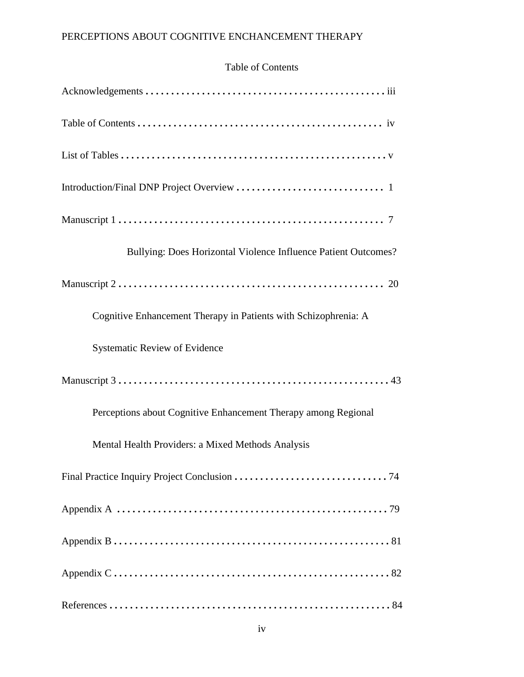### Table of Contents

| Bullying: Does Horizontal Violence Influence Patient Outcomes?  |
|-----------------------------------------------------------------|
|                                                                 |
| Cognitive Enhancement Therapy in Patients with Schizophrenia: A |
| <b>Systematic Review of Evidence</b>                            |
|                                                                 |
| Perceptions about Cognitive Enhancement Therapy among Regional  |
| Mental Health Providers: a Mixed Methods Analysis               |
|                                                                 |
|                                                                 |
|                                                                 |
|                                                                 |
|                                                                 |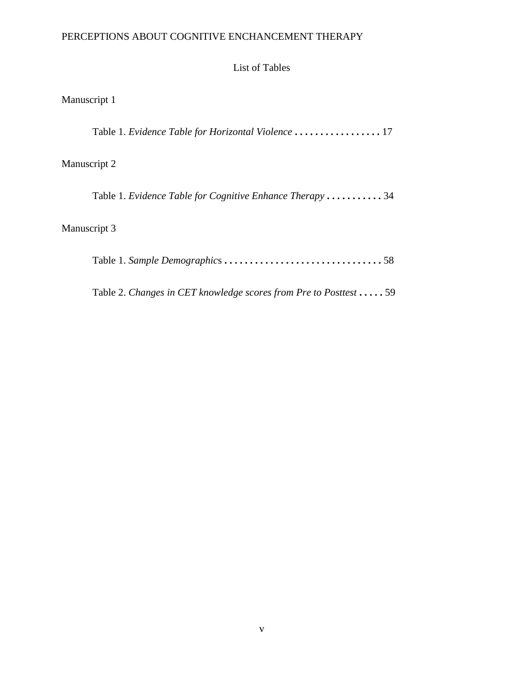List of Tables

| Manuscript 1 |  |
|--------------|--|
|              |  |

Table 1. *Evidence Table for Horizontal Violence* **. . . . . . . . . . . . . . . . .** 17

# Manuscript 2

Table 1. *Evidence Table for Cognitive Enhance Therapy* **. . . . . . . . . . .** 34

# Manuscript 3

|--|--|--|--|--|--|--|

Table 2. *Changes in CET knowledge scores from Pre to Posttest* **. . . . .** 59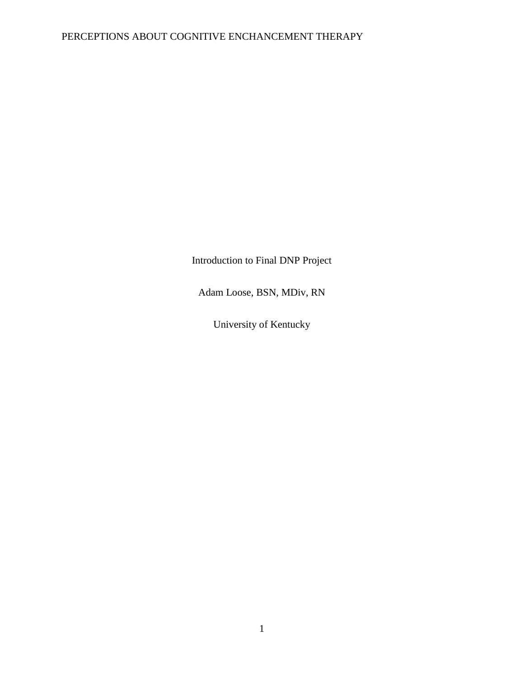Introduction to Final DNP Project

Adam Loose, BSN, MDiv, RN

University of Kentucky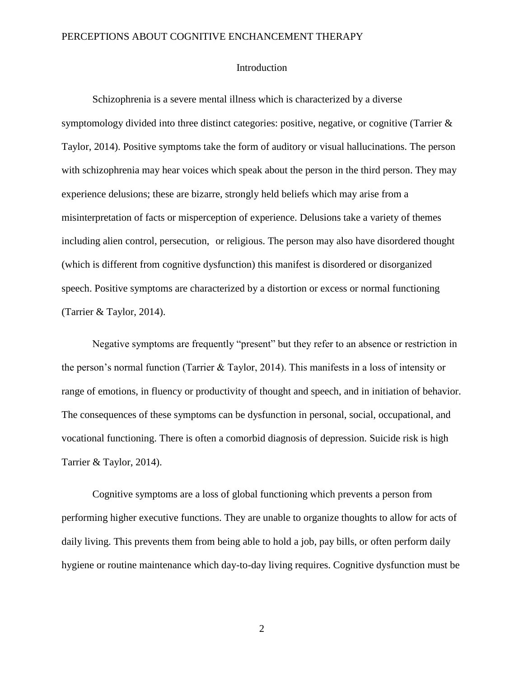#### Introduction

Schizophrenia is a severe mental illness which is characterized by a diverse symptomology divided into three distinct categories: positive, negative, or cognitive (Tarrier & Taylor, 2014). Positive symptoms take the form of auditory or visual hallucinations. The person with schizophrenia may hear voices which speak about the person in the third person. They may experience delusions; these are bizarre, strongly held beliefs which may arise from a misinterpretation of facts or misperception of experience. Delusions take a variety of themes including alien control, persecution, or religious. The person may also have disordered thought (which is different from cognitive dysfunction) this manifest is disordered or disorganized speech. Positive symptoms are characterized by a distortion or excess or normal functioning (Tarrier & Taylor, 2014).

Negative symptoms are frequently "present" but they refer to an absence or restriction in the person's normal function (Tarrier & Taylor, 2014). This manifests in a loss of intensity or range of emotions, in fluency or productivity of thought and speech, and in initiation of behavior. The consequences of these symptoms can be dysfunction in personal, social, occupational, and vocational functioning. There is often a comorbid diagnosis of depression. Suicide risk is high Tarrier & Taylor, 2014).

Cognitive symptoms are a loss of global functioning which prevents a person from performing higher executive functions. They are unable to organize thoughts to allow for acts of daily living. This prevents them from being able to hold a job, pay bills, or often perform daily hygiene or routine maintenance which day-to-day living requires. Cognitive dysfunction must be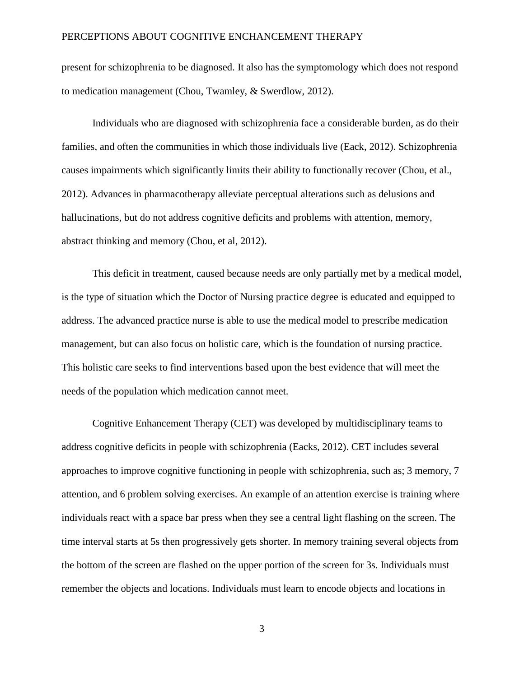present for schizophrenia to be diagnosed. It also has the symptomology which does not respond to medication management (Chou, Twamley, & Swerdlow, 2012).

Individuals who are diagnosed with schizophrenia face a considerable burden, as do their families, and often the communities in which those individuals live (Eack, 2012). Schizophrenia causes impairments which significantly limits their ability to functionally recover (Chou, et al., 2012). Advances in pharmacotherapy alleviate perceptual alterations such as delusions and hallucinations, but do not address cognitive deficits and problems with attention, memory, abstract thinking and memory (Chou, et al, 2012).

This deficit in treatment, caused because needs are only partially met by a medical model, is the type of situation which the Doctor of Nursing practice degree is educated and equipped to address. The advanced practice nurse is able to use the medical model to prescribe medication management, but can also focus on holistic care, which is the foundation of nursing practice. This holistic care seeks to find interventions based upon the best evidence that will meet the needs of the population which medication cannot meet.

Cognitive Enhancement Therapy (CET) was developed by multidisciplinary teams to address cognitive deficits in people with schizophrenia (Eacks, 2012). CET includes several approaches to improve cognitive functioning in people with schizophrenia, such as; 3 memory, 7 attention, and 6 problem solving exercises. An example of an attention exercise is training where individuals react with a space bar press when they see a central light flashing on the screen. The time interval starts at 5s then progressively gets shorter. In memory training several objects from the bottom of the screen are flashed on the upper portion of the screen for 3s. Individuals must remember the objects and locations. Individuals must learn to encode objects and locations in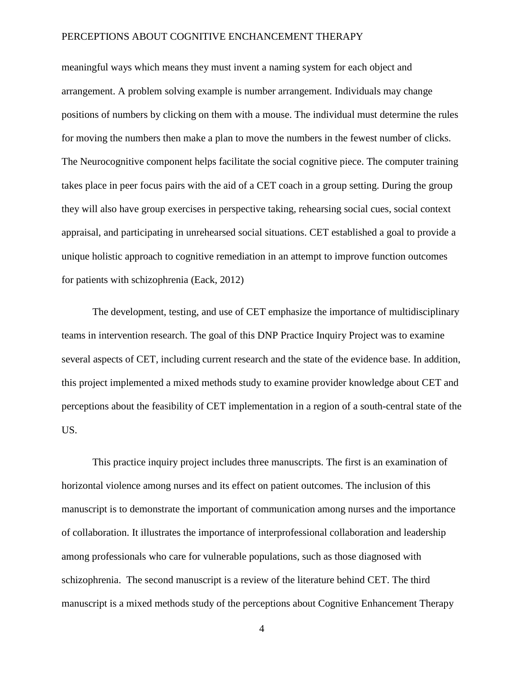meaningful ways which means they must invent a naming system for each object and arrangement. A problem solving example is number arrangement. Individuals may change positions of numbers by clicking on them with a mouse. The individual must determine the rules for moving the numbers then make a plan to move the numbers in the fewest number of clicks. The Neurocognitive component helps facilitate the social cognitive piece. The computer training takes place in peer focus pairs with the aid of a CET coach in a group setting. During the group they will also have group exercises in perspective taking, rehearsing social cues, social context appraisal, and participating in unrehearsed social situations. CET established a goal to provide a unique holistic approach to cognitive remediation in an attempt to improve function outcomes for patients with schizophrenia (Eack, 2012)

The development, testing, and use of CET emphasize the importance of multidisciplinary teams in intervention research. The goal of this DNP Practice Inquiry Project was to examine several aspects of CET, including current research and the state of the evidence base. In addition, this project implemented a mixed methods study to examine provider knowledge about CET and perceptions about the feasibility of CET implementation in a region of a south-central state of the US.

This practice inquiry project includes three manuscripts. The first is an examination of horizontal violence among nurses and its effect on patient outcomes. The inclusion of this manuscript is to demonstrate the important of communication among nurses and the importance of collaboration. It illustrates the importance of interprofessional collaboration and leadership among professionals who care for vulnerable populations, such as those diagnosed with schizophrenia. The second manuscript is a review of the literature behind CET. The third manuscript is a mixed methods study of the perceptions about Cognitive Enhancement Therapy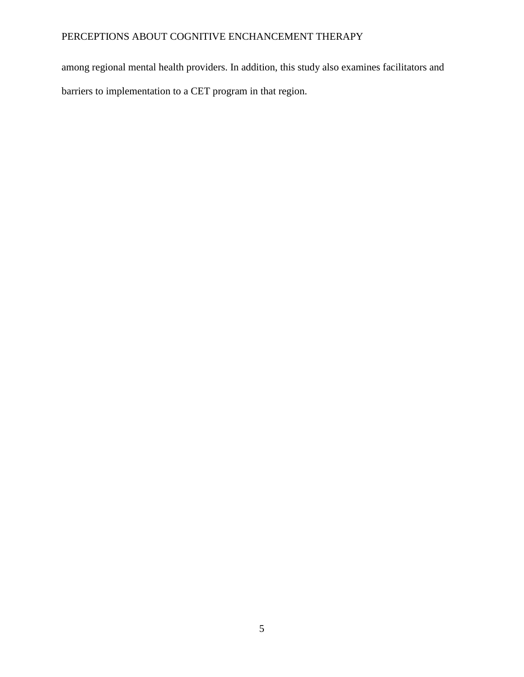among regional mental health providers. In addition, this study also examines facilitators and barriers to implementation to a CET program in that region.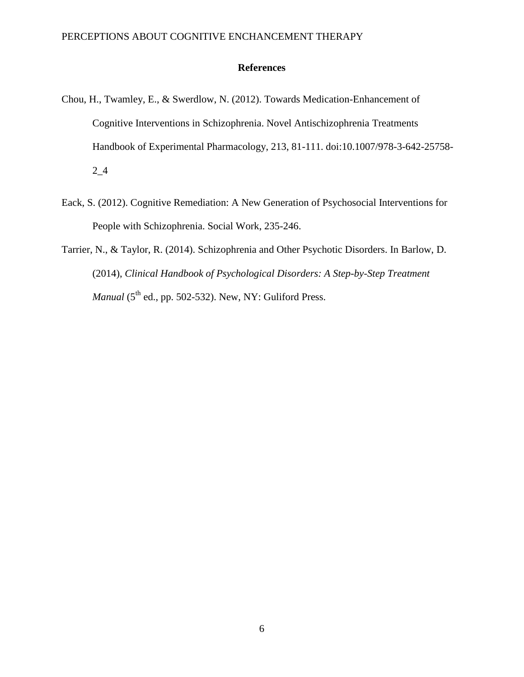### **References**

- Chou, H., Twamley, E., & Swerdlow, N. (2012). Towards Medication-Enhancement of Cognitive Interventions in Schizophrenia. Novel Antischizophrenia Treatments Handbook of Experimental Pharmacology, 213, 81-111. doi:10.1007/978-3-642-25758- 2\_4
- Eack, S. (2012). Cognitive Remediation: A New Generation of Psychosocial Interventions for People with Schizophrenia. Social Work, 235-246.
- Tarrier, N., & Taylor, R. (2014). Schizophrenia and Other Psychotic Disorders. In Barlow, D. (2014), *Clinical Handbook of Psychological Disorders: A Step-by-Step Treatment Manual*  $(5<sup>th</sup>$  ed., pp. 502-532). New, NY: Guliford Press.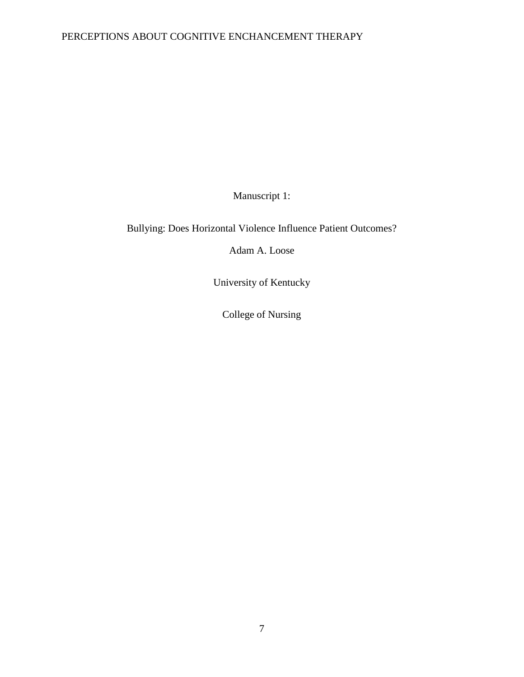Manuscript 1:

Bullying: Does Horizontal Violence Influence Patient Outcomes?

Adam A. Loose

University of Kentucky

College of Nursing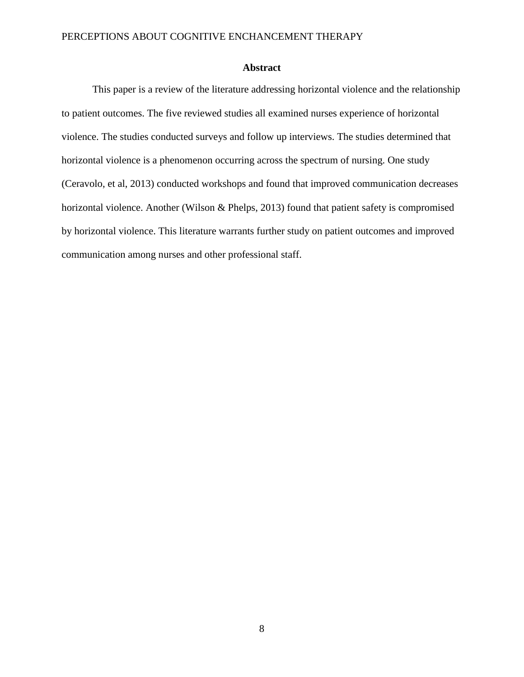### **Abstract**

This paper is a review of the literature addressing horizontal violence and the relationship to patient outcomes. The five reviewed studies all examined nurses experience of horizontal violence. The studies conducted surveys and follow up interviews. The studies determined that horizontal violence is a phenomenon occurring across the spectrum of nursing. One study (Ceravolo, et al, 2013) conducted workshops and found that improved communication decreases horizontal violence. Another (Wilson & Phelps, 2013) found that patient safety is compromised by horizontal violence. This literature warrants further study on patient outcomes and improved communication among nurses and other professional staff.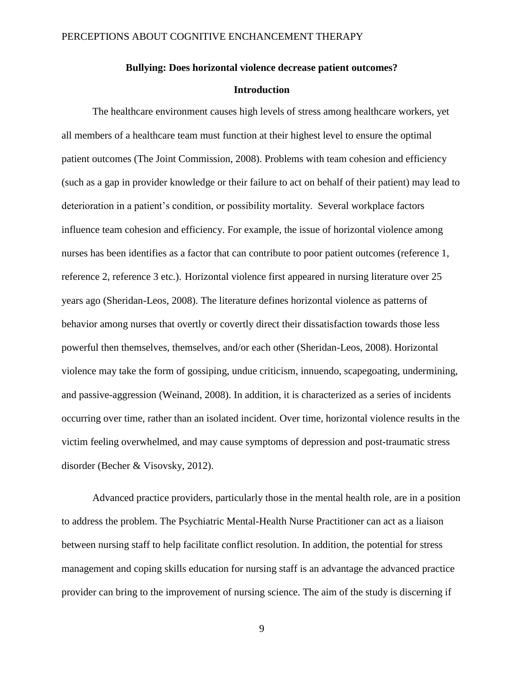# **Bullying: Does horizontal violence decrease patient outcomes?**

### **Introduction**

The healthcare environment causes high levels of stress among healthcare workers, yet all members of a healthcare team must function at their highest level to ensure the optimal patient outcomes (The Joint Commission, 2008). Problems with team cohesion and efficiency (such as a gap in provider knowledge or their failure to act on behalf of their patient) may lead to deterioration in a patient's condition, or possibility mortality. Several workplace factors influence team cohesion and efficiency. For example, the issue of horizontal violence among nurses has been identifies as a factor that can contribute to poor patient outcomes (reference 1, reference 2, reference 3 etc.). Horizontal violence first appeared in nursing literature over 25 years ago (Sheridan-Leos, 2008). The literature defines horizontal violence as patterns of behavior among nurses that overtly or covertly direct their dissatisfaction towards those less powerful then themselves, themselves, and/or each other (Sheridan-Leos, 2008). Horizontal violence may take the form of gossiping, undue criticism, innuendo, scapegoating, undermining, and passive-aggression (Weinand, 2008). In addition, it is characterized as a series of incidents occurring over time, rather than an isolated incident. Over time, horizontal violence results in the victim feeling overwhelmed, and may cause symptoms of depression and post-traumatic stress disorder (Becher & Visovsky, 2012).

Advanced practice providers, particularly those in the mental health role, are in a position to address the problem. The Psychiatric Mental-Health Nurse Practitioner can act as a liaison between nursing staff to help facilitate conflict resolution. In addition, the potential for stress management and coping skills education for nursing staff is an advantage the advanced practice provider can bring to the improvement of nursing science. The aim of the study is discerning if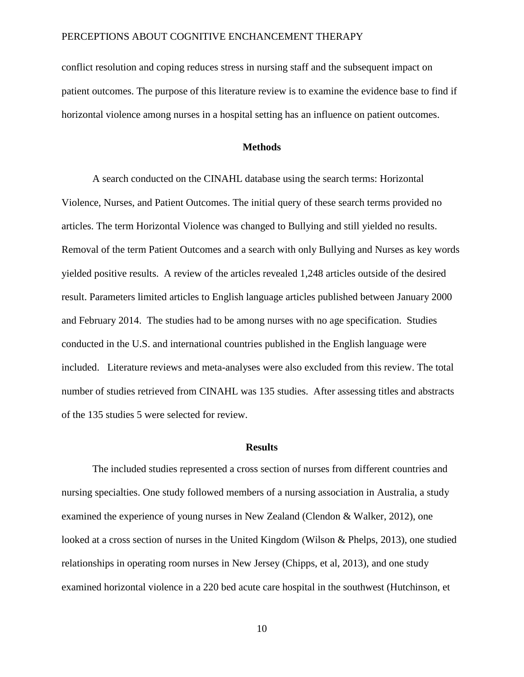conflict resolution and coping reduces stress in nursing staff and the subsequent impact on patient outcomes. The purpose of this literature review is to examine the evidence base to find if horizontal violence among nurses in a hospital setting has an influence on patient outcomes.

#### **Methods**

A search conducted on the CINAHL database using the search terms: Horizontal Violence, Nurses, and Patient Outcomes. The initial query of these search terms provided no articles. The term Horizontal Violence was changed to Bullying and still yielded no results. Removal of the term Patient Outcomes and a search with only Bullying and Nurses as key words yielded positive results. A review of the articles revealed 1,248 articles outside of the desired result. Parameters limited articles to English language articles published between January 2000 and February 2014. The studies had to be among nurses with no age specification. Studies conducted in the U.S. and international countries published in the English language were included. Literature reviews and meta-analyses were also excluded from this review. The total number of studies retrieved from CINAHL was 135 studies. After assessing titles and abstracts of the 135 studies 5 were selected for review.

#### **Results**

The included studies represented a cross section of nurses from different countries and nursing specialties. One study followed members of a nursing association in Australia, a study examined the experience of young nurses in New Zealand (Clendon & Walker, 2012), one looked at a cross section of nurses in the United Kingdom (Wilson & Phelps, 2013), one studied relationships in operating room nurses in New Jersey (Chipps, et al, 2013), and one study examined horizontal violence in a 220 bed acute care hospital in the southwest (Hutchinson, et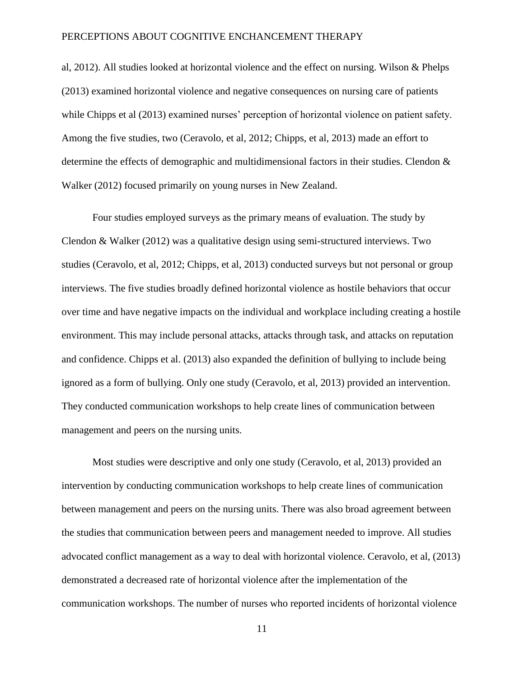al, 2012). All studies looked at horizontal violence and the effect on nursing. Wilson & Phelps (2013) examined horizontal violence and negative consequences on nursing care of patients while Chipps et al (2013) examined nurses' perception of horizontal violence on patient safety. Among the five studies, two (Ceravolo, et al, 2012; Chipps, et al, 2013) made an effort to determine the effects of demographic and multidimensional factors in their studies. Clendon & Walker (2012) focused primarily on young nurses in New Zealand.

Four studies employed surveys as the primary means of evaluation. The study by Clendon & Walker (2012) was a qualitative design using semi-structured interviews. Two studies (Ceravolo, et al, 2012; Chipps, et al, 2013) conducted surveys but not personal or group interviews. The five studies broadly defined horizontal violence as hostile behaviors that occur over time and have negative impacts on the individual and workplace including creating a hostile environment. This may include personal attacks, attacks through task, and attacks on reputation and confidence. Chipps et al. (2013) also expanded the definition of bullying to include being ignored as a form of bullying. Only one study (Ceravolo, et al, 2013) provided an intervention. They conducted communication workshops to help create lines of communication between management and peers on the nursing units.

Most studies were descriptive and only one study (Ceravolo, et al, 2013) provided an intervention by conducting communication workshops to help create lines of communication between management and peers on the nursing units. There was also broad agreement between the studies that communication between peers and management needed to improve. All studies advocated conflict management as a way to deal with horizontal violence. Ceravolo, et al, (2013) demonstrated a decreased rate of horizontal violence after the implementation of the communication workshops. The number of nurses who reported incidents of horizontal violence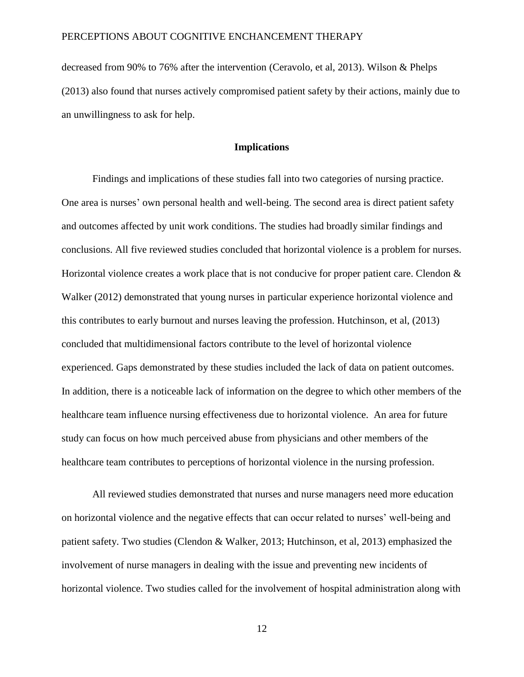decreased from 90% to 76% after the intervention (Ceravolo, et al, 2013). Wilson & Phelps (2013) also found that nurses actively compromised patient safety by their actions, mainly due to an unwillingness to ask for help.

#### **Implications**

Findings and implications of these studies fall into two categories of nursing practice. One area is nurses' own personal health and well-being. The second area is direct patient safety and outcomes affected by unit work conditions. The studies had broadly similar findings and conclusions. All five reviewed studies concluded that horizontal violence is a problem for nurses. Horizontal violence creates a work place that is not conducive for proper patient care. Clendon & Walker (2012) demonstrated that young nurses in particular experience horizontal violence and this contributes to early burnout and nurses leaving the profession. Hutchinson, et al, (2013) concluded that multidimensional factors contribute to the level of horizontal violence experienced. Gaps demonstrated by these studies included the lack of data on patient outcomes. In addition, there is a noticeable lack of information on the degree to which other members of the healthcare team influence nursing effectiveness due to horizontal violence. An area for future study can focus on how much perceived abuse from physicians and other members of the healthcare team contributes to perceptions of horizontal violence in the nursing profession.

All reviewed studies demonstrated that nurses and nurse managers need more education on horizontal violence and the negative effects that can occur related to nurses' well-being and patient safety. Two studies (Clendon & Walker, 2013; Hutchinson, et al, 2013) emphasized the involvement of nurse managers in dealing with the issue and preventing new incidents of horizontal violence. Two studies called for the involvement of hospital administration along with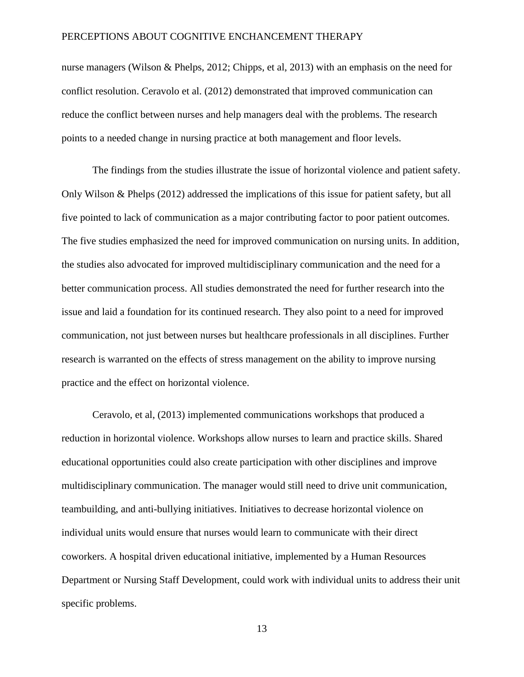nurse managers (Wilson & Phelps, 2012; Chipps, et al, 2013) with an emphasis on the need for conflict resolution. Ceravolo et al. (2012) demonstrated that improved communication can reduce the conflict between nurses and help managers deal with the problems. The research points to a needed change in nursing practice at both management and floor levels.

The findings from the studies illustrate the issue of horizontal violence and patient safety. Only Wilson  $\&$  Phelps (2012) addressed the implications of this issue for patient safety, but all five pointed to lack of communication as a major contributing factor to poor patient outcomes. The five studies emphasized the need for improved communication on nursing units. In addition, the studies also advocated for improved multidisciplinary communication and the need for a better communication process. All studies demonstrated the need for further research into the issue and laid a foundation for its continued research. They also point to a need for improved communication, not just between nurses but healthcare professionals in all disciplines. Further research is warranted on the effects of stress management on the ability to improve nursing practice and the effect on horizontal violence.

Ceravolo, et al, (2013) implemented communications workshops that produced a reduction in horizontal violence. Workshops allow nurses to learn and practice skills. Shared educational opportunities could also create participation with other disciplines and improve multidisciplinary communication. The manager would still need to drive unit communication, teambuilding, and anti-bullying initiatives. Initiatives to decrease horizontal violence on individual units would ensure that nurses would learn to communicate with their direct coworkers. A hospital driven educational initiative, implemented by a Human Resources Department or Nursing Staff Development, could work with individual units to address their unit specific problems.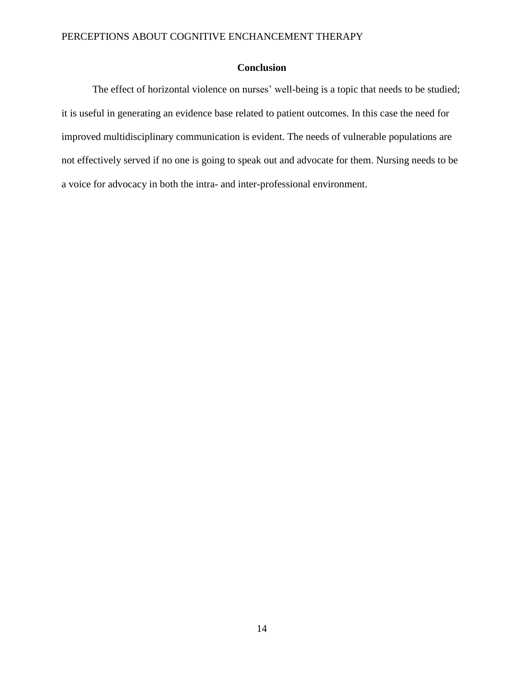### **Conclusion**

The effect of horizontal violence on nurses' well-being is a topic that needs to be studied; it is useful in generating an evidence base related to patient outcomes. In this case the need for improved multidisciplinary communication is evident. The needs of vulnerable populations are not effectively served if no one is going to speak out and advocate for them. Nursing needs to be a voice for advocacy in both the intra- and inter-professional environment.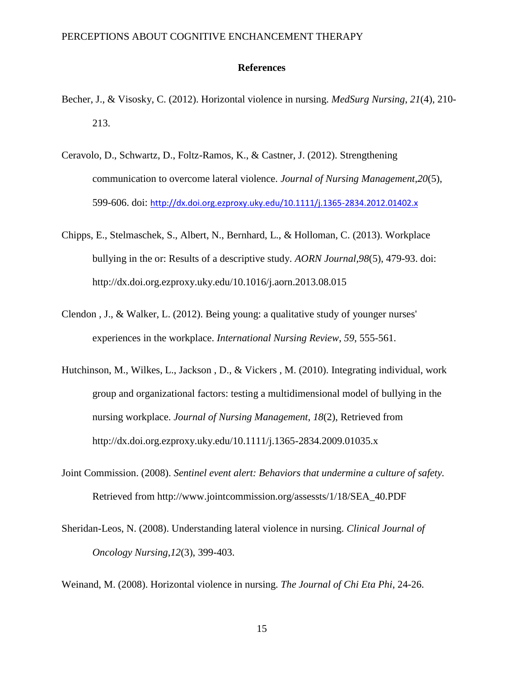#### **References**

- Becher, J., & Visosky, C. (2012). Horizontal violence in nursing. *MedSurg Nursing*, *21*(4), 210- 213.
- Ceravolo, D., Schwartz, D., Foltz-Ramos, K., & Castner, J. (2012). Strengthening communication to overcome lateral violence. *Journal of Nursing Management*,*20*(5), 599-606. doi: <http://dx.doi.org.ezproxy.uky.edu/10.1111/j.1365-2834.2012.01402.x>
- Chipps, E., Stelmaschek, S., Albert, N., Bernhard, L., & Holloman, C. (2013). Workplace bullying in the or: Results of a descriptive study. *AORN Journal*,*98*(5), 479-93. doi: http://dx.doi.org.ezproxy.uky.edu/10.1016/j.aorn.2013.08.015
- Clendon , J., & Walker, L. (2012). Being young: a qualitative study of younger nurses' experiences in the workplace. *International Nursing Review*, *59*, 555-561.
- Hutchinson, M., Wilkes, L., Jackson , D., & Vickers , M. (2010). Integrating individual, work group and organizational factors: testing a multidimensional model of bullying in the nursing workplace. *Journal of Nursing Management*, *18*(2), Retrieved from http://dx.doi.org.ezproxy.uky.edu/10.1111/j.1365-2834.2009.01035.x
- Joint Commission. (2008). *Sentinel event alert: Behaviors that undermine a culture of safety.*  Retrieved from http://www.jointcommission.org/assessts/1/18/SEA\_40.PDF
- Sheridan-Leos, N. (2008). Understanding lateral violence in nursing. *Clinical Journal of Oncology Nursing*,*12*(3), 399-403.

Weinand, M. (2008). Horizontal violence in nursing. *The Journal of Chi Eta Phi*, 24-26.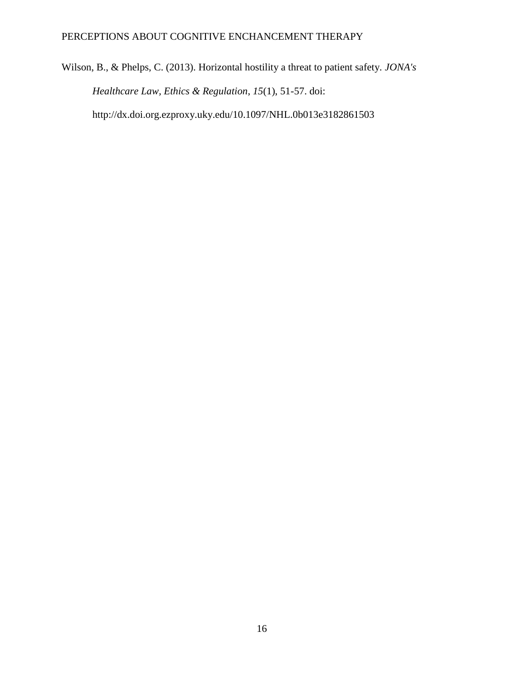Wilson, B., & Phelps, C. (2013). Horizontal hostility a threat to patient safety. *JONA's Healthcare Law, Ethics & Regulation*, *15*(1), 51-57. doi: http://dx.doi.org.ezproxy.uky.edu/10.1097/NHL.0b013e3182861503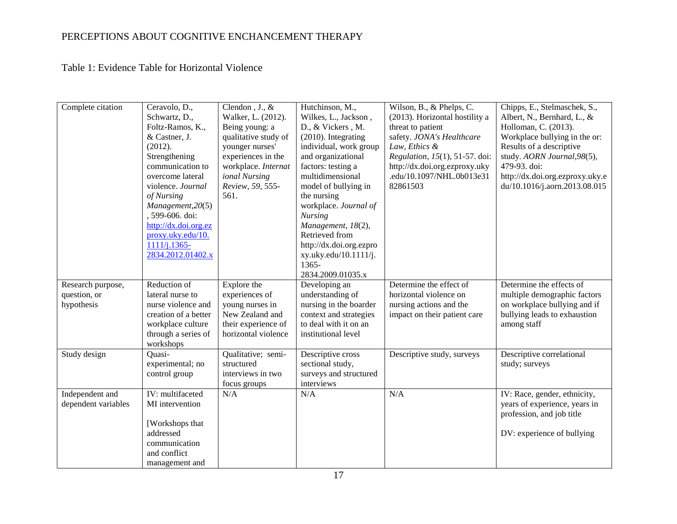Table 1: Evidence Table for Horizontal Violence

| Complete citation                               | Ceravolo, D.,<br>Schwartz, D.,<br>Foltz-Ramos, K.,<br>& Castner, J.<br>(2012).<br>Strengthening<br>communication to<br>overcome lateral<br>violence. Journal<br>of Nursing<br>Management, 20(5)<br>, 599-606. doi:<br>http://dx.doi.org.ez<br>proxy.uky.edu/10.<br>$1111/j.1365 -$<br>2834.2012.01402.x | Clendon, J., &<br>Walker, L. (2012).<br>Being young: a<br>qualitative study of<br>younger nurses'<br>experiences in the<br>workplace. Internat<br>ional Nursing<br>Review, 59, 555-<br>561. | Hutchinson, M.,<br>Wilkes, L., Jackson,<br>D., & Vickers, M.<br>(2010). Integrating<br>individual, work group<br>and organizational<br>factors: testing a<br>multidimensional<br>model of bullying in<br>the nursing<br>workplace. Journal of<br><b>Nursing</b><br>Management, 18(2),<br>Retrieved from<br>http://dx.doi.org.ezpro<br>xy.uky.edu/10.1111/j.<br>$1365 -$<br>2834.2009.01035.x | Wilson, B., & Phelps, C.<br>(2013). Horizontal hostility a<br>threat to patient<br>safety. JONA's Healthcare<br>Law, Ethics &<br>Regulation, 15(1), 51-57. doi:<br>http://dx.doi.org.ezproxy.uky<br>.edu/10.1097/NHL.0b013e31<br>82861503 | Chipps, E., Stelmaschek, S.,<br>Albert, N., Bernhard, L., &<br>Holloman, C. (2013).<br>Workplace bullying in the or:<br>Results of a descriptive<br>study. AORN Journal, 98(5),<br>479-93. doi:<br>http://dx.doi.org.ezproxy.uky.e<br>du/10.1016/j.aorn.2013.08.015 |
|-------------------------------------------------|---------------------------------------------------------------------------------------------------------------------------------------------------------------------------------------------------------------------------------------------------------------------------------------------------------|---------------------------------------------------------------------------------------------------------------------------------------------------------------------------------------------|----------------------------------------------------------------------------------------------------------------------------------------------------------------------------------------------------------------------------------------------------------------------------------------------------------------------------------------------------------------------------------------------|-------------------------------------------------------------------------------------------------------------------------------------------------------------------------------------------------------------------------------------------|---------------------------------------------------------------------------------------------------------------------------------------------------------------------------------------------------------------------------------------------------------------------|
| Research purpose,<br>question, or<br>hypothesis | Reduction of<br>lateral nurse to<br>nurse violence and<br>creation of a better<br>workplace culture<br>through a series of<br>workshops                                                                                                                                                                 | Explore the<br>experiences of<br>young nurses in<br>New Zealand and<br>their experience of<br>horizontal violence                                                                           | Developing an<br>understanding of<br>nursing in the boarder<br>context and strategies<br>to deal with it on an<br>institutional level                                                                                                                                                                                                                                                        | Determine the effect of<br>horizontal violence on<br>nursing actions and the<br>impact on their patient care                                                                                                                              | Determine the effects of<br>multiple demographic factors<br>on workplace bullying and if<br>bullying leads to exhaustion<br>among staff                                                                                                                             |
| Study design                                    | Quasi-<br>experimental; no<br>control group                                                                                                                                                                                                                                                             | Qualitative; semi-<br>structured<br>interviews in two<br>focus groups                                                                                                                       | Descriptive cross<br>sectional study,<br>surveys and structured<br>interviews                                                                                                                                                                                                                                                                                                                | Descriptive study, surveys                                                                                                                                                                                                                | Descriptive correlational<br>study; surveys                                                                                                                                                                                                                         |
| Independent and<br>dependent variables          | IV: multifaceted<br>MI intervention<br>[Workshops that<br>addressed<br>communication<br>and conflict<br>management and                                                                                                                                                                                  | N/A                                                                                                                                                                                         | N/A                                                                                                                                                                                                                                                                                                                                                                                          | N/A                                                                                                                                                                                                                                       | IV: Race, gender, ethnicity,<br>years of experience, years in<br>profession, and job title<br>DV: experience of bullying                                                                                                                                            |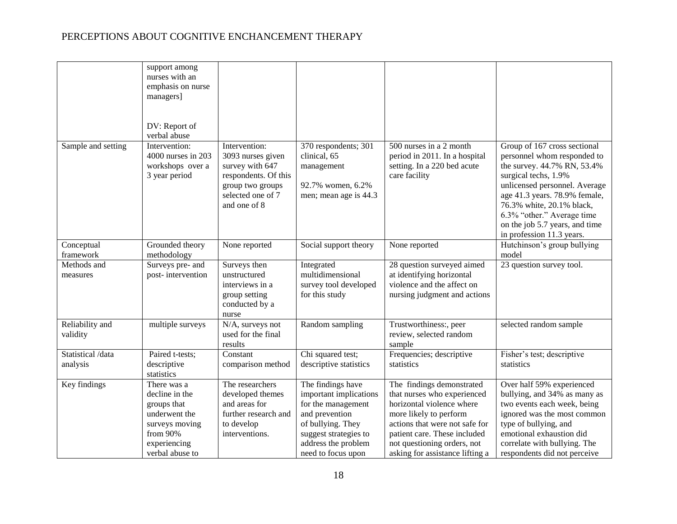|                               | support among<br>nurses with an<br>emphasis on nurse<br>managers]<br>DV: Report of<br>verbal abuse                             |                                                                                                                                        |                                                                                                                                                                                |                                                                                                                                                                                                                                                     |                                                                                                                                                                                                                                                                                                                |
|-------------------------------|--------------------------------------------------------------------------------------------------------------------------------|----------------------------------------------------------------------------------------------------------------------------------------|--------------------------------------------------------------------------------------------------------------------------------------------------------------------------------|-----------------------------------------------------------------------------------------------------------------------------------------------------------------------------------------------------------------------------------------------------|----------------------------------------------------------------------------------------------------------------------------------------------------------------------------------------------------------------------------------------------------------------------------------------------------------------|
| Sample and setting            | Intervention:<br>4000 nurses in 203<br>workshops over a<br>3 year period                                                       | Intervention:<br>3093 nurses given<br>survey with 647<br>respondents. Of this<br>group two groups<br>selected one of 7<br>and one of 8 | 370 respondents; 301<br>clinical, 65<br>management<br>92.7% women, 6.2%<br>men; mean age is 44.3                                                                               | 500 nurses in a 2 month<br>period in 2011. In a hospital<br>setting. In a 220 bed acute<br>care facility                                                                                                                                            | Group of 167 cross sectional<br>personnel whom responded to<br>the survey. 44.7% RN, 53.4%<br>surgical techs, 1.9%<br>unlicensed personnel. Average<br>age 41.3 years. 78.9% female,<br>76.3% white, 20.1% black,<br>6.3% "other." Average time<br>on the job 5.7 years, and time<br>in profession 11.3 years. |
| Conceptual<br>framework       | Grounded theory<br>methodology                                                                                                 | None reported                                                                                                                          | Social support theory                                                                                                                                                          | None reported                                                                                                                                                                                                                                       | Hutchinson's group bullying<br>model                                                                                                                                                                                                                                                                           |
| Methods and<br>measures       | Surveys pre- and<br>post-intervention                                                                                          | Surveys then<br>unstructured<br>interviews in a<br>group setting<br>conducted by a<br>nurse                                            | Integrated<br>multidimensional<br>survey tool developed<br>for this study                                                                                                      | 28 question surveyed aimed<br>at identifying horizontal<br>violence and the affect on<br>nursing judgment and actions                                                                                                                               | 23 question survey tool.                                                                                                                                                                                                                                                                                       |
| Reliability and<br>validity   | multiple surveys                                                                                                               | N/A, surveys not<br>used for the final<br>results                                                                                      | Random sampling                                                                                                                                                                | Trustworthiness:, peer<br>review, selected random<br>sample                                                                                                                                                                                         | selected random sample                                                                                                                                                                                                                                                                                         |
| Statistical /data<br>analysis | Paired t-tests;<br>descriptive<br>statistics                                                                                   | Constant<br>comparison method                                                                                                          | Chi squared test;<br>descriptive statistics                                                                                                                                    | Frequencies; descriptive<br>statistics                                                                                                                                                                                                              | Fisher's test; descriptive<br>statistics                                                                                                                                                                                                                                                                       |
| Key findings                  | There was a<br>decline in the<br>groups that<br>underwent the<br>surveys moving<br>from 90%<br>experiencing<br>verbal abuse to | The researchers<br>developed themes<br>and areas for<br>further research and<br>to develop<br>interventions.                           | The findings have<br>important implications<br>for the management<br>and prevention<br>of bullying. They<br>suggest strategies to<br>address the problem<br>need to focus upon | The findings demonstrated<br>that nurses who experienced<br>horizontal violence where<br>more likely to perform<br>actions that were not safe for<br>patient care. These included<br>not questioning orders, not<br>asking for assistance lifting a | Over half 59% experienced<br>bullying, and 34% as many as<br>two events each week, being<br>ignored was the most common<br>type of bullying, and<br>emotional exhaustion did<br>correlate with bullying. The<br>respondents did not perceive                                                                   |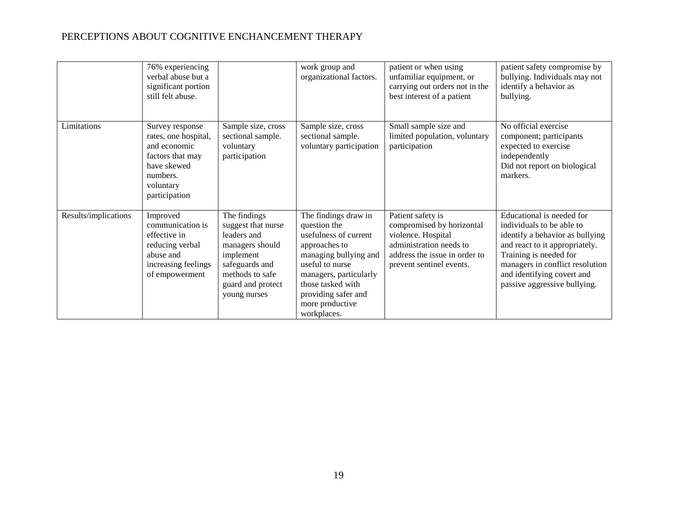|                      | 76% experiencing<br>verbal abuse but a<br>significant portion<br>still felt abuse.                                                   |                                                                                                                                                             | work group and<br>organizational factors.                                                                                                                                                                                          | patient or when using<br>unfamiliar equipment, or<br>carrying out orders not in the<br>best interest of a patient                                            | patient safety compromise by<br>bullying. Individuals may not<br>identify a behavior as<br>bullying.                                                                                                                                                   |
|----------------------|--------------------------------------------------------------------------------------------------------------------------------------|-------------------------------------------------------------------------------------------------------------------------------------------------------------|------------------------------------------------------------------------------------------------------------------------------------------------------------------------------------------------------------------------------------|--------------------------------------------------------------------------------------------------------------------------------------------------------------|--------------------------------------------------------------------------------------------------------------------------------------------------------------------------------------------------------------------------------------------------------|
| Limitations          | Survey response<br>rates, one hospital,<br>and economic<br>factors that may<br>have skewed<br>numbers.<br>voluntary<br>participation | Sample size, cross<br>sectional sample.<br>voluntary<br>participation                                                                                       | Sample size, cross<br>sectional sample.<br>voluntary participation                                                                                                                                                                 | Small sample size and<br>limited population, voluntary<br>participation                                                                                      | No official exercise<br>component; participants<br>expected to exercise<br>independently<br>Did not report on biological<br>markers.                                                                                                                   |
| Results/implications | Improved<br>communication is<br>effective in<br>reducing verbal<br>abuse and<br>increasing feelings<br>of empowerment                | The findings<br>suggest that nurse<br>leaders and<br>managers should<br>implement<br>safeguards and<br>methods to safe<br>guard and protect<br>young nurses | The findings draw in<br>question the<br>usefulness of current<br>approaches to<br>managing bullying and<br>useful to nurse<br>managers, particularly<br>those tasked with<br>providing safer and<br>more productive<br>workplaces. | Patient safety is<br>compromised by horizontal<br>violence. Hospital<br>administration needs to<br>address the issue in order to<br>prevent sentinel events. | Educational is needed for<br>individuals to be able to<br>identify a behavior as bullying<br>and react to it appropriately.<br>Training is needed for<br>managers in conflict resolution<br>and identifying covert and<br>passive aggressive bullying. |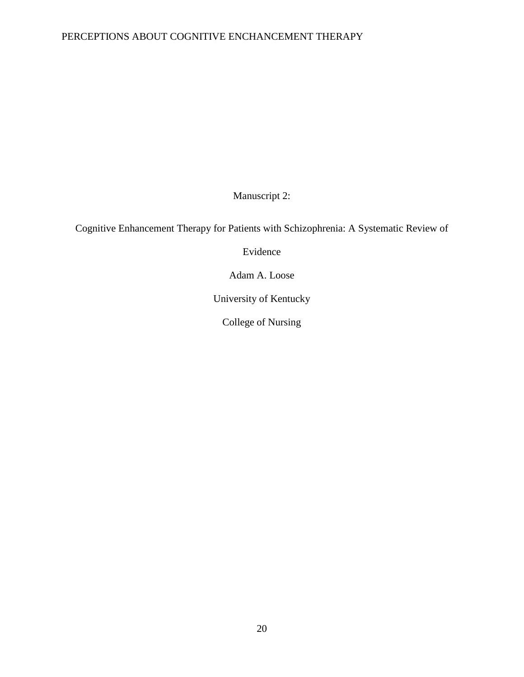Manuscript 2:

Cognitive Enhancement Therapy for Patients with Schizophrenia: A Systematic Review of

Evidence

Adam A. Loose

University of Kentucky

College of Nursing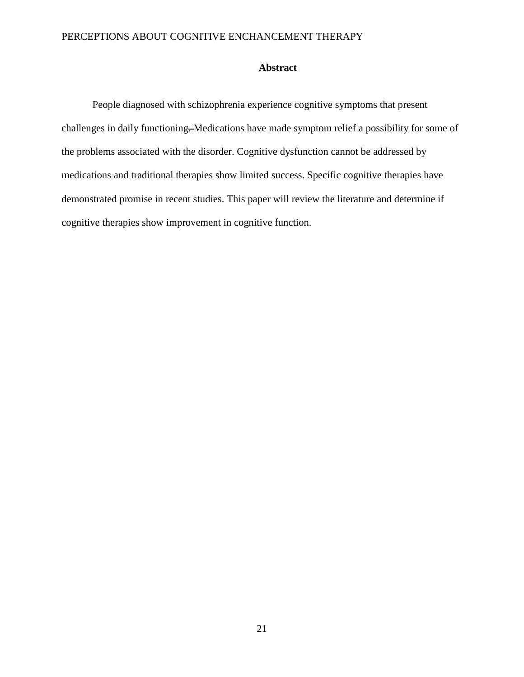### **Abstract**

People diagnosed with schizophrenia experience cognitive symptoms that present challenges in daily functioning. Medications have made symptom relief a possibility for some of the problems associated with the disorder. Cognitive dysfunction cannot be addressed by medications and traditional therapies show limited success. Specific cognitive therapies have demonstrated promise in recent studies. This paper will review the literature and determine if cognitive therapies show improvement in cognitive function.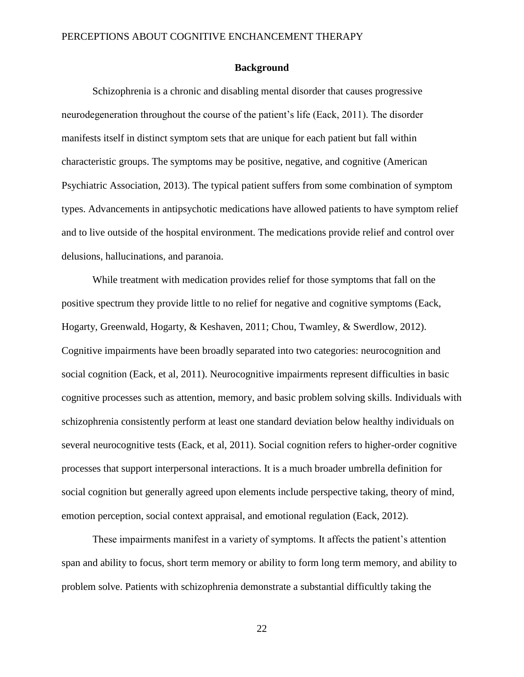#### **Background**

Schizophrenia is a chronic and disabling mental disorder that causes progressive neurodegeneration throughout the course of the patient's life (Eack, 2011). The disorder manifests itself in distinct symptom sets that are unique for each patient but fall within characteristic groups. The symptoms may be positive, negative, and cognitive (American Psychiatric Association, 2013). The typical patient suffers from some combination of symptom types. Advancements in antipsychotic medications have allowed patients to have symptom relief and to live outside of the hospital environment. The medications provide relief and control over delusions, hallucinations, and paranoia.

While treatment with medication provides relief for those symptoms that fall on the positive spectrum they provide little to no relief for negative and cognitive symptoms (Eack, Hogarty, Greenwald, Hogarty, & Keshaven, 2011; Chou, Twamley, & Swerdlow, 2012). Cognitive impairments have been broadly separated into two categories: neurocognition and social cognition (Eack, et al, 2011). Neurocognitive impairments represent difficulties in basic cognitive processes such as attention, memory, and basic problem solving skills. Individuals with schizophrenia consistently perform at least one standard deviation below healthy individuals on several neurocognitive tests (Eack, et al, 2011). Social cognition refers to higher-order cognitive processes that support interpersonal interactions. It is a much broader umbrella definition for social cognition but generally agreed upon elements include perspective taking, theory of mind, emotion perception, social context appraisal, and emotional regulation (Eack, 2012).

These impairments manifest in a variety of symptoms. It affects the patient's attention span and ability to focus, short term memory or ability to form long term memory, and ability to problem solve. Patients with schizophrenia demonstrate a substantial difficultly taking the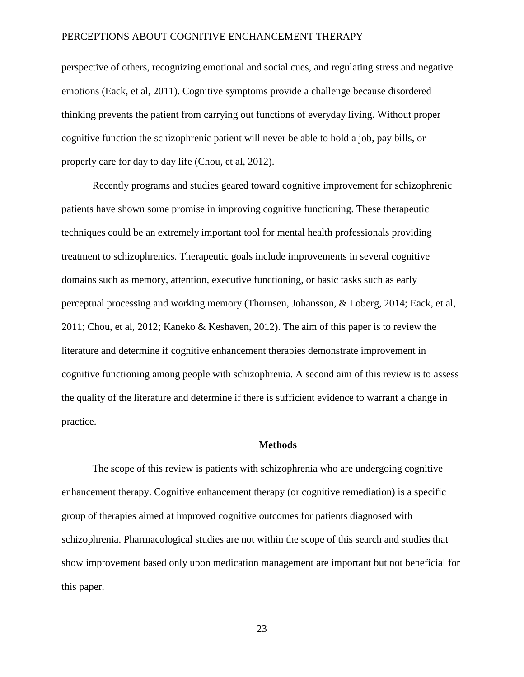perspective of others, recognizing emotional and social cues, and regulating stress and negative emotions (Eack, et al, 2011). Cognitive symptoms provide a challenge because disordered thinking prevents the patient from carrying out functions of everyday living. Without proper cognitive function the schizophrenic patient will never be able to hold a job, pay bills, or properly care for day to day life (Chou, et al, 2012).

Recently programs and studies geared toward cognitive improvement for schizophrenic patients have shown some promise in improving cognitive functioning. These therapeutic techniques could be an extremely important tool for mental health professionals providing treatment to schizophrenics. Therapeutic goals include improvements in several cognitive domains such as memory, attention, executive functioning, or basic tasks such as early perceptual processing and working memory (Thornsen, Johansson, & Loberg, 2014; Eack, et al, 2011; Chou, et al, 2012; Kaneko & Keshaven, 2012). The aim of this paper is to review the literature and determine if cognitive enhancement therapies demonstrate improvement in cognitive functioning among people with schizophrenia. A second aim of this review is to assess the quality of the literature and determine if there is sufficient evidence to warrant a change in practice.

#### **Methods**

The scope of this review is patients with schizophrenia who are undergoing cognitive enhancement therapy. Cognitive enhancement therapy (or cognitive remediation) is a specific group of therapies aimed at improved cognitive outcomes for patients diagnosed with schizophrenia. Pharmacological studies are not within the scope of this search and studies that show improvement based only upon medication management are important but not beneficial for this paper.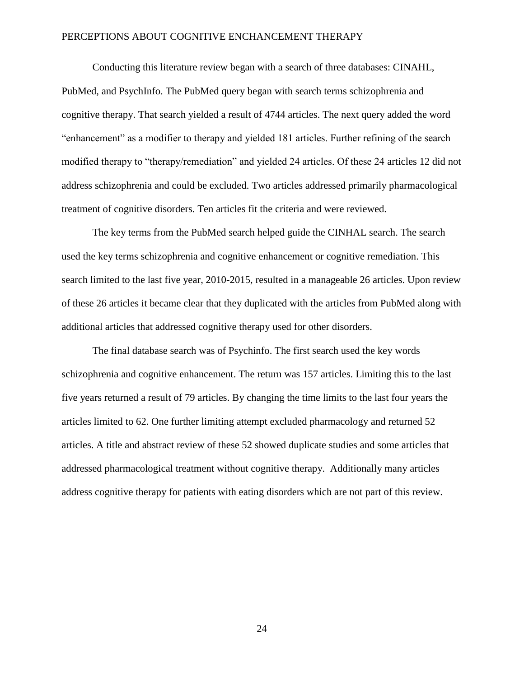Conducting this literature review began with a search of three databases: CINAHL, PubMed, and PsychInfo. The PubMed query began with search terms schizophrenia and cognitive therapy. That search yielded a result of 4744 articles. The next query added the word "enhancement" as a modifier to therapy and yielded 181 articles. Further refining of the search modified therapy to "therapy/remediation" and yielded 24 articles. Of these 24 articles 12 did not address schizophrenia and could be excluded. Two articles addressed primarily pharmacological treatment of cognitive disorders. Ten articles fit the criteria and were reviewed.

The key terms from the PubMed search helped guide the CINHAL search. The search used the key terms schizophrenia and cognitive enhancement or cognitive remediation. This search limited to the last five year, 2010-2015, resulted in a manageable 26 articles. Upon review of these 26 articles it became clear that they duplicated with the articles from PubMed along with additional articles that addressed cognitive therapy used for other disorders.

The final database search was of Psychinfo. The first search used the key words schizophrenia and cognitive enhancement. The return was 157 articles. Limiting this to the last five years returned a result of 79 articles. By changing the time limits to the last four years the articles limited to 62. One further limiting attempt excluded pharmacology and returned 52 articles. A title and abstract review of these 52 showed duplicate studies and some articles that addressed pharmacological treatment without cognitive therapy. Additionally many articles address cognitive therapy for patients with eating disorders which are not part of this review.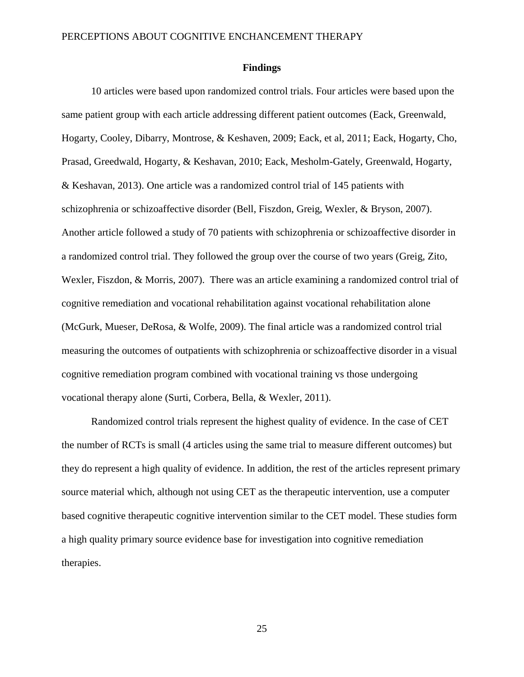#### **Findings**

10 articles were based upon randomized control trials. Four articles were based upon the same patient group with each article addressing different patient outcomes (Eack, Greenwald, Hogarty, Cooley, Dibarry, Montrose, & Keshaven, 2009; Eack, et al, 2011; Eack, Hogarty, Cho, Prasad, Greedwald, Hogarty, & Keshavan, 2010; Eack, Mesholm-Gately, Greenwald, Hogarty, & Keshavan, 2013). One article was a randomized control trial of 145 patients with schizophrenia or schizoaffective disorder (Bell, Fiszdon, Greig, Wexler, & Bryson, 2007). Another article followed a study of 70 patients with schizophrenia or schizoaffective disorder in a randomized control trial. They followed the group over the course of two years (Greig, Zito, Wexler, Fiszdon, & Morris, 2007). There was an article examining a randomized control trial of cognitive remediation and vocational rehabilitation against vocational rehabilitation alone (McGurk, Mueser, DeRosa, & Wolfe, 2009). The final article was a randomized control trial measuring the outcomes of outpatients with schizophrenia or schizoaffective disorder in a visual cognitive remediation program combined with vocational training vs those undergoing vocational therapy alone (Surti, Corbera, Bella, & Wexler, 2011).

Randomized control trials represent the highest quality of evidence. In the case of CET the number of RCTs is small (4 articles using the same trial to measure different outcomes) but they do represent a high quality of evidence. In addition, the rest of the articles represent primary source material which, although not using CET as the therapeutic intervention, use a computer based cognitive therapeutic cognitive intervention similar to the CET model. These studies form a high quality primary source evidence base for investigation into cognitive remediation therapies.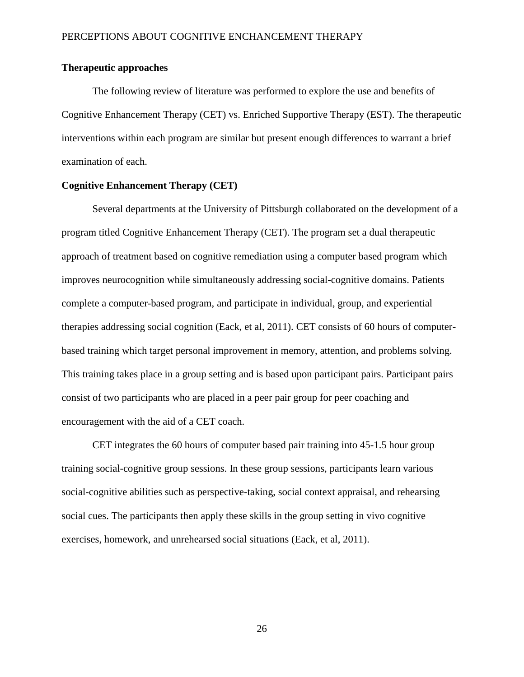### **Therapeutic approaches**

The following review of literature was performed to explore the use and benefits of Cognitive Enhancement Therapy (CET) vs. Enriched Supportive Therapy (EST). The therapeutic interventions within each program are similar but present enough differences to warrant a brief examination of each.

### **Cognitive Enhancement Therapy (CET)**

Several departments at the University of Pittsburgh collaborated on the development of a program titled Cognitive Enhancement Therapy (CET). The program set a dual therapeutic approach of treatment based on cognitive remediation using a computer based program which improves neurocognition while simultaneously addressing social-cognitive domains. Patients complete a computer-based program, and participate in individual, group, and experiential therapies addressing social cognition (Eack, et al, 2011). CET consists of 60 hours of computerbased training which target personal improvement in memory, attention, and problems solving. This training takes place in a group setting and is based upon participant pairs. Participant pairs consist of two participants who are placed in a peer pair group for peer coaching and encouragement with the aid of a CET coach.

CET integrates the 60 hours of computer based pair training into 45-1.5 hour group training social-cognitive group sessions. In these group sessions, participants learn various social-cognitive abilities such as perspective-taking, social context appraisal, and rehearsing social cues. The participants then apply these skills in the group setting in vivo cognitive exercises, homework, and unrehearsed social situations (Eack, et al, 2011).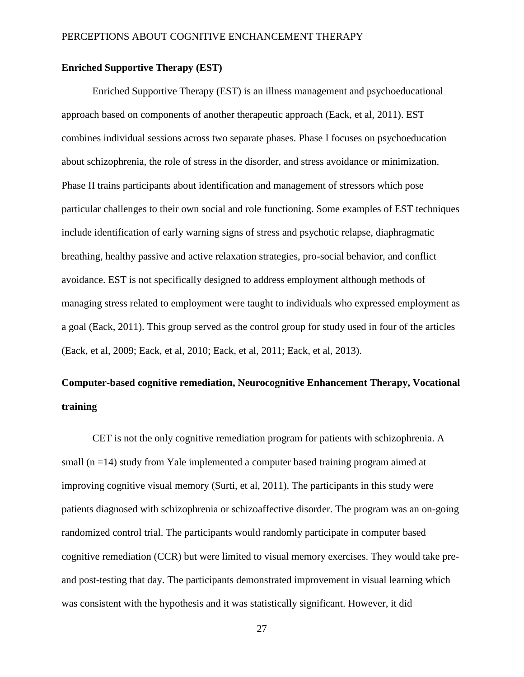### **Enriched Supportive Therapy (EST)**

Enriched Supportive Therapy (EST) is an illness management and psychoeducational approach based on components of another therapeutic approach (Eack, et al, 2011). EST combines individual sessions across two separate phases. Phase I focuses on psychoeducation about schizophrenia, the role of stress in the disorder, and stress avoidance or minimization. Phase II trains participants about identification and management of stressors which pose particular challenges to their own social and role functioning. Some examples of EST techniques include identification of early warning signs of stress and psychotic relapse, diaphragmatic breathing, healthy passive and active relaxation strategies, pro-social behavior, and conflict avoidance. EST is not specifically designed to address employment although methods of managing stress related to employment were taught to individuals who expressed employment as a goal (Eack, 2011). This group served as the control group for study used in four of the articles (Eack, et al, 2009; Eack, et al, 2010; Eack, et al, 2011; Eack, et al, 2013).

# **Computer-based cognitive remediation, Neurocognitive Enhancement Therapy, Vocational training**

CET is not the only cognitive remediation program for patients with schizophrenia. A small (n =14) study from Yale implemented a computer based training program aimed at improving cognitive visual memory (Surti, et al, 2011). The participants in this study were patients diagnosed with schizophrenia or schizoaffective disorder. The program was an on-going randomized control trial. The participants would randomly participate in computer based cognitive remediation (CCR) but were limited to visual memory exercises. They would take preand post-testing that day. The participants demonstrated improvement in visual learning which was consistent with the hypothesis and it was statistically significant. However, it did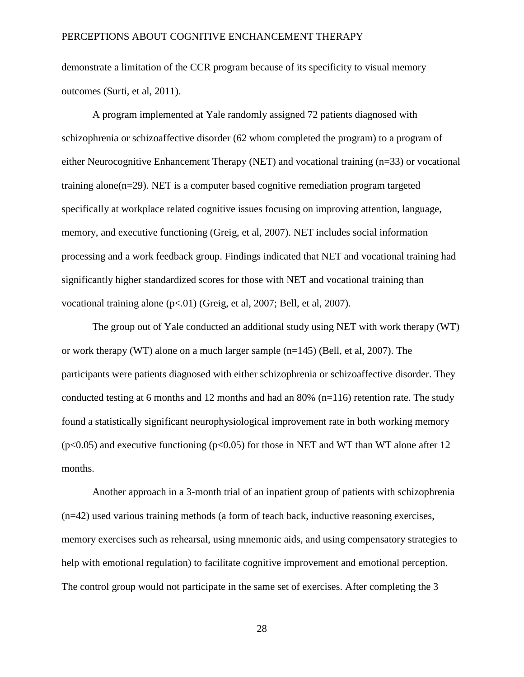demonstrate a limitation of the CCR program because of its specificity to visual memory outcomes (Surti, et al, 2011).

A program implemented at Yale randomly assigned 72 patients diagnosed with schizophrenia or schizoaffective disorder (62 whom completed the program) to a program of either Neurocognitive Enhancement Therapy (NET) and vocational training (n=33) or vocational training alone(n=29). NET is a computer based cognitive remediation program targeted specifically at workplace related cognitive issues focusing on improving attention, language, memory, and executive functioning (Greig, et al, 2007). NET includes social information processing and a work feedback group. Findings indicated that NET and vocational training had significantly higher standardized scores for those with NET and vocational training than vocational training alone (p<.01) (Greig, et al, 2007; Bell, et al, 2007).

The group out of Yale conducted an additional study using NET with work therapy (WT) or work therapy (WT) alone on a much larger sample (n=145) (Bell, et al, 2007). The participants were patients diagnosed with either schizophrenia or schizoaffective disorder. They conducted testing at 6 months and 12 months and had an 80%  $(n=116)$  retention rate. The study found a statistically significant neurophysiological improvement rate in both working memory  $(p<0.05)$  and executive functioning  $(p<0.05)$  for those in NET and WT than WT alone after 12 months.

Another approach in a 3-month trial of an inpatient group of patients with schizophrenia (n=42) used various training methods (a form of teach back, inductive reasoning exercises, memory exercises such as rehearsal, using mnemonic aids, and using compensatory strategies to help with emotional regulation) to facilitate cognitive improvement and emotional perception. The control group would not participate in the same set of exercises. After completing the 3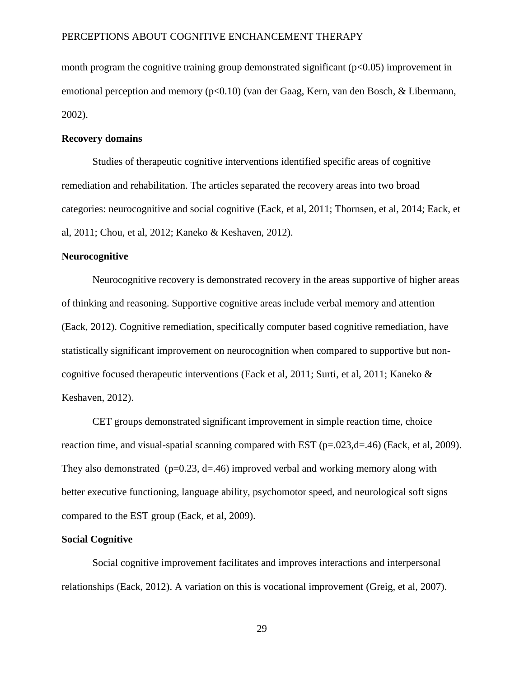month program the cognitive training group demonstrated significant  $(p<0.05)$  improvement in emotional perception and memory (p<0.10) (van der Gaag, Kern, van den Bosch, & Libermann, 2002).

#### **Recovery domains**

Studies of therapeutic cognitive interventions identified specific areas of cognitive remediation and rehabilitation. The articles separated the recovery areas into two broad categories: neurocognitive and social cognitive (Eack, et al, 2011; Thornsen, et al, 2014; Eack, et al, 2011; Chou, et al, 2012; Kaneko & Keshaven, 2012).

#### **Neurocognitive**

Neurocognitive recovery is demonstrated recovery in the areas supportive of higher areas of thinking and reasoning. Supportive cognitive areas include verbal memory and attention (Eack, 2012). Cognitive remediation, specifically computer based cognitive remediation, have statistically significant improvement on neurocognition when compared to supportive but noncognitive focused therapeutic interventions (Eack et al, 2011; Surti, et al, 2011; Kaneko & Keshaven, 2012).

CET groups demonstrated significant improvement in simple reaction time, choice reaction time, and visual-spatial scanning compared with EST (p=.023,d=.46) (Eack, et al, 2009). They also demonstrated ( $p=0.23$ ,  $d=46$ ) improved verbal and working memory along with better executive functioning, language ability, psychomotor speed, and neurological soft signs compared to the EST group (Eack, et al, 2009).

#### **Social Cognitive**

Social cognitive improvement facilitates and improves interactions and interpersonal relationships (Eack, 2012). A variation on this is vocational improvement (Greig, et al, 2007).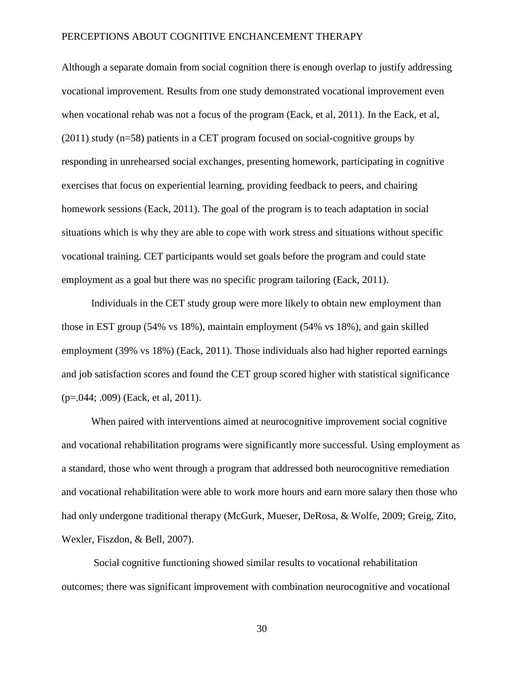Although a separate domain from social cognition there is enough overlap to justify addressing vocational improvement. Results from one study demonstrated vocational improvement even when vocational rehab was not a focus of the program (Eack, et al, 2011). In the Eack, et al, (2011) study (n=58) patients in a CET program focused on social-cognitive groups by responding in unrehearsed social exchanges, presenting homework, participating in cognitive exercises that focus on experiential learning, providing feedback to peers, and chairing homework sessions (Eack, 2011). The goal of the program is to teach adaptation in social situations which is why they are able to cope with work stress and situations without specific vocational training. CET participants would set goals before the program and could state employment as a goal but there was no specific program tailoring (Eack, 2011).

Individuals in the CET study group were more likely to obtain new employment than those in EST group (54% vs 18%), maintain employment (54% vs 18%), and gain skilled employment (39% vs 18%) (Eack, 2011). Those individuals also had higher reported earnings and job satisfaction scores and found the CET group scored higher with statistical significance (p=.044; .009) (Eack, et al, 2011).

When paired with interventions aimed at neurocognitive improvement social cognitive and vocational rehabilitation programs were significantly more successful. Using employment as a standard, those who went through a program that addressed both neurocognitive remediation and vocational rehabilitation were able to work more hours and earn more salary then those who had only undergone traditional therapy (McGurk, Mueser, DeRosa, & Wolfe, 2009; Greig, Zito, Wexler, Fiszdon, & Bell, 2007).

Social cognitive functioning showed similar results to vocational rehabilitation outcomes; there was significant improvement with combination neurocognitive and vocational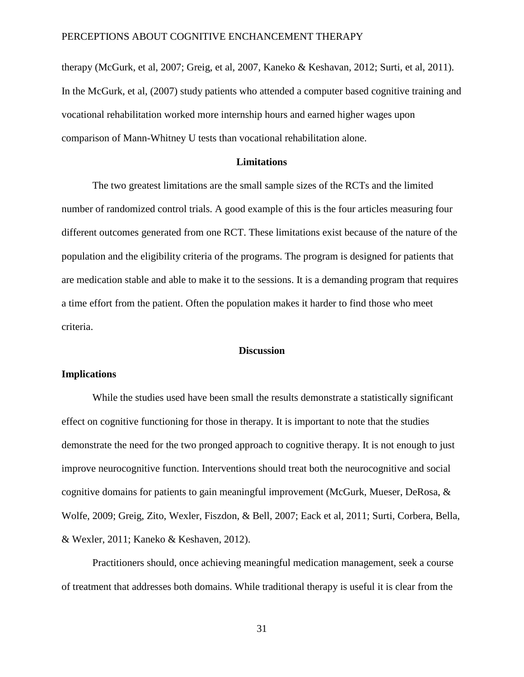therapy (McGurk, et al, 2007; Greig, et al, 2007, Kaneko & Keshavan, 2012; Surti, et al, 2011). In the McGurk, et al, (2007) study patients who attended a computer based cognitive training and vocational rehabilitation worked more internship hours and earned higher wages upon comparison of Mann-Whitney U tests than vocational rehabilitation alone.

#### **Limitations**

The two greatest limitations are the small sample sizes of the RCTs and the limited number of randomized control trials. A good example of this is the four articles measuring four different outcomes generated from one RCT. These limitations exist because of the nature of the population and the eligibility criteria of the programs. The program is designed for patients that are medication stable and able to make it to the sessions. It is a demanding program that requires a time effort from the patient. Often the population makes it harder to find those who meet criteria.

#### **Discussion**

## **Implications**

While the studies used have been small the results demonstrate a statistically significant effect on cognitive functioning for those in therapy. It is important to note that the studies demonstrate the need for the two pronged approach to cognitive therapy. It is not enough to just improve neurocognitive function. Interventions should treat both the neurocognitive and social cognitive domains for patients to gain meaningful improvement (McGurk, Mueser, DeRosa, & Wolfe, 2009; Greig, Zito, Wexler, Fiszdon, & Bell, 2007; Eack et al, 2011; Surti, Corbera, Bella, & Wexler, 2011; Kaneko & Keshaven, 2012).

Practitioners should, once achieving meaningful medication management, seek a course of treatment that addresses both domains. While traditional therapy is useful it is clear from the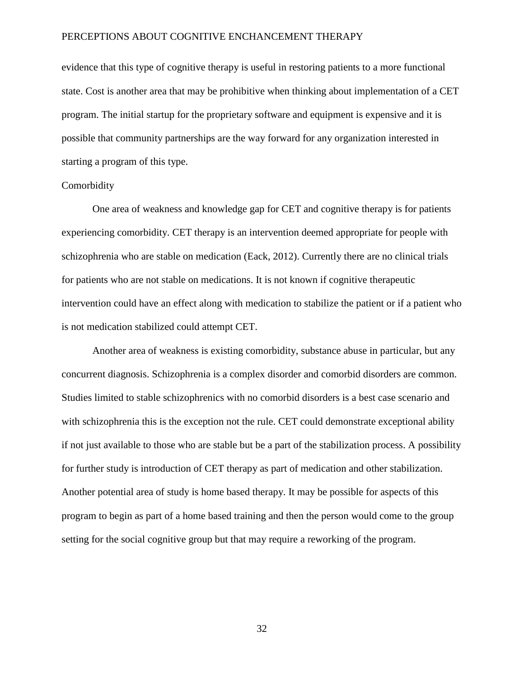evidence that this type of cognitive therapy is useful in restoring patients to a more functional state. Cost is another area that may be prohibitive when thinking about implementation of a CET program. The initial startup for the proprietary software and equipment is expensive and it is possible that community partnerships are the way forward for any organization interested in starting a program of this type.

#### Comorbidity

One area of weakness and knowledge gap for CET and cognitive therapy is for patients experiencing comorbidity. CET therapy is an intervention deemed appropriate for people with schizophrenia who are stable on medication (Eack, 2012). Currently there are no clinical trials for patients who are not stable on medications. It is not known if cognitive therapeutic intervention could have an effect along with medication to stabilize the patient or if a patient who is not medication stabilized could attempt CET.

Another area of weakness is existing comorbidity, substance abuse in particular, but any concurrent diagnosis. Schizophrenia is a complex disorder and comorbid disorders are common. Studies limited to stable schizophrenics with no comorbid disorders is a best case scenario and with schizophrenia this is the exception not the rule. CET could demonstrate exceptional ability if not just available to those who are stable but be a part of the stabilization process. A possibility for further study is introduction of CET therapy as part of medication and other stabilization. Another potential area of study is home based therapy. It may be possible for aspects of this program to begin as part of a home based training and then the person would come to the group setting for the social cognitive group but that may require a reworking of the program.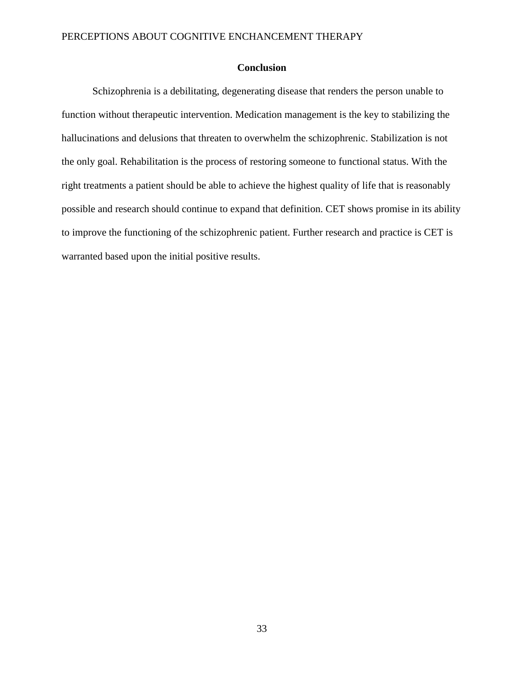# **Conclusion**

Schizophrenia is a debilitating, degenerating disease that renders the person unable to function without therapeutic intervention. Medication management is the key to stabilizing the hallucinations and delusions that threaten to overwhelm the schizophrenic. Stabilization is not the only goal. Rehabilitation is the process of restoring someone to functional status. With the right treatments a patient should be able to achieve the highest quality of life that is reasonably possible and research should continue to expand that definition. CET shows promise in its ability to improve the functioning of the schizophrenic patient. Further research and practice is CET is warranted based upon the initial positive results.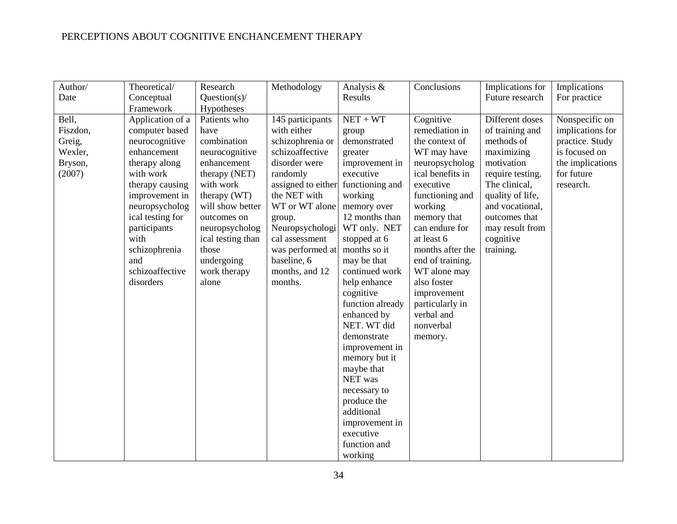| Author/  | Theoretical/     | Research          | Methodology        | Analysis &       | Conclusions      | Implications for | Implications     |
|----------|------------------|-------------------|--------------------|------------------|------------------|------------------|------------------|
| Date     | Conceptual       | Question(s)/      |                    | Results          |                  | Future research  | For practice     |
|          | Framework        | Hypotheses        |                    |                  |                  |                  |                  |
| Bell,    | Application of a | Patients who      | 145 participants   | $NET + WT$       | Cognitive        | Different doses  | Nonspecific on   |
| Fiszdon, | computer based   | have              | with either        | group            | remediation in   | of training and  | implications for |
| Greig,   | neurocognitive   | combination       | schizophrenia or   | demonstrated     | the context of   | methods of       | practice. Study  |
| Wexler,  | enhancement      | neurocognitive    | schizoaffective    | greater          | WT may have      | maximizing       | is focused on    |
| Bryson,  | therapy along    | enhancement       | disorder were      | improvement in   | neuropsycholog   | motivation       | the implications |
| (2007)   | with work        | therapy (NET)     | randomly           | executive        | ical benefits in | require testing. | for future       |
|          | therapy causing  | with work         | assigned to either | functioning and  | executive        | The clinical,    | research.        |
|          | improvement in   | therapy (WT)      | the NET with       | working          | functioning and  | quality of life, |                  |
|          | neuropsycholog   | will show better  | WT or WT alone     | memory over      | working          | and vocational,  |                  |
|          | ical testing for | outcomes on       | group.             | 12 months than   | memory that      | outcomes that    |                  |
|          | participants     | neuropsycholog    | Neuropsychologi    | WT only. NET     | can endure for   | may result from  |                  |
|          | with             | ical testing than | cal assessment     | stopped at 6     | at least 6       | cognitive        |                  |
|          | schizophrenia    | those             | was performed at   | months so it     | months after the | training.        |                  |
|          | and              | undergoing        | baseline, 6        | may be that      | end of training. |                  |                  |
|          | schizoaffective  | work therapy      | months, and 12     | continued work   | WT alone may     |                  |                  |
|          | disorders        | alone             | months.            | help enhance     | also foster      |                  |                  |
|          |                  |                   |                    | cognitive        | improvement      |                  |                  |
|          |                  |                   |                    | function already | particularly in  |                  |                  |
|          |                  |                   |                    | enhanced by      | verbal and       |                  |                  |
|          |                  |                   |                    | NET. WT did      | nonverbal        |                  |                  |
|          |                  |                   |                    | demonstrate      | memory.          |                  |                  |
|          |                  |                   |                    | improvement in   |                  |                  |                  |
|          |                  |                   |                    | memory but it    |                  |                  |                  |
|          |                  |                   |                    | maybe that       |                  |                  |                  |
|          |                  |                   |                    | NET was          |                  |                  |                  |
|          |                  |                   |                    | necessary to     |                  |                  |                  |
|          |                  |                   |                    | produce the      |                  |                  |                  |
|          |                  |                   |                    | additional       |                  |                  |                  |
|          |                  |                   |                    | improvement in   |                  |                  |                  |
|          |                  |                   |                    | executive        |                  |                  |                  |
|          |                  |                   |                    | function and     |                  |                  |                  |
|          |                  |                   |                    | working          |                  |                  |                  |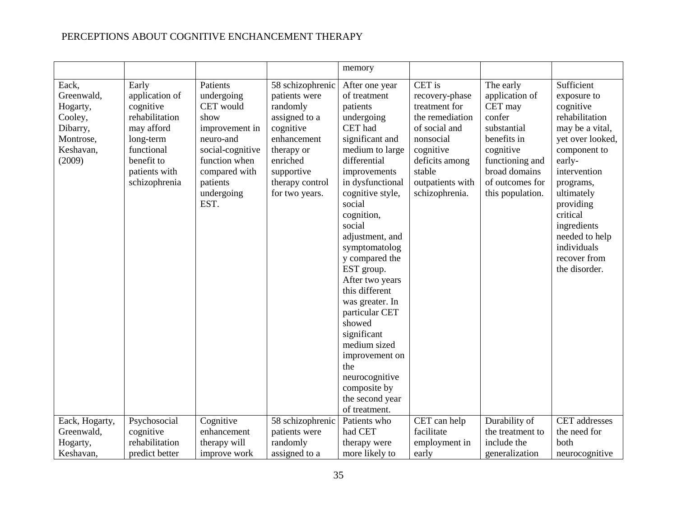|                                                                                                              |                                                                                                                                                                 |                                                                                                                                                                                 |                                                                                                                                                                                             | memory                                                                                                                                                                                                                                                                                                                                                                                                                                                                                                                    |                                                                                                                                                                                           |                                                                                                                                                                                         |                                                                                                                                                                                                                                                                                                        |
|--------------------------------------------------------------------------------------------------------------|-----------------------------------------------------------------------------------------------------------------------------------------------------------------|---------------------------------------------------------------------------------------------------------------------------------------------------------------------------------|---------------------------------------------------------------------------------------------------------------------------------------------------------------------------------------------|---------------------------------------------------------------------------------------------------------------------------------------------------------------------------------------------------------------------------------------------------------------------------------------------------------------------------------------------------------------------------------------------------------------------------------------------------------------------------------------------------------------------------|-------------------------------------------------------------------------------------------------------------------------------------------------------------------------------------------|-----------------------------------------------------------------------------------------------------------------------------------------------------------------------------------------|--------------------------------------------------------------------------------------------------------------------------------------------------------------------------------------------------------------------------------------------------------------------------------------------------------|
| Eack,<br>Greenwald,<br>Hogarty,<br>Cooley,<br>Dibarry,<br>Montrose,<br>Keshavan,<br>(2009)<br>Eack, Hogarty, | Early<br>application of<br>cognitive<br>rehabilitation<br>may afford<br>long-term<br>functional<br>benefit to<br>patients with<br>schizophrenia<br>Psychosocial | Patients<br>undergoing<br>CET would<br>show<br>improvement in<br>neuro-and<br>social-cognitive<br>function when<br>compared with<br>patients<br>undergoing<br>EST.<br>Cognitive | 58 schizophrenic<br>patients were<br>randomly<br>assigned to a<br>cognitive<br>enhancement<br>therapy or<br>enriched<br>supportive<br>therapy control<br>for two years.<br>58 schizophrenic | After one year<br>of treatment<br>patients<br>undergoing<br>CET had<br>significant and<br>medium to large<br>differential<br>improvements<br>in dysfunctional<br>cognitive style,<br>social<br>cognition,<br>social<br>adjustment, and<br>symptomatolog<br>y compared the<br>EST group.<br>After two years<br>this different<br>was greater. In<br>particular CET<br>showed<br>significant<br>medium sized<br>improvement on<br>the<br>neurocognitive<br>composite by<br>the second year<br>of treatment.<br>Patients who | CET is<br>recovery-phase<br>treatment for<br>the remediation<br>of social and<br>nonsocial<br>cognitive<br>deficits among<br>stable<br>outpatients with<br>schizophrenia.<br>CET can help | The early<br>application of<br>CET may<br>confer<br>substantial<br>benefits in<br>cognitive<br>functioning and<br>broad domains<br>of outcomes for<br>this population.<br>Durability of | Sufficient<br>exposure to<br>cognitive<br>rehabilitation<br>may be a vital,<br>yet over looked,<br>component to<br>early-<br>intervention<br>programs,<br>ultimately<br>providing<br>critical<br>ingredients<br>needed to help<br>individuals<br>recover from<br>the disorder.<br><b>CET</b> addresses |
| Greenwald,                                                                                                   | cognitive                                                                                                                                                       | enhancement                                                                                                                                                                     | patients were                                                                                                                                                                               | had CET                                                                                                                                                                                                                                                                                                                                                                                                                                                                                                                   | facilitate                                                                                                                                                                                | the treatment to                                                                                                                                                                        | the need for                                                                                                                                                                                                                                                                                           |
| Hogarty,                                                                                                     | rehabilitation                                                                                                                                                  | therapy will                                                                                                                                                                    | randomly                                                                                                                                                                                    | therapy were                                                                                                                                                                                                                                                                                                                                                                                                                                                                                                              | employment in                                                                                                                                                                             | include the                                                                                                                                                                             | both                                                                                                                                                                                                                                                                                                   |
| Keshavan,                                                                                                    | predict better                                                                                                                                                  | improve work                                                                                                                                                                    | assigned to a                                                                                                                                                                               | more likely to                                                                                                                                                                                                                                                                                                                                                                                                                                                                                                            | early                                                                                                                                                                                     | generalization                                                                                                                                                                          | neurocognitive                                                                                                                                                                                                                                                                                         |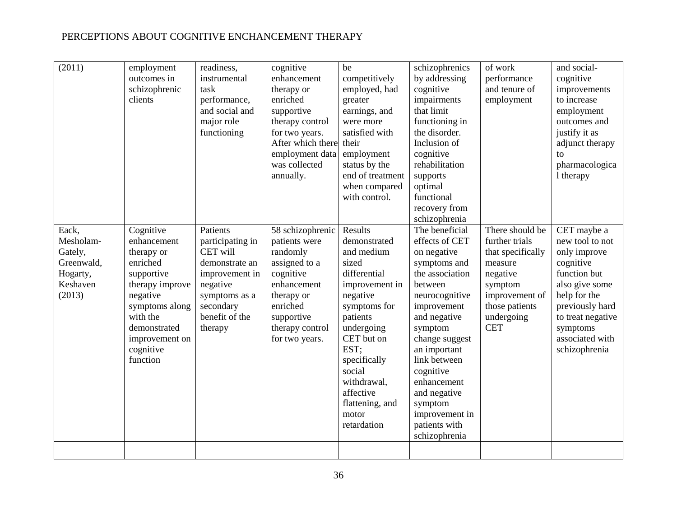| (2011)                                                                        | employment<br>outcomes in<br>schizophrenic<br>clients                                                                                                                                    | readiness,<br>instrumental<br>task<br>performance,<br>and social and<br>major role<br>functioning                                                   | cognitive<br>enhancement<br>therapy or<br>enriched<br>supportive<br>therapy control<br>for two years.<br>After which there<br>employment data<br>was collected<br>annually. | be<br>competitively<br>employed, had<br>greater<br>earnings, and<br>were more<br>satisfied with<br>their<br>employment<br>status by the<br>end of treatment<br>when compared<br>with control.                                                                 | schizophrenics<br>by addressing<br>cognitive<br>impairments<br>that limit<br>functioning in<br>the disorder.<br>Inclusion of<br>cognitive<br>rehabilitation<br>supports<br>optimal<br>functional<br>recovery from<br>schizophrenia                                                                                     | of work<br>performance<br>and tenure of<br>employment                                                                                                    | and social-<br>cognitive<br>improvements<br>to increase<br>employment<br>outcomes and<br>justify it as<br>adjunct therapy<br>to<br>pharmacologica<br>1 therapy                                        |
|-------------------------------------------------------------------------------|------------------------------------------------------------------------------------------------------------------------------------------------------------------------------------------|-----------------------------------------------------------------------------------------------------------------------------------------------------|-----------------------------------------------------------------------------------------------------------------------------------------------------------------------------|---------------------------------------------------------------------------------------------------------------------------------------------------------------------------------------------------------------------------------------------------------------|------------------------------------------------------------------------------------------------------------------------------------------------------------------------------------------------------------------------------------------------------------------------------------------------------------------------|----------------------------------------------------------------------------------------------------------------------------------------------------------|-------------------------------------------------------------------------------------------------------------------------------------------------------------------------------------------------------|
| Eack,<br>Mesholam-<br>Gately,<br>Greenwald,<br>Hogarty,<br>Keshaven<br>(2013) | Cognitive<br>enhancement<br>therapy or<br>enriched<br>supportive<br>therapy improve<br>negative<br>symptoms along<br>with the<br>demonstrated<br>improvement on<br>cognitive<br>function | Patients<br>participating in<br>CET will<br>demonstrate an<br>improvement in<br>negative<br>symptoms as a<br>secondary<br>benefit of the<br>therapy | 58 schizophrenic<br>patients were<br>randomly<br>assigned to a<br>cognitive<br>enhancement<br>therapy or<br>enriched<br>supportive<br>therapy control<br>for two years.     | Results<br>demonstrated<br>and medium<br>sized<br>differential<br>improvement in<br>negative<br>symptoms for<br>patients<br>undergoing<br>CET but on<br>EST;<br>specifically<br>social<br>withdrawal,<br>affective<br>flattening, and<br>motor<br>retardation | The beneficial<br>effects of CET<br>on negative<br>symptoms and<br>the association<br>between<br>neurocognitive<br>improvement<br>and negative<br>symptom<br>change suggest<br>an important<br>link between<br>cognitive<br>enhancement<br>and negative<br>symptom<br>improvement in<br>patients with<br>schizophrenia | There should be<br>further trials<br>that specifically<br>measure<br>negative<br>symptom<br>improvement of<br>those patients<br>undergoing<br><b>CET</b> | CET maybe a<br>new tool to not<br>only improve<br>cognitive<br>function but<br>also give some<br>help for the<br>previously hard<br>to treat negative<br>symptoms<br>associated with<br>schizophrenia |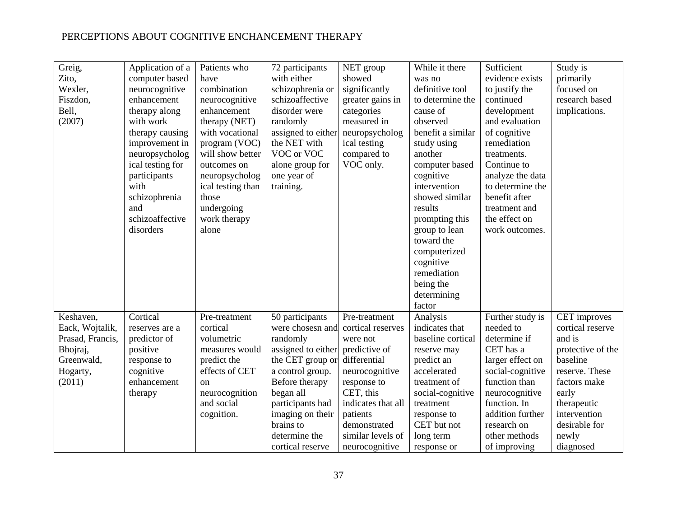| Greig,           | Application of a | Patients who      | 72 participants    | NET group          | While it there    | Sufficient       | Study is          |
|------------------|------------------|-------------------|--------------------|--------------------|-------------------|------------------|-------------------|
| Zito,            | computer based   | have              | with either        | showed             | was no            | evidence exists  | primarily         |
| Wexler,          | neurocognitive   | combination       | schizophrenia or   | significantly      | definitive tool   | to justify the   | focused on        |
| Fiszdon,         | enhancement      | neurocognitive    | schizoaffective    | greater gains in   | to determine the  | continued        | research based    |
| Bell,            | therapy along    | enhancement       | disorder were      | categories         | cause of          | development      | implications.     |
| (2007)           | with work        | therapy (NET)     | randomly           | measured in        | observed          | and evaluation   |                   |
|                  | therapy causing  | with vocational   | assigned to either | neuropsycholog     | benefit a similar | of cognitive     |                   |
|                  | improvement in   | program (VOC)     | the NET with       | ical testing       | study using       | remediation      |                   |
|                  | neuropsycholog   | will show better  | VOC or VOC         | compared to        | another           | treatments.      |                   |
|                  | ical testing for | outcomes on       | alone group for    | VOC only.          | computer based    | Continue to      |                   |
|                  | participants     | neuropsycholog    | one year of        |                    | cognitive         | analyze the data |                   |
|                  | with             | ical testing than | training.          |                    | intervention      | to determine the |                   |
|                  | schizophrenia    | those             |                    |                    | showed similar    | benefit after    |                   |
|                  | and              | undergoing        |                    |                    | results           | treatment and    |                   |
|                  | schizoaffective  | work therapy      |                    |                    | prompting this    | the effect on    |                   |
|                  | disorders        | alone             |                    |                    | group to lean     | work outcomes.   |                   |
|                  |                  |                   |                    |                    | toward the        |                  |                   |
|                  |                  |                   |                    |                    | computerized      |                  |                   |
|                  |                  |                   |                    |                    | cognitive         |                  |                   |
|                  |                  |                   |                    |                    | remediation       |                  |                   |
|                  |                  |                   |                    |                    | being the         |                  |                   |
|                  |                  |                   |                    |                    | determining       |                  |                   |
|                  |                  |                   |                    |                    | factor            |                  |                   |
| Keshaven,        | Cortical         | Pre-treatment     | 50 participants    | Pre-treatment      | Analysis          | Further study is | CET improves      |
| Eack, Wojtalik,  | reserves are a   | cortical          | were chosesn and   | cortical reserves  | indicates that    | needed to        | cortical reserve  |
| Prasad, Francis, | predictor of     | volumetric        | randomly           | were not           | baseline cortical | determine if     | and is            |
| Bhojraj,         | positive         | measures would    | assigned to either | predictive of      | reserve may       | CET has a        | protective of the |
| Greenwald,       | response to      | predict the       | the CET group or   | differential       | predict an        | larger effect on | baseline          |
| Hogarty,         | cognitive        | effects of CET    | a control group.   | neurocognitive     | accelerated       | social-cognitive | reserve. These    |
| (2011)           | enhancement      | <sub>on</sub>     | Before therapy     | response to        | treatment of      | function than    | factors make      |
|                  | therapy          | neurocognition    | began all          | CET, this          | social-cognitive  | neurocognitive   | early             |
|                  |                  | and social        | participants had   | indicates that all | treatment         | function. In     | therapeutic       |
|                  |                  | cognition.        | imaging on their   | patients           | response to       | addition further | intervention      |
|                  |                  |                   | brains to          | demonstrated       | CET but not       | research on      | desirable for     |
|                  |                  |                   | determine the      | similar levels of  | long term         | other methods    | newly             |
|                  |                  |                   | cortical reserve   | neurocognitive     | response or       | of improving     | diagnosed         |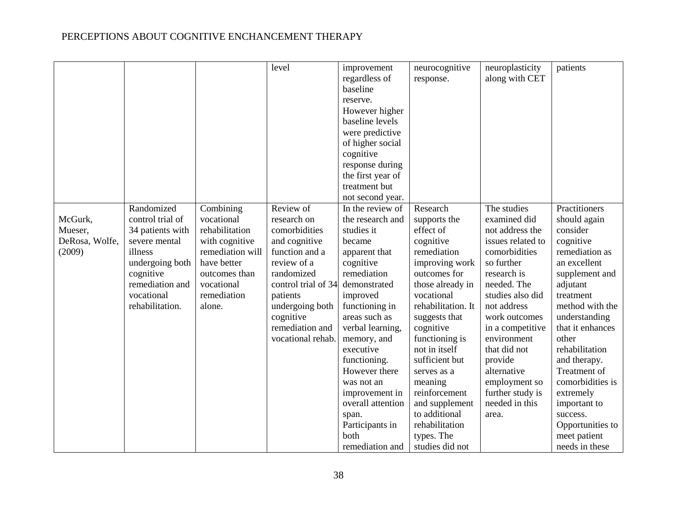|                |                  |                  | level               | improvement       | neurocognitive     | neuroplasticity   | patients         |
|----------------|------------------|------------------|---------------------|-------------------|--------------------|-------------------|------------------|
|                |                  |                  |                     | regardless of     | response.          | along with CET    |                  |
|                |                  |                  |                     | baseline          |                    |                   |                  |
|                |                  |                  |                     | reserve.          |                    |                   |                  |
|                |                  |                  |                     | However higher    |                    |                   |                  |
|                |                  |                  |                     | baseline levels   |                    |                   |                  |
|                |                  |                  |                     |                   |                    |                   |                  |
|                |                  |                  |                     | were predictive   |                    |                   |                  |
|                |                  |                  |                     | of higher social  |                    |                   |                  |
|                |                  |                  |                     | cognitive         |                    |                   |                  |
|                |                  |                  |                     | response during   |                    |                   |                  |
|                |                  |                  |                     | the first year of |                    |                   |                  |
|                |                  |                  |                     | treatment but     |                    |                   |                  |
|                |                  |                  |                     | not second year.  |                    |                   |                  |
|                | Randomized       | Combining        | Review of           | In the review of  | Research           | The studies       | Practitioners    |
| McGurk,        | control trial of | vocational       | research on         | the research and  | supports the       | examined did      | should again     |
| Mueser,        | 34 patients with | rehabilitation   | comorbidities       | studies it        | effect of          | not address the   | consider         |
| DeRosa, Wolfe, | severe mental    | with cognitive   | and cognitive       | became            | cognitive          | issues related to | cognitive        |
| (2009)         | illness          | remediation will | function and a      | apparent that     | remediation        | comorbidities     | remediation as   |
|                | undergoing both  | have better      | review of a         | cognitive         | improving work     | so further        | an excellent     |
|                | cognitive        | outcomes than    | randomized          | remediation       | outcomes for       | research is       | supplement and   |
|                | remediation and  | vocational       | control trial of 34 | demonstrated      | those already in   | needed. The       | adjutant         |
|                | vocational       | remediation      | patients            | improved          | vocational         | studies also did  | treatment        |
|                | rehabilitation.  | alone.           | undergoing both     | functioning in    | rehabilitation. It | not address       | method with the  |
|                |                  |                  | cognitive           | areas such as     | suggests that      | work outcomes     | understanding    |
|                |                  |                  | remediation and     | verbal learning,  | cognitive          | in a competitive  | that it enhances |
|                |                  |                  | vocational rehab.   | memory, and       | functioning is     | environment       | other            |
|                |                  |                  |                     | executive         | not in itself      | that did not      | rehabilitation   |
|                |                  |                  |                     |                   | sufficient but     |                   |                  |
|                |                  |                  |                     | functioning.      |                    | provide           | and therapy.     |
|                |                  |                  |                     | However there     | serves as a        | alternative       | Treatment of     |
|                |                  |                  |                     | was not an        | meaning            | employment so     | comorbidities is |
|                |                  |                  |                     | improvement in    | reinforcement      | further study is  | extremely        |
|                |                  |                  |                     | overall attention | and supplement     | needed in this    | important to     |
|                |                  |                  |                     | span.             | to additional      | area.             | success.         |
|                |                  |                  |                     | Participants in   | rehabilitation     |                   | Opportunities to |
|                |                  |                  |                     | both              | types. The         |                   | meet patient     |
|                |                  |                  |                     | remediation and   | studies did not    |                   | needs in these   |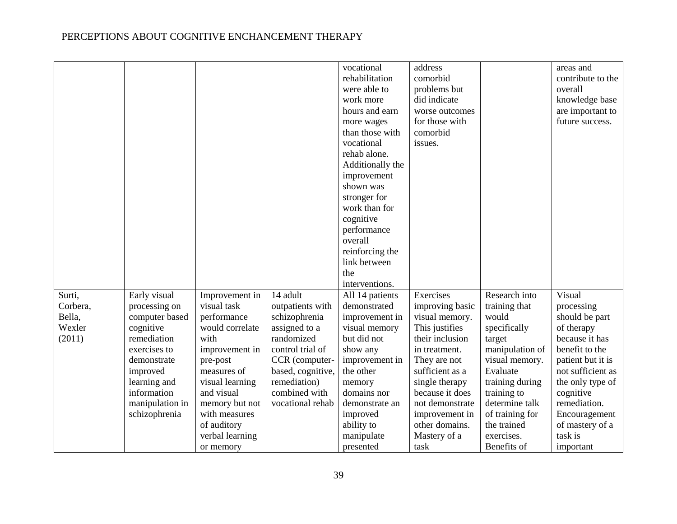|          |                 |                 |                   |                  | address         |                 |                   |
|----------|-----------------|-----------------|-------------------|------------------|-----------------|-----------------|-------------------|
|          |                 |                 |                   | vocational       |                 |                 | areas and         |
|          |                 |                 |                   | rehabilitation   | comorbid        |                 | contribute to the |
|          |                 |                 |                   | were able to     | problems but    |                 | overall           |
|          |                 |                 |                   | work more        | did indicate    |                 | knowledge base    |
|          |                 |                 |                   | hours and earn   | worse outcomes  |                 | are important to  |
|          |                 |                 |                   | more wages       | for those with  |                 | future success.   |
|          |                 |                 |                   | than those with  | comorbid        |                 |                   |
|          |                 |                 |                   | vocational       | issues.         |                 |                   |
|          |                 |                 |                   | rehab alone.     |                 |                 |                   |
|          |                 |                 |                   | Additionally the |                 |                 |                   |
|          |                 |                 |                   | improvement      |                 |                 |                   |
|          |                 |                 |                   | shown was        |                 |                 |                   |
|          |                 |                 |                   | stronger for     |                 |                 |                   |
|          |                 |                 |                   | work than for    |                 |                 |                   |
|          |                 |                 |                   | cognitive        |                 |                 |                   |
|          |                 |                 |                   | performance      |                 |                 |                   |
|          |                 |                 |                   | overall          |                 |                 |                   |
|          |                 |                 |                   | reinforcing the  |                 |                 |                   |
|          |                 |                 |                   | link between     |                 |                 |                   |
|          |                 |                 |                   | the              |                 |                 |                   |
|          |                 |                 |                   | interventions.   |                 |                 |                   |
| Surti,   | Early visual    | Improvement in  | 14 adult          | All 14 patients  | Exercises       | Research into   | Visual            |
| Corbera, | processing on   | visual task     | outpatients with  | demonstrated     | improving basic | training that   | processing        |
| Bella,   | computer based  | performance     | schizophrenia     | improvement in   | visual memory.  | would           | should be part    |
| Wexler   | cognitive       | would correlate | assigned to a     | visual memory    | This justifies  | specifically    | of therapy        |
| (2011)   | remediation     | with            | randomized        | but did not      | their inclusion | target          | because it has    |
|          | exercises to    | improvement in  | control trial of  | show any         | in treatment.   | manipulation of | benefit to the    |
|          | demonstrate     | pre-post        | CCR (computer-    | improvement in   | They are not    | visual memory.  | patient but it is |
|          | improved        | measures of     | based, cognitive, | the other        | sufficient as a | Evaluate        | not sufficient as |
|          | learning and    | visual learning | remediation)      | memory           | single therapy  | training during | the only type of  |
|          | information     | and visual      | combined with     | domains nor      | because it does | training to     | cognitive         |
|          | manipulation in | memory but not  | vocational rehab  | demonstrate an   | not demonstrate | determine talk  | remediation.      |
|          | schizophrenia   | with measures   |                   | improved         | improvement in  | of training for | Encouragement     |
|          |                 | of auditory     |                   | ability to       | other domains.  | the trained     | of mastery of a   |
|          |                 |                 |                   |                  |                 | exercises.      | task is           |
|          |                 | verbal learning |                   | manipulate       | Mastery of a    |                 |                   |
|          |                 | or memory       |                   | presented        | task            | Benefits of     | important         |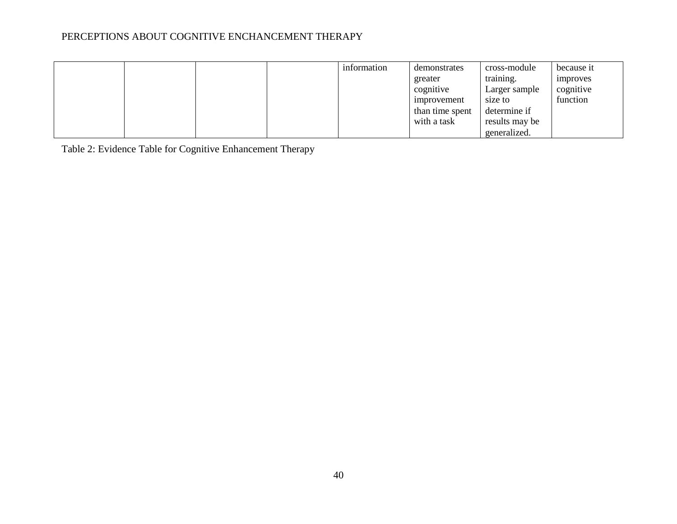|  |  | information | demonstrates    | cross-module   | because it      |
|--|--|-------------|-----------------|----------------|-----------------|
|  |  |             | greater         | training.      | <i>improves</i> |
|  |  |             | cognitive       | Larger sample  | cognitive       |
|  |  |             | improvement     | size to        | function        |
|  |  |             | than time spent | determine if   |                 |
|  |  |             | with a task     | results may be |                 |
|  |  |             |                 | generalized.   |                 |

Table 2: Evidence Table for Cognitive Enhancement Therapy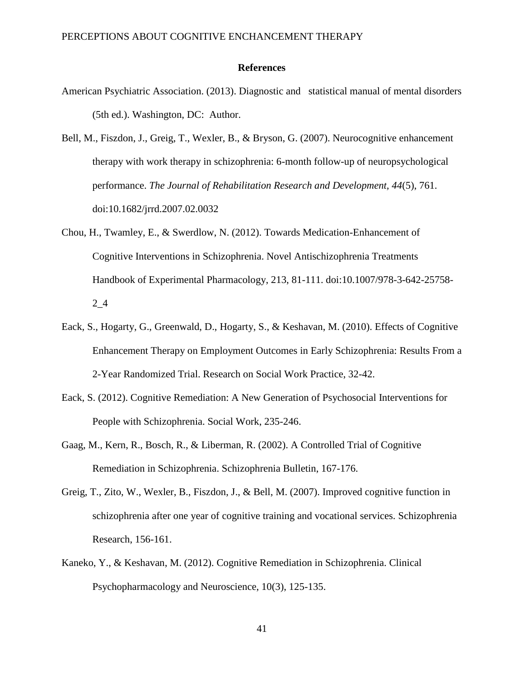#### **References**

- American Psychiatric Association. (2013). Diagnostic and statistical manual of mental disorders (5th ed.). Washington, DC: Author.
- Bell, M., Fiszdon, J., Greig, T., Wexler, B., & Bryson, G. (2007). Neurocognitive enhancement therapy with work therapy in schizophrenia: 6-month follow-up of neuropsychological performance. *The Journal of Rehabilitation Research and Development, 44*(5), 761. doi:10.1682/jrrd.2007.02.0032
- Chou, H., Twamley, E., & Swerdlow, N. (2012). Towards Medication-Enhancement of Cognitive Interventions in Schizophrenia. Novel Antischizophrenia Treatments Handbook of Experimental Pharmacology, 213, 81-111. doi:10.1007/978-3-642-25758- 2\_4
- Eack, S., Hogarty, G., Greenwald, D., Hogarty, S., & Keshavan, M. (2010). Effects of Cognitive Enhancement Therapy on Employment Outcomes in Early Schizophrenia: Results From a 2-Year Randomized Trial. Research on Social Work Practice, 32-42.
- Eack, S. (2012). Cognitive Remediation: A New Generation of Psychosocial Interventions for People with Schizophrenia. Social Work, 235-246.
- Gaag, M., Kern, R., Bosch, R., & Liberman, R. (2002). A Controlled Trial of Cognitive Remediation in Schizophrenia. Schizophrenia Bulletin, 167-176.
- Greig, T., Zito, W., Wexler, B., Fiszdon, J., & Bell, M. (2007). Improved cognitive function in schizophrenia after one year of cognitive training and vocational services. Schizophrenia Research, 156-161.
- Kaneko, Y., & Keshavan, M. (2012). Cognitive Remediation in Schizophrenia. Clinical Psychopharmacology and Neuroscience, 10(3), 125-135.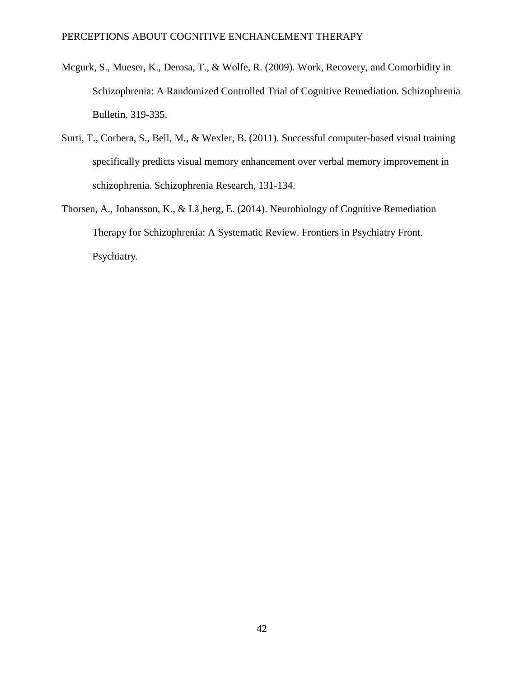- Mcgurk, S., Mueser, K., Derosa, T., & Wolfe, R. (2009). Work, Recovery, and Comorbidity in Schizophrenia: A Randomized Controlled Trial of Cognitive Remediation. Schizophrenia Bulletin, 319-335.
- Surti, T., Corbera, S., Bell, M., & Wexler, B. (2011). Successful computer-based visual training specifically predicts visual memory enhancement over verbal memory improvement in schizophrenia. Schizophrenia Research, 131-134.
- Thorsen, A., Johansson, K., & Lã¸berg, E. (2014). Neurobiology of Cognitive Remediation Therapy for Schizophrenia: A Systematic Review. Frontiers in Psychiatry Front. Psychiatry.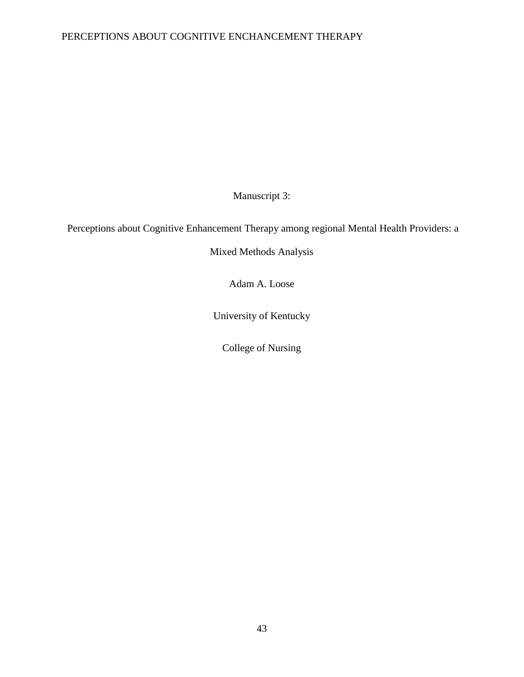Manuscript 3:

Perceptions about Cognitive Enhancement Therapy among regional Mental Health Providers: a

Mixed Methods Analysis

Adam A. Loose

University of Kentucky

College of Nursing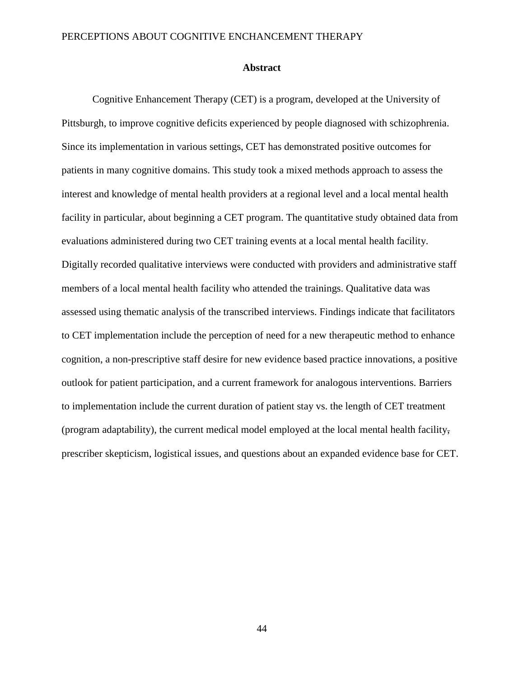#### **Abstract**

Cognitive Enhancement Therapy (CET) is a program, developed at the University of Pittsburgh, to improve cognitive deficits experienced by people diagnosed with schizophrenia. Since its implementation in various settings, CET has demonstrated positive outcomes for patients in many cognitive domains. This study took a mixed methods approach to assess the interest and knowledge of mental health providers at a regional level and a local mental health facility in particular, about beginning a CET program. The quantitative study obtained data from evaluations administered during two CET training events at a local mental health facility. Digitally recorded qualitative interviews were conducted with providers and administrative staff members of a local mental health facility who attended the trainings. Qualitative data was assessed using thematic analysis of the transcribed interviews. Findings indicate that facilitators to CET implementation include the perception of need for a new therapeutic method to enhance cognition, a non-prescriptive staff desire for new evidence based practice innovations, a positive outlook for patient participation, and a current framework for analogous interventions. Barriers to implementation include the current duration of patient stay vs. the length of CET treatment (program adaptability), the current medical model employed at the local mental health facility, prescriber skepticism, logistical issues, and questions about an expanded evidence base for CET.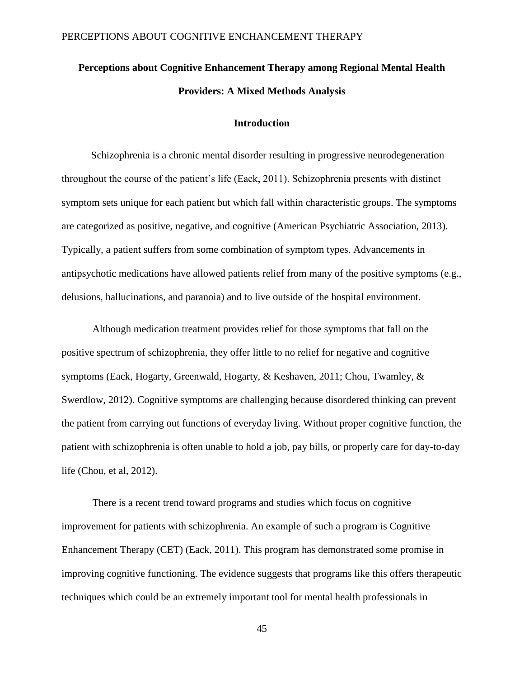# **Perceptions about Cognitive Enhancement Therapy among Regional Mental Health Providers: A Mixed Methods Analysis**

#### **Introduction**

Schizophrenia is a chronic mental disorder resulting in progressive neurodegeneration throughout the course of the patient's life (Eack, 2011). Schizophrenia presents with distinct symptom sets unique for each patient but which fall within characteristic groups. The symptoms are categorized as positive, negative, and cognitive (American Psychiatric Association, 2013). Typically, a patient suffers from some combination of symptom types. Advancements in antipsychotic medications have allowed patients relief from many of the positive symptoms (e.g., delusions, hallucinations, and paranoia) and to live outside of the hospital environment.

Although medication treatment provides relief for those symptoms that fall on the positive spectrum of schizophrenia, they offer little to no relief for negative and cognitive symptoms (Eack, Hogarty, Greenwald, Hogarty, & Keshaven, 2011; Chou, Twamley, & Swerdlow, 2012). Cognitive symptoms are challenging because disordered thinking can prevent the patient from carrying out functions of everyday living. Without proper cognitive function, the patient with schizophrenia is often unable to hold a job, pay bills, or properly care for day-to-day life (Chou, et al, 2012).

There is a recent trend toward programs and studies which focus on cognitive improvement for patients with schizophrenia. An example of such a program is Cognitive Enhancement Therapy (CET) (Eack, 2011). This program has demonstrated some promise in improving cognitive functioning. The evidence suggests that programs like this offers therapeutic techniques which could be an extremely important tool for mental health professionals in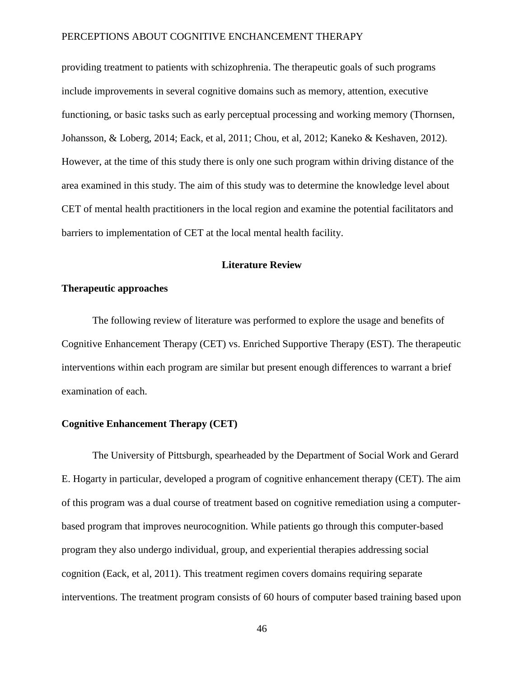providing treatment to patients with schizophrenia. The therapeutic goals of such programs include improvements in several cognitive domains such as memory, attention, executive functioning, or basic tasks such as early perceptual processing and working memory (Thornsen, Johansson, & Loberg, 2014; Eack, et al, 2011; Chou, et al, 2012; Kaneko & Keshaven, 2012). However, at the time of this study there is only one such program within driving distance of the area examined in this study. The aim of this study was to determine the knowledge level about CET of mental health practitioners in the local region and examine the potential facilitators and barriers to implementation of CET at the local mental health facility.

# **Literature Review**

# **Therapeutic approaches**

The following review of literature was performed to explore the usage and benefits of Cognitive Enhancement Therapy (CET) vs. Enriched Supportive Therapy (EST). The therapeutic interventions within each program are similar but present enough differences to warrant a brief examination of each.

## **Cognitive Enhancement Therapy (CET)**

The University of Pittsburgh, spearheaded by the Department of Social Work and Gerard E. Hogarty in particular, developed a program of cognitive enhancement therapy (CET). The aim of this program was a dual course of treatment based on cognitive remediation using a computerbased program that improves neurocognition. While patients go through this computer-based program they also undergo individual, group, and experiential therapies addressing social cognition (Eack, et al, 2011). This treatment regimen covers domains requiring separate interventions. The treatment program consists of 60 hours of computer based training based upon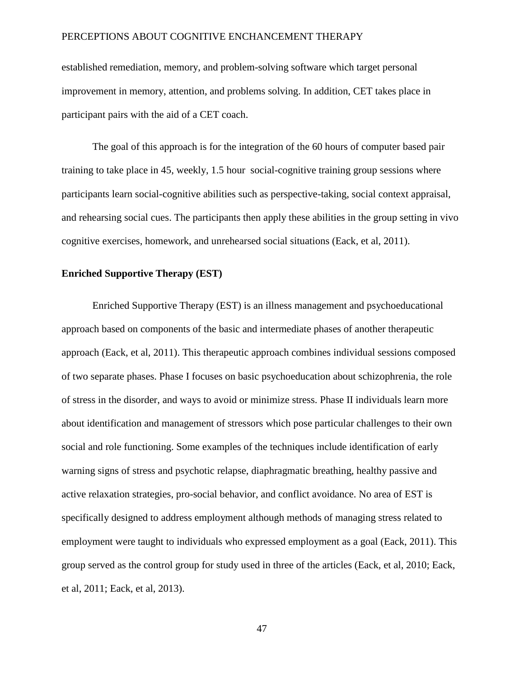established remediation, memory, and problem-solving software which target personal improvement in memory, attention, and problems solving. In addition, CET takes place in participant pairs with the aid of a CET coach.

The goal of this approach is for the integration of the 60 hours of computer based pair training to take place in 45, weekly, 1.5 hour social-cognitive training group sessions where participants learn social-cognitive abilities such as perspective-taking, social context appraisal, and rehearsing social cues. The participants then apply these abilities in the group setting in vivo cognitive exercises, homework, and unrehearsed social situations (Eack, et al, 2011).

## **Enriched Supportive Therapy (EST)**

Enriched Supportive Therapy (EST) is an illness management and psychoeducational approach based on components of the basic and intermediate phases of another therapeutic approach (Eack, et al, 2011). This therapeutic approach combines individual sessions composed of two separate phases. Phase I focuses on basic psychoeducation about schizophrenia, the role of stress in the disorder, and ways to avoid or minimize stress. Phase II individuals learn more about identification and management of stressors which pose particular challenges to their own social and role functioning. Some examples of the techniques include identification of early warning signs of stress and psychotic relapse, diaphragmatic breathing, healthy passive and active relaxation strategies, pro-social behavior, and conflict avoidance. No area of EST is specifically designed to address employment although methods of managing stress related to employment were taught to individuals who expressed employment as a goal (Eack, 2011). This group served as the control group for study used in three of the articles (Eack, et al, 2010; Eack, et al, 2011; Eack, et al, 2013).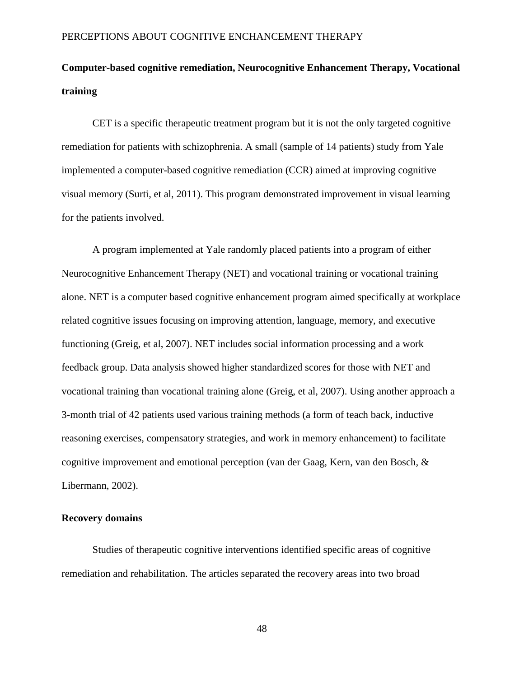# **Computer-based cognitive remediation, Neurocognitive Enhancement Therapy, Vocational training**

CET is a specific therapeutic treatment program but it is not the only targeted cognitive remediation for patients with schizophrenia. A small (sample of 14 patients) study from Yale implemented a computer-based cognitive remediation (CCR) aimed at improving cognitive visual memory (Surti, et al, 2011). This program demonstrated improvement in visual learning for the patients involved.

A program implemented at Yale randomly placed patients into a program of either Neurocognitive Enhancement Therapy (NET) and vocational training or vocational training alone. NET is a computer based cognitive enhancement program aimed specifically at workplace related cognitive issues focusing on improving attention, language, memory, and executive functioning (Greig, et al, 2007). NET includes social information processing and a work feedback group. Data analysis showed higher standardized scores for those with NET and vocational training than vocational training alone (Greig, et al, 2007). Using another approach a 3-month trial of 42 patients used various training methods (a form of teach back, inductive reasoning exercises, compensatory strategies, and work in memory enhancement) to facilitate cognitive improvement and emotional perception (van der Gaag, Kern, van den Bosch, & Libermann, 2002).

# **Recovery domains**

Studies of therapeutic cognitive interventions identified specific areas of cognitive remediation and rehabilitation. The articles separated the recovery areas into two broad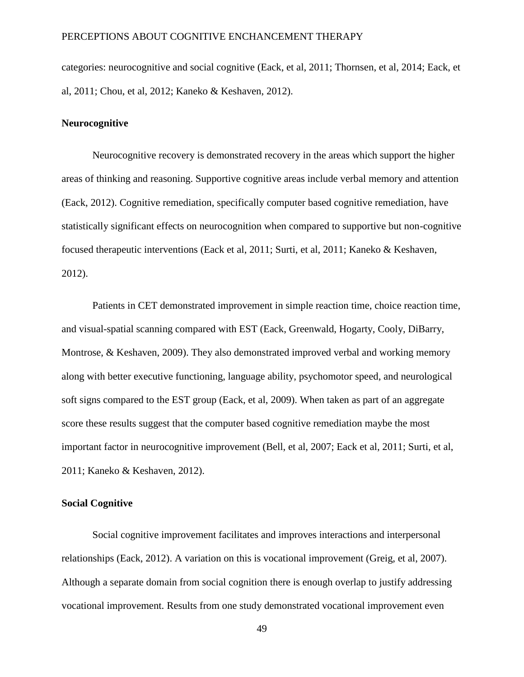categories: neurocognitive and social cognitive (Eack, et al, 2011; Thornsen, et al, 2014; Eack, et al, 2011; Chou, et al, 2012; Kaneko & Keshaven, 2012).

#### **Neurocognitive**

Neurocognitive recovery is demonstrated recovery in the areas which support the higher areas of thinking and reasoning. Supportive cognitive areas include verbal memory and attention (Eack, 2012). Cognitive remediation, specifically computer based cognitive remediation, have statistically significant effects on neurocognition when compared to supportive but non-cognitive focused therapeutic interventions (Eack et al, 2011; Surti, et al, 2011; Kaneko & Keshaven, 2012).

Patients in CET demonstrated improvement in simple reaction time, choice reaction time, and visual-spatial scanning compared with EST (Eack, Greenwald, Hogarty, Cooly, DiBarry, Montrose, & Keshaven, 2009). They also demonstrated improved verbal and working memory along with better executive functioning, language ability, psychomotor speed, and neurological soft signs compared to the EST group (Eack, et al, 2009). When taken as part of an aggregate score these results suggest that the computer based cognitive remediation maybe the most important factor in neurocognitive improvement (Bell, et al, 2007; Eack et al, 2011; Surti, et al, 2011; Kaneko & Keshaven, 2012).

## **Social Cognitive**

Social cognitive improvement facilitates and improves interactions and interpersonal relationships (Eack, 2012). A variation on this is vocational improvement (Greig, et al, 2007). Although a separate domain from social cognition there is enough overlap to justify addressing vocational improvement. Results from one study demonstrated vocational improvement even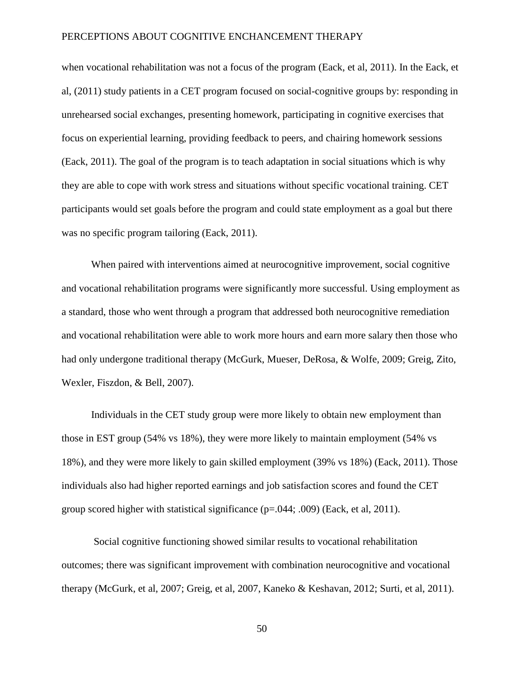when vocational rehabilitation was not a focus of the program (Eack, et al, 2011). In the Eack, et al, (2011) study patients in a CET program focused on social-cognitive groups by: responding in unrehearsed social exchanges, presenting homework, participating in cognitive exercises that focus on experiential learning, providing feedback to peers, and chairing homework sessions (Eack, 2011). The goal of the program is to teach adaptation in social situations which is why they are able to cope with work stress and situations without specific vocational training. CET participants would set goals before the program and could state employment as a goal but there was no specific program tailoring (Eack, 2011).

When paired with interventions aimed at neurocognitive improvement, social cognitive and vocational rehabilitation programs were significantly more successful. Using employment as a standard, those who went through a program that addressed both neurocognitive remediation and vocational rehabilitation were able to work more hours and earn more salary then those who had only undergone traditional therapy (McGurk, Mueser, DeRosa, & Wolfe, 2009; Greig, Zito, Wexler, Fiszdon, & Bell, 2007).

Individuals in the CET study group were more likely to obtain new employment than those in EST group (54% vs 18%), they were more likely to maintain employment (54% vs 18%), and they were more likely to gain skilled employment (39% vs 18%) (Eack, 2011). Those individuals also had higher reported earnings and job satisfaction scores and found the CET group scored higher with statistical significance (p=.044; .009) (Eack, et al, 2011).

Social cognitive functioning showed similar results to vocational rehabilitation outcomes; there was significant improvement with combination neurocognitive and vocational therapy (McGurk, et al, 2007; Greig, et al, 2007, Kaneko & Keshavan, 2012; Surti, et al, 2011).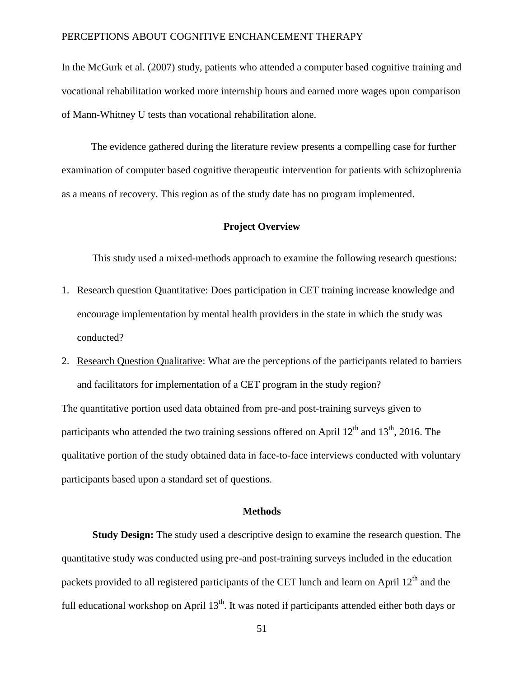In the McGurk et al. (2007) study, patients who attended a computer based cognitive training and vocational rehabilitation worked more internship hours and earned more wages upon comparison of Mann-Whitney U tests than vocational rehabilitation alone.

The evidence gathered during the literature review presents a compelling case for further examination of computer based cognitive therapeutic intervention for patients with schizophrenia as a means of recovery. This region as of the study date has no program implemented.

# **Project Overview**

This study used a mixed-methods approach to examine the following research questions:

- 1. Research question Quantitative: Does participation in CET training increase knowledge and encourage implementation by mental health providers in the state in which the study was conducted?
- 2. Research Question Qualitative: What are the perceptions of the participants related to barriers and facilitators for implementation of a CET program in the study region?

The quantitative portion used data obtained from pre-and post-training surveys given to participants who attended the two training sessions offered on April  $12<sup>th</sup>$  and  $13<sup>th</sup>$ , 2016. The qualitative portion of the study obtained data in face-to-face interviews conducted with voluntary participants based upon a standard set of questions.

#### **Methods**

**Study Design:** The study used a descriptive design to examine the research question. The quantitative study was conducted using pre-and post-training surveys included in the education packets provided to all registered participants of the CET lunch and learn on April 12<sup>th</sup> and the full educational workshop on April  $13<sup>th</sup>$ . It was noted if participants attended either both days or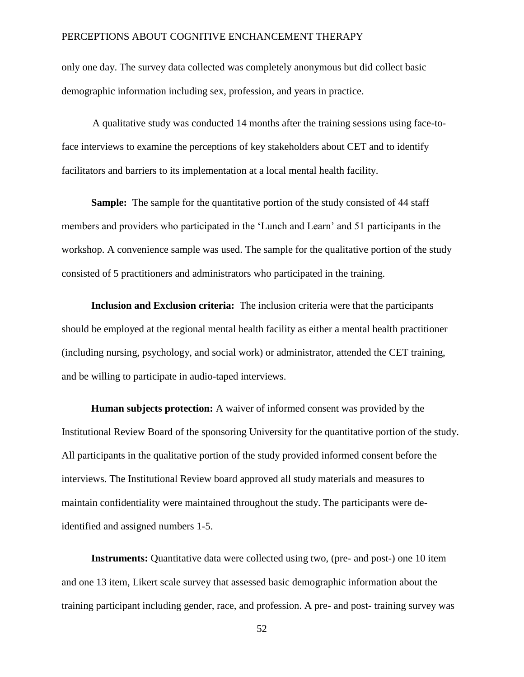only one day. The survey data collected was completely anonymous but did collect basic demographic information including sex, profession, and years in practice.

A qualitative study was conducted 14 months after the training sessions using face-toface interviews to examine the perceptions of key stakeholders about CET and to identify facilitators and barriers to its implementation at a local mental health facility.

**Sample:** The sample for the quantitative portion of the study consisted of 44 staff members and providers who participated in the 'Lunch and Learn' and 51 participants in the workshop. A convenience sample was used. The sample for the qualitative portion of the study consisted of 5 practitioners and administrators who participated in the training.

**Inclusion and Exclusion criteria:** The inclusion criteria were that the participants should be employed at the regional mental health facility as either a mental health practitioner (including nursing, psychology, and social work) or administrator, attended the CET training, and be willing to participate in audio-taped interviews.

**Human subjects protection:** A waiver of informed consent was provided by the Institutional Review Board of the sponsoring University for the quantitative portion of the study. All participants in the qualitative portion of the study provided informed consent before the interviews. The Institutional Review board approved all study materials and measures to maintain confidentiality were maintained throughout the study. The participants were deidentified and assigned numbers 1-5.

**Instruments:** Quantitative data were collected using two, (pre- and post-) one 10 item and one 13 item, Likert scale survey that assessed basic demographic information about the training participant including gender, race, and profession. A pre- and post- training survey was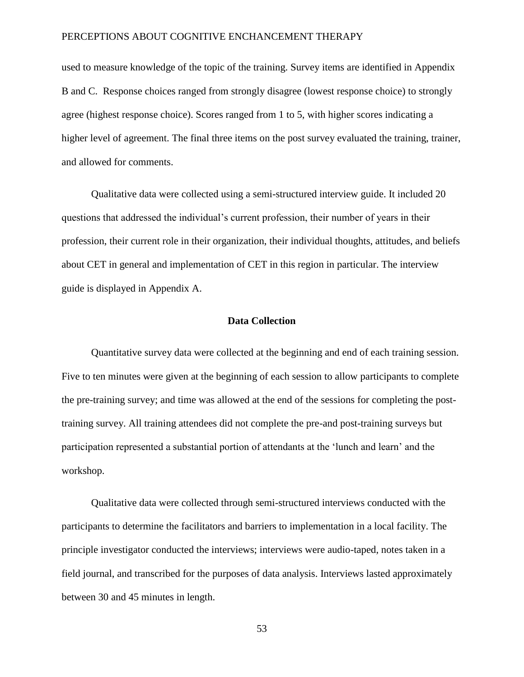used to measure knowledge of the topic of the training. Survey items are identified in Appendix B and C. Response choices ranged from strongly disagree (lowest response choice) to strongly agree (highest response choice). Scores ranged from 1 to 5, with higher scores indicating a higher level of agreement. The final three items on the post survey evaluated the training, trainer, and allowed for comments.

Qualitative data were collected using a semi-structured interview guide. It included 20 questions that addressed the individual's current profession, their number of years in their profession, their current role in their organization, their individual thoughts, attitudes, and beliefs about CET in general and implementation of CET in this region in particular. The interview guide is displayed in Appendix A.

# **Data Collection**

Quantitative survey data were collected at the beginning and end of each training session. Five to ten minutes were given at the beginning of each session to allow participants to complete the pre-training survey; and time was allowed at the end of the sessions for completing the posttraining survey. All training attendees did not complete the pre-and post-training surveys but participation represented a substantial portion of attendants at the 'lunch and learn' and the workshop.

Qualitative data were collected through semi-structured interviews conducted with the participants to determine the facilitators and barriers to implementation in a local facility. The principle investigator conducted the interviews; interviews were audio-taped, notes taken in a field journal, and transcribed for the purposes of data analysis. Interviews lasted approximately between 30 and 45 minutes in length.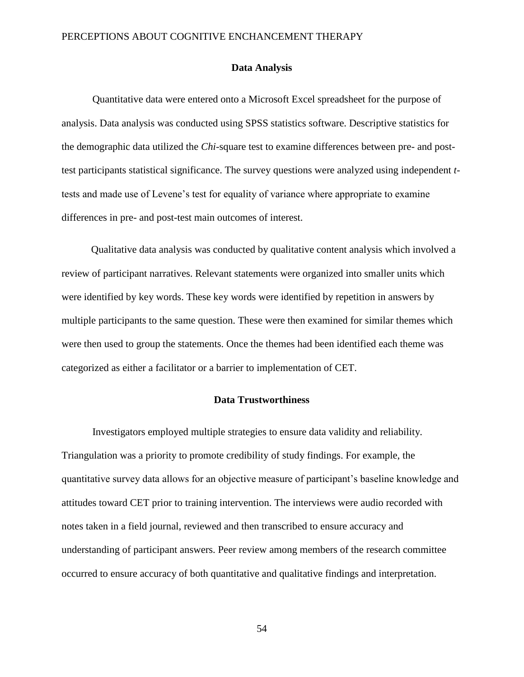### **Data Analysis**

Quantitative data were entered onto a Microsoft Excel spreadsheet for the purpose of analysis. Data analysis was conducted using SPSS statistics software. Descriptive statistics for the demographic data utilized the *Chi*-square test to examine differences between pre- and posttest participants statistical significance. The survey questions were analyzed using independent *t*tests and made use of Levene's test for equality of variance where appropriate to examine differences in pre- and post-test main outcomes of interest.

Qualitative data analysis was conducted by qualitative content analysis which involved a review of participant narratives. Relevant statements were organized into smaller units which were identified by key words. These key words were identified by repetition in answers by multiple participants to the same question. These were then examined for similar themes which were then used to group the statements. Once the themes had been identified each theme was categorized as either a facilitator or a barrier to implementation of CET.

# **Data Trustworthiness**

Investigators employed multiple strategies to ensure data validity and reliability. Triangulation was a priority to promote credibility of study findings. For example, the quantitative survey data allows for an objective measure of participant's baseline knowledge and attitudes toward CET prior to training intervention. The interviews were audio recorded with notes taken in a field journal, reviewed and then transcribed to ensure accuracy and understanding of participant answers. Peer review among members of the research committee occurred to ensure accuracy of both quantitative and qualitative findings and interpretation.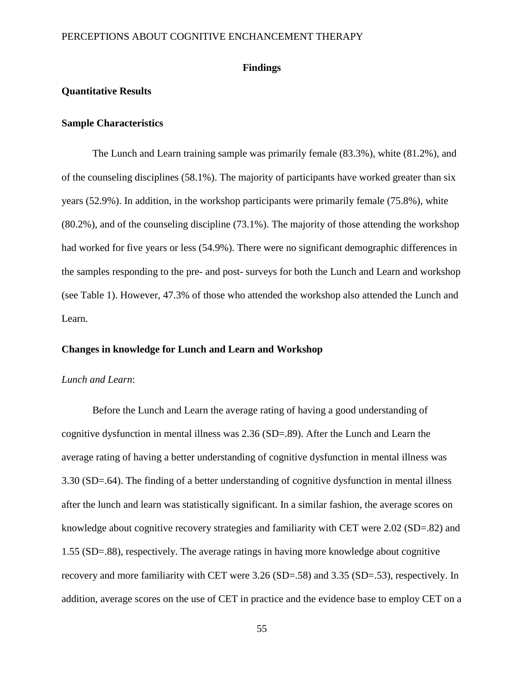### **Findings**

# **Quantitative Results**

## **Sample Characteristics**

The Lunch and Learn training sample was primarily female (83.3%), white (81.2%), and of the counseling disciplines (58.1%). The majority of participants have worked greater than six years (52.9%). In addition, in the workshop participants were primarily female (75.8%), white (80.2%), and of the counseling discipline (73.1%). The majority of those attending the workshop had worked for five years or less (54.9%). There were no significant demographic differences in the samples responding to the pre- and post- surveys for both the Lunch and Learn and workshop (see Table 1). However, 47.3% of those who attended the workshop also attended the Lunch and Learn.

# **Changes in knowledge for Lunch and Learn and Workshop**

#### *Lunch and Learn*:

Before the Lunch and Learn the average rating of having a good understanding of cognitive dysfunction in mental illness was 2.36 (SD=.89). After the Lunch and Learn the average rating of having a better understanding of cognitive dysfunction in mental illness was 3.30 (SD=.64). The finding of a better understanding of cognitive dysfunction in mental illness after the lunch and learn was statistically significant. In a similar fashion, the average scores on knowledge about cognitive recovery strategies and familiarity with CET were 2.02 (SD=.82) and 1.55 (SD=.88), respectively. The average ratings in having more knowledge about cognitive recovery and more familiarity with CET were 3.26 (SD=.58) and 3.35 (SD=.53), respectively. In addition, average scores on the use of CET in practice and the evidence base to employ CET on a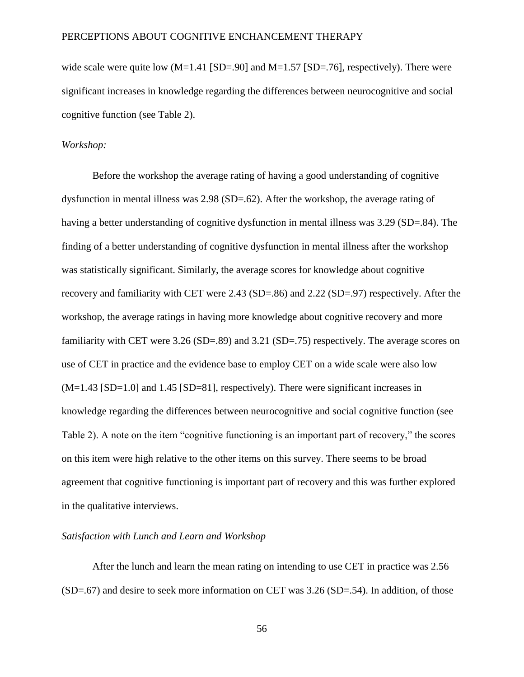wide scale were quite low  $(M=1.41$  [SD=.90] and  $M=1.57$  [SD=.76], respectively). There were significant increases in knowledge regarding the differences between neurocognitive and social cognitive function (see Table 2).

#### *Workshop:*

Before the workshop the average rating of having a good understanding of cognitive dysfunction in mental illness was 2.98 (SD=.62). After the workshop, the average rating of having a better understanding of cognitive dysfunction in mental illness was 3.29 (SD=.84). The finding of a better understanding of cognitive dysfunction in mental illness after the workshop was statistically significant. Similarly, the average scores for knowledge about cognitive recovery and familiarity with CET were 2.43 (SD=.86) and 2.22 (SD=.97) respectively. After the workshop, the average ratings in having more knowledge about cognitive recovery and more familiarity with CET were 3.26 (SD=.89) and 3.21 (SD=.75) respectively. The average scores on use of CET in practice and the evidence base to employ CET on a wide scale were also low (M=1.43 [SD=1.0] and 1.45 [SD=81], respectively). There were significant increases in knowledge regarding the differences between neurocognitive and social cognitive function (see Table 2). A note on the item "cognitive functioning is an important part of recovery," the scores on this item were high relative to the other items on this survey. There seems to be broad agreement that cognitive functioning is important part of recovery and this was further explored in the qualitative interviews.

# *Satisfaction with Lunch and Learn and Workshop*

After the lunch and learn the mean rating on intending to use CET in practice was 2.56 (SD=.67) and desire to seek more information on CET was 3.26 (SD=.54). In addition, of those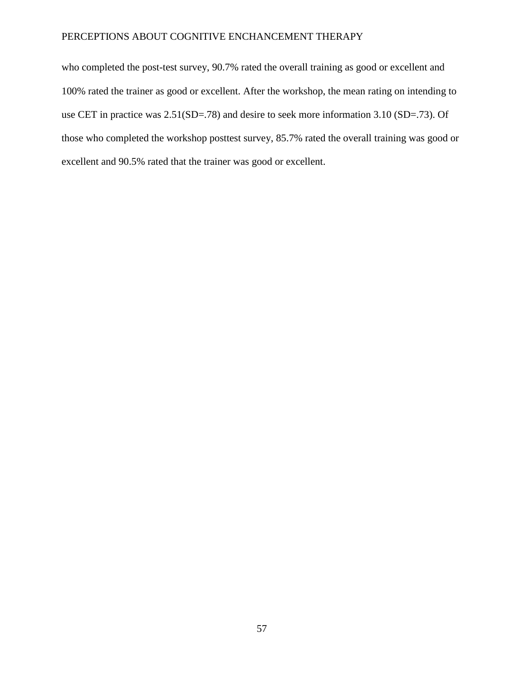who completed the post-test survey, 90.7% rated the overall training as good or excellent and 100% rated the trainer as good or excellent. After the workshop, the mean rating on intending to use CET in practice was 2.51(SD=.78) and desire to seek more information 3.10 (SD=.73). Of those who completed the workshop posttest survey, 85.7% rated the overall training was good or excellent and 90.5% rated that the trainer was good or excellent.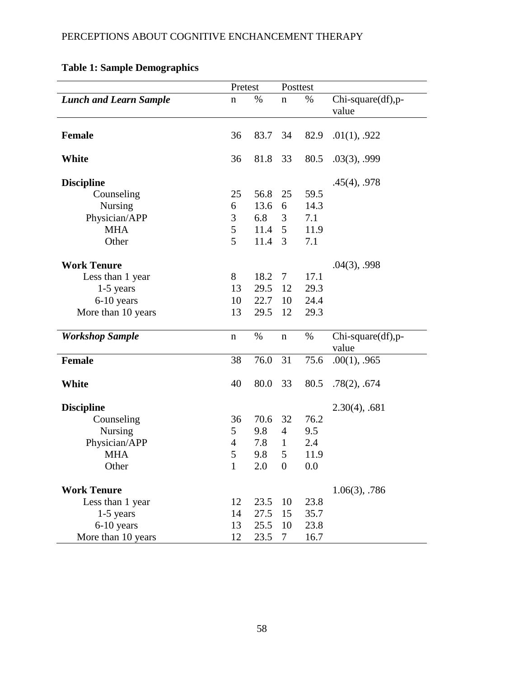|                               | Pretest        |      | Posttest         |      |                            |
|-------------------------------|----------------|------|------------------|------|----------------------------|
| <b>Lunch and Learn Sample</b> | $\mathbf n$    | %    | $\mathbf n$      | $\%$ | Chi-square(df),p-<br>value |
| Female                        | 36             | 83.7 | 34               | 82.9 | .01(1), .922               |
| White                         | 36             | 81.8 | 33               | 80.5 | $.03(3)$ , .999            |
| <b>Discipline</b>             |                |      |                  |      | .45(4), .978               |
| Counseling                    | 25             | 56.8 | 25               | 59.5 |                            |
| <b>Nursing</b>                | 6              | 13.6 | 6                | 14.3 |                            |
| Physician/APP                 | 3              | 6.8  | 3                | 7.1  |                            |
| <b>MHA</b>                    | 5              | 11.4 | 5                | 11.9 |                            |
| Other                         | 5              | 11.4 | 3                | 7.1  |                            |
| <b>Work Tenure</b>            |                |      |                  |      | $.04(3)$ , .998            |
| Less than 1 year              | 8              | 18.2 | 7 <sup>7</sup>   | 17.1 |                            |
| $1-5$ years                   | 13             | 29.5 | 12               | 29.3 |                            |
| 6-10 years                    | 10             | 22.7 | 10               | 24.4 |                            |
| More than 10 years            | 13             | 29.5 | 12               | 29.3 |                            |
| <b>Workshop Sample</b>        | $\mathbf n$    | %    | $\mathbf n$      | $\%$ | Chi-square(df),p-<br>value |
| <b>Female</b>                 | 38             | 76.0 | 31               | 75.6 | $.00(1)$ , .965            |
| White                         | 40             | 80.0 | 33               | 80.5 | .78(2), .674               |
| <b>Discipline</b>             |                |      |                  |      | $2.30(4)$ , .681           |
| Counseling                    | 36             | 70.6 | 32               | 76.2 |                            |
| <b>Nursing</b>                | 5              | 9.8  | $\overline{4}$   | 9.5  |                            |
| Physician/APP                 | $\overline{4}$ | 7.8  | $\mathbf{1}$     | 2.4  |                            |
| <b>MHA</b>                    | 5              | 9.8  | 5                | 11.9 |                            |
| Other                         | $\mathbf{1}$   | 2.0  | $\boldsymbol{0}$ | 0.0  |                            |
| <b>Work Tenure</b>            |                |      |                  |      | $1.06(3)$ , .786           |
| Less than 1 year              | 12             | 23.5 | 10               | 23.8 |                            |
| $1-5$ years                   | 14             | 27.5 | 15               | 35.7 |                            |
| 6-10 years                    | 13             | 25.5 | 10               | 23.8 |                            |
| More than 10 years            | 12             | 23.5 | $\tau$           | 16.7 |                            |

# **Table 1: Sample Demographics**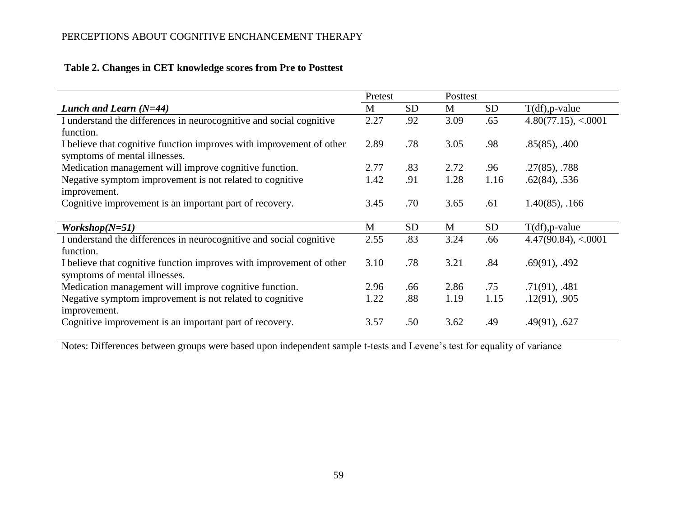|                                                                      | Pretest |           | Posttest |           |                        |
|----------------------------------------------------------------------|---------|-----------|----------|-----------|------------------------|
| Lunch and Learn $(N=44)$                                             | M       | <b>SD</b> | M        | <b>SD</b> | $T(df)$ , p-value      |
| I understand the differences in neurocognitive and social cognitive  | 2.27    | .92       | 3.09     | .65       | 4.80(77.15), < 0.0001  |
| function.                                                            |         |           |          |           |                        |
| I believe that cognitive function improves with improvement of other | 2.89    | .78       | 3.05     | .98       | $.85(85)$ , $.400$     |
| symptoms of mental illnesses.                                        |         |           |          |           |                        |
| Medication management will improve cognitive function.               | 2.77    | .83       | 2.72     | .96       | $.27(85)$ , $.788$     |
| Negative symptom improvement is not related to cognitive             | 1.42    | .91       | 1.28     | 1.16      | $.62(84)$ , $.536$     |
| improvement.                                                         |         |           |          |           |                        |
| Cognitive improvement is an important part of recovery.              | 3.45    | .70       | 3.65     | .61       | $1.40(85)$ , .166      |
|                                                                      |         |           |          |           |                        |
| $Workshop(N=51)$                                                     | M       | <b>SD</b> | M        | <b>SD</b> | $T(df)$ , p-value      |
| I understand the differences in neurocognitive and social cognitive  | 2.55    | .83       | 3.24     | .66       | $4.47(90.84)$ , <.0001 |
| function.                                                            |         |           |          |           |                        |
| I believe that cognitive function improves with improvement of other | 3.10    | .78       | 3.21     | .84       | $.69(91)$ , $.492$     |
| symptoms of mental illnesses.                                        |         |           |          |           |                        |
| Medication management will improve cognitive function.               | 2.96    | .66       | 2.86     | .75       | $.71(91)$ , $.481$     |
| Negative symptom improvement is not related to cognitive             | 1.22    | .88       | 1.19     | 1.15      | .12(91), .905          |
| improvement.                                                         |         |           |          |           |                        |
| Cognitive improvement is an important part of recovery.              | 3.57    | .50       | 3.62     | .49       | .49(91), .627          |

# **Table 2. Changes in CET knowledge scores from Pre to Posttest**

Notes: Differences between groups were based upon independent sample t-tests and Levene's test for equality of variance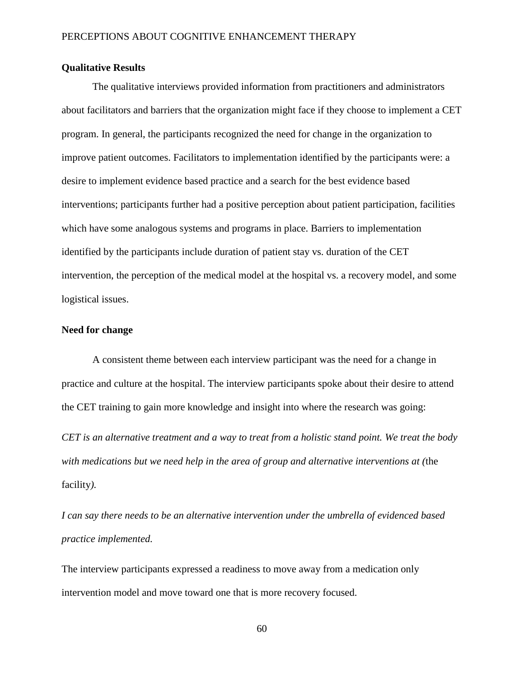# **Qualitative Results**

The qualitative interviews provided information from practitioners and administrators about facilitators and barriers that the organization might face if they choose to implement a CET program. In general, the participants recognized the need for change in the organization to improve patient outcomes. Facilitators to implementation identified by the participants were: a desire to implement evidence based practice and a search for the best evidence based interventions; participants further had a positive perception about patient participation, facilities which have some analogous systems and programs in place. Barriers to implementation identified by the participants include duration of patient stay vs. duration of the CET intervention, the perception of the medical model at the hospital vs. a recovery model, and some logistical issues.

## **Need for change**

A consistent theme between each interview participant was the need for a change in practice and culture at the hospital. The interview participants spoke about their desire to attend the CET training to gain more knowledge and insight into where the research was going:

*CET is an alternative treatment and a way to treat from a holistic stand point. We treat the body with medications but we need help in the area of group and alternative interventions at (*the facility*).*

*I can say there needs to be an alternative intervention under the umbrella of evidenced based practice implemented.*

The interview participants expressed a readiness to move away from a medication only intervention model and move toward one that is more recovery focused.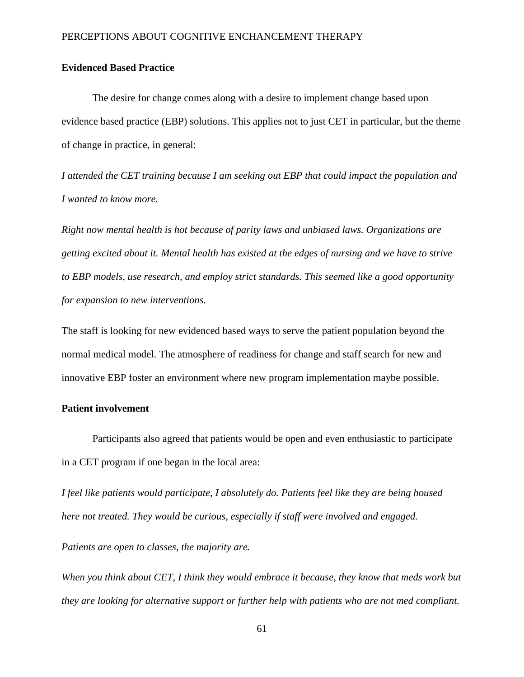# **Evidenced Based Practice**

The desire for change comes along with a desire to implement change based upon evidence based practice (EBP) solutions. This applies not to just CET in particular, but the theme of change in practice, in general:

*I attended the CET training because I am seeking out EBP that could impact the population and I wanted to know more.* 

*Right now mental health is hot because of parity laws and unbiased laws. Organizations are getting excited about it. Mental health has existed at the edges of nursing and we have to strive to EBP models, use research, and employ strict standards. This seemed like a good opportunity for expansion to new interventions.*

The staff is looking for new evidenced based ways to serve the patient population beyond the normal medical model. The atmosphere of readiness for change and staff search for new and innovative EBP foster an environment where new program implementation maybe possible.

## **Patient involvement**

Participants also agreed that patients would be open and even enthusiastic to participate in a CET program if one began in the local area:

*I feel like patients would participate, I absolutely do. Patients feel like they are being housed here not treated. They would be curious, especially if staff were involved and engaged.* 

*Patients are open to classes, the majority are.* 

*When you think about CET, I think they would embrace it because, they know that meds work but they are looking for alternative support or further help with patients who are not med compliant.*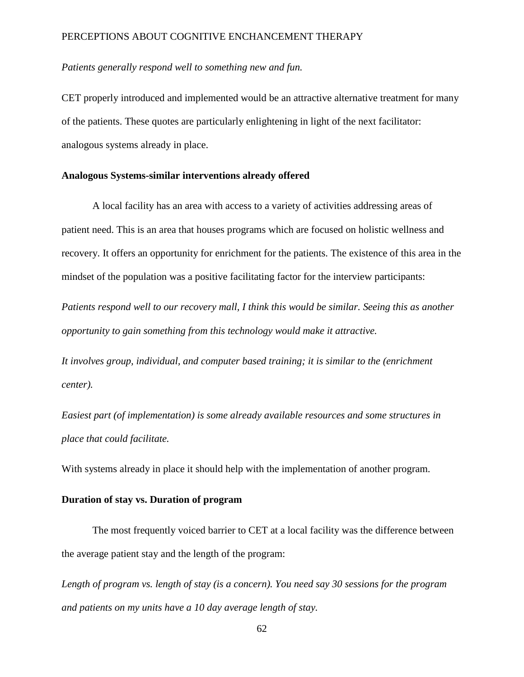# *Patients generally respond well to something new and fun.*

CET properly introduced and implemented would be an attractive alternative treatment for many of the patients. These quotes are particularly enlightening in light of the next facilitator: analogous systems already in place.

# **Analogous Systems-similar interventions already offered**

A local facility has an area with access to a variety of activities addressing areas of patient need. This is an area that houses programs which are focused on holistic wellness and recovery. It offers an opportunity for enrichment for the patients. The existence of this area in the mindset of the population was a positive facilitating factor for the interview participants:

*Patients respond well to our recovery mall, I think this would be similar. Seeing this as another opportunity to gain something from this technology would make it attractive.* 

*It involves group, individual, and computer based training; it is similar to the (enrichment center).*

*Easiest part (of implementation) is some already available resources and some structures in place that could facilitate.* 

With systems already in place it should help with the implementation of another program.

# **Duration of stay vs. Duration of program**

The most frequently voiced barrier to CET at a local facility was the difference between the average patient stay and the length of the program:

*Length of program vs. length of stay (is a concern). You need say 30 sessions for the program and patients on my units have a 10 day average length of stay.*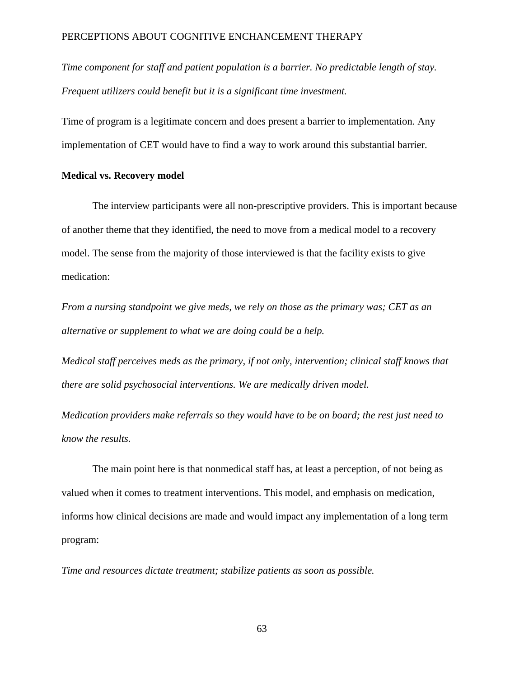*Time component for staff and patient population is a barrier. No predictable length of stay. Frequent utilizers could benefit but it is a significant time investment.*

Time of program is a legitimate concern and does present a barrier to implementation. Any implementation of CET would have to find a way to work around this substantial barrier.

# **Medical vs. Recovery model**

The interview participants were all non-prescriptive providers. This is important because of another theme that they identified, the need to move from a medical model to a recovery model. The sense from the majority of those interviewed is that the facility exists to give medication:

*From a nursing standpoint we give meds, we rely on those as the primary was; CET as an alternative or supplement to what we are doing could be a help.*

*Medical staff perceives meds as the primary, if not only, intervention; clinical staff knows that there are solid psychosocial interventions. We are medically driven model.* 

*Medication providers make referrals so they would have to be on board; the rest just need to know the results.*

The main point here is that nonmedical staff has, at least a perception, of not being as valued when it comes to treatment interventions. This model, and emphasis on medication, informs how clinical decisions are made and would impact any implementation of a long term program:

*Time and resources dictate treatment; stabilize patients as soon as possible.*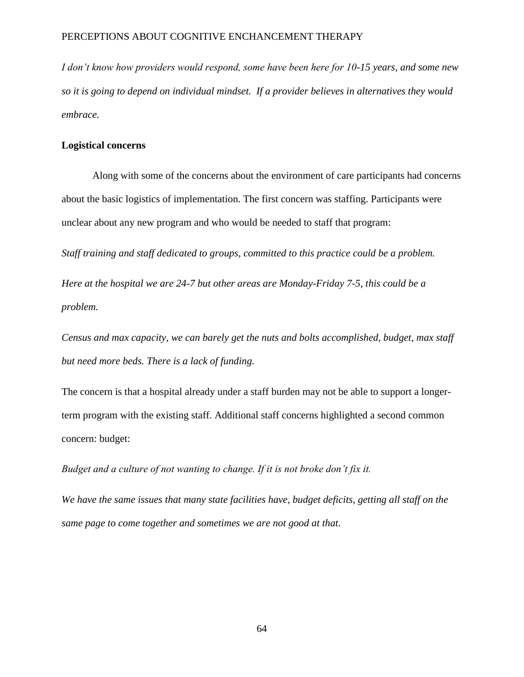*I don't know how providers would respond, some have been here for 10-15 years, and some new so it is going to depend on individual mindset. If a provider believes in alternatives they would embrace.*

## **Logistical concerns**

Along with some of the concerns about the environment of care participants had concerns about the basic logistics of implementation. The first concern was staffing. Participants were unclear about any new program and who would be needed to staff that program:

*Staff training and staff dedicated to groups, committed to this practice could be a problem.*

*Here at the hospital we are 24-7 but other areas are Monday-Friday 7-5, this could be a problem.*

*Census and max capacity, we can barely get the nuts and bolts accomplished, budget, max staff but need more beds. There is a lack of funding.* 

The concern is that a hospital already under a staff burden may not be able to support a longerterm program with the existing staff. Additional staff concerns highlighted a second common concern: budget:

*Budget and a culture of not wanting to change. If it is not broke don't fix it.*

*We have the same issues that many state facilities have, budget deficits, getting all staff on the same page to come together and sometimes we are not good at that.*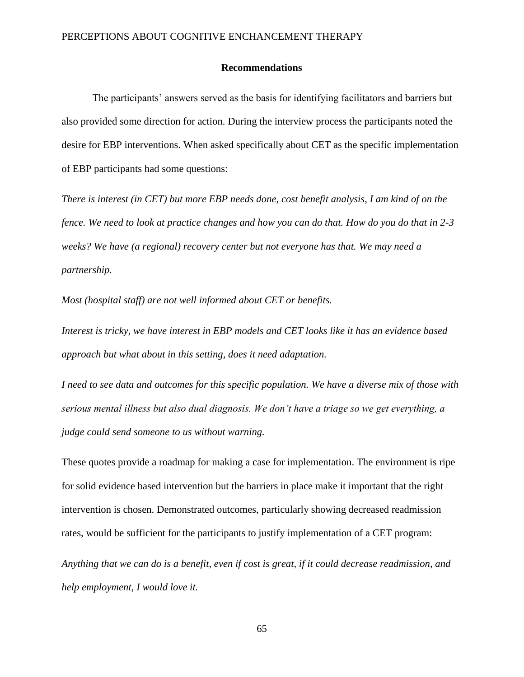#### **Recommendations**

The participants' answers served as the basis for identifying facilitators and barriers but also provided some direction for action. During the interview process the participants noted the desire for EBP interventions. When asked specifically about CET as the specific implementation of EBP participants had some questions:

*There is interest (in CET) but more EBP needs done, cost benefit analysis, I am kind of on the fence. We need to look at practice changes and how you can do that. How do you do that in 2-3 weeks? We have (a regional) recovery center but not everyone has that. We may need a partnership.* 

*Most (hospital staff) are not well informed about CET or benefits.*

*Interest is tricky, we have interest in EBP models and CET looks like it has an evidence based approach but what about in this setting, does it need adaptation.*

*I need to see data and outcomes for this specific population. We have a diverse mix of those with serious mental illness but also dual diagnosis. We don't have a triage so we get everything, a judge could send someone to us without warning.* 

These quotes provide a roadmap for making a case for implementation. The environment is ripe for solid evidence based intervention but the barriers in place make it important that the right intervention is chosen. Demonstrated outcomes, particularly showing decreased readmission rates, would be sufficient for the participants to justify implementation of a CET program:

*Anything that we can do is a benefit, even if cost is great, if it could decrease readmission, and help employment, I would love it.*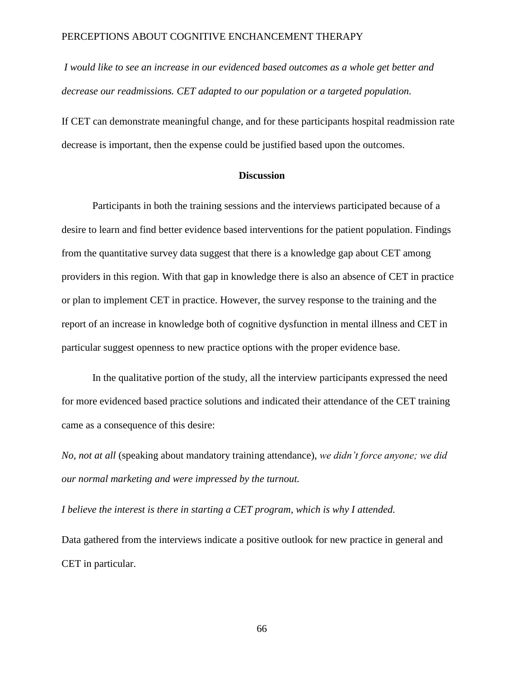*I would like to see an increase in our evidenced based outcomes as a whole get better and decrease our readmissions. CET adapted to our population or a targeted population.* 

If CET can demonstrate meaningful change, and for these participants hospital readmission rate decrease is important, then the expense could be justified based upon the outcomes.

# **Discussion**

Participants in both the training sessions and the interviews participated because of a desire to learn and find better evidence based interventions for the patient population. Findings from the quantitative survey data suggest that there is a knowledge gap about CET among providers in this region. With that gap in knowledge there is also an absence of CET in practice or plan to implement CET in practice. However, the survey response to the training and the report of an increase in knowledge both of cognitive dysfunction in mental illness and CET in particular suggest openness to new practice options with the proper evidence base.

In the qualitative portion of the study, all the interview participants expressed the need for more evidenced based practice solutions and indicated their attendance of the CET training came as a consequence of this desire:

*No, not at all* (speaking about mandatory training attendance), *we didn't force anyone; we did our normal marketing and were impressed by the turnout.* 

*I believe the interest is there in starting a CET program, which is why I attended.*

Data gathered from the interviews indicate a positive outlook for new practice in general and CET in particular.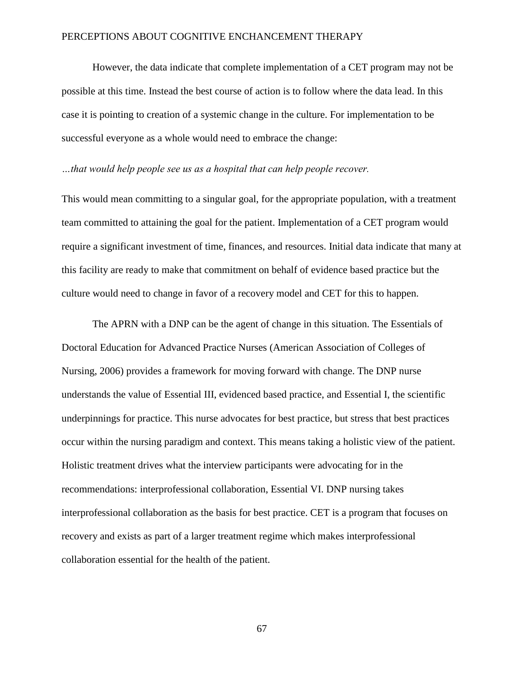However, the data indicate that complete implementation of a CET program may not be possible at this time. Instead the best course of action is to follow where the data lead. In this case it is pointing to creation of a systemic change in the culture. For implementation to be successful everyone as a whole would need to embrace the change:

#### *…that would help people see us as a hospital that can help people recover.*

This would mean committing to a singular goal, for the appropriate population, with a treatment team committed to attaining the goal for the patient. Implementation of a CET program would require a significant investment of time, finances, and resources. Initial data indicate that many at this facility are ready to make that commitment on behalf of evidence based practice but the culture would need to change in favor of a recovery model and CET for this to happen.

The APRN with a DNP can be the agent of change in this situation. The Essentials of Doctoral Education for Advanced Practice Nurses (American Association of Colleges of Nursing, 2006) provides a framework for moving forward with change. The DNP nurse understands the value of Essential III, evidenced based practice, and Essential I, the scientific underpinnings for practice. This nurse advocates for best practice, but stress that best practices occur within the nursing paradigm and context. This means taking a holistic view of the patient. Holistic treatment drives what the interview participants were advocating for in the recommendations: interprofessional collaboration, Essential VI. DNP nursing takes interprofessional collaboration as the basis for best practice. CET is a program that focuses on recovery and exists as part of a larger treatment regime which makes interprofessional collaboration essential for the health of the patient.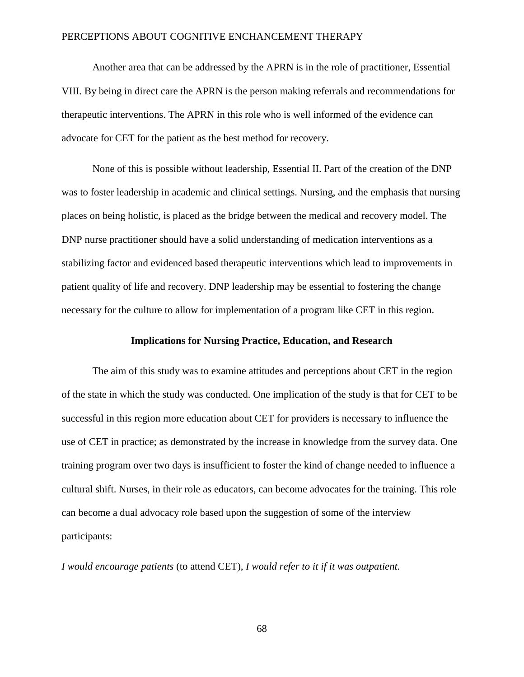Another area that can be addressed by the APRN is in the role of practitioner, Essential VIII. By being in direct care the APRN is the person making referrals and recommendations for therapeutic interventions. The APRN in this role who is well informed of the evidence can advocate for CET for the patient as the best method for recovery.

None of this is possible without leadership, Essential II. Part of the creation of the DNP was to foster leadership in academic and clinical settings. Nursing, and the emphasis that nursing places on being holistic, is placed as the bridge between the medical and recovery model. The DNP nurse practitioner should have a solid understanding of medication interventions as a stabilizing factor and evidenced based therapeutic interventions which lead to improvements in patient quality of life and recovery. DNP leadership may be essential to fostering the change necessary for the culture to allow for implementation of a program like CET in this region.

#### **Implications for Nursing Practice, Education, and Research**

The aim of this study was to examine attitudes and perceptions about CET in the region of the state in which the study was conducted. One implication of the study is that for CET to be successful in this region more education about CET for providers is necessary to influence the use of CET in practice; as demonstrated by the increase in knowledge from the survey data. One training program over two days is insufficient to foster the kind of change needed to influence a cultural shift. Nurses, in their role as educators, can become advocates for the training. This role can become a dual advocacy role based upon the suggestion of some of the interview participants:

*I would encourage patients* (to attend CET)*, I would refer to it if it was outpatient.*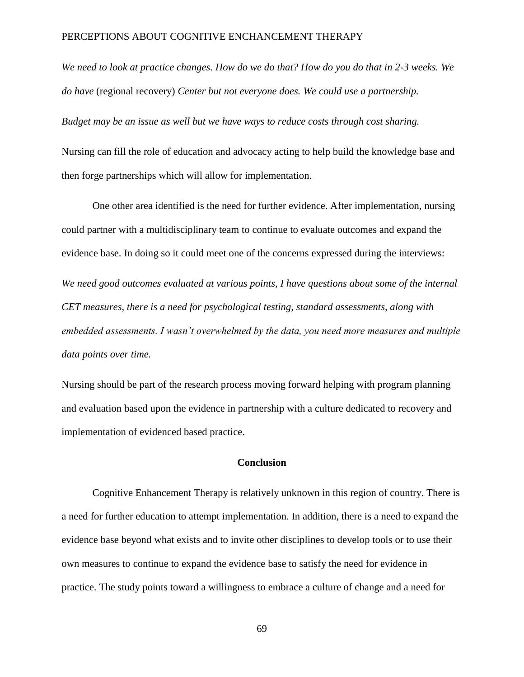*We need to look at practice changes. How do we do that? How do you do that in 2-3 weeks. We do have* (regional recovery) *Center but not everyone does. We could use a partnership.*

*Budget may be an issue as well but we have ways to reduce costs through cost sharing.*

Nursing can fill the role of education and advocacy acting to help build the knowledge base and then forge partnerships which will allow for implementation.

One other area identified is the need for further evidence. After implementation, nursing could partner with a multidisciplinary team to continue to evaluate outcomes and expand the evidence base. In doing so it could meet one of the concerns expressed during the interviews: *We need good outcomes evaluated at various points, I have questions about some of the internal CET measures, there is a need for psychological testing, standard assessments, along with embedded assessments. I wasn't overwhelmed by the data, you need more measures and multiple data points over time.*

Nursing should be part of the research process moving forward helping with program planning and evaluation based upon the evidence in partnership with a culture dedicated to recovery and implementation of evidenced based practice.

#### **Conclusion**

Cognitive Enhancement Therapy is relatively unknown in this region of country. There is a need for further education to attempt implementation. In addition, there is a need to expand the evidence base beyond what exists and to invite other disciplines to develop tools or to use their own measures to continue to expand the evidence base to satisfy the need for evidence in practice. The study points toward a willingness to embrace a culture of change and a need for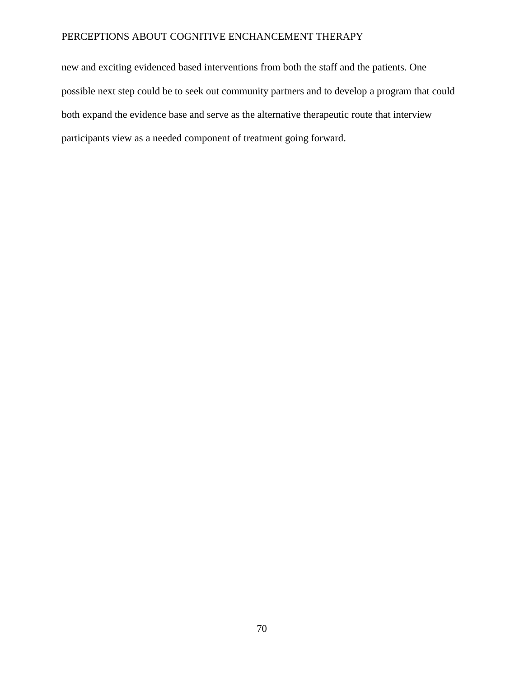new and exciting evidenced based interventions from both the staff and the patients. One possible next step could be to seek out community partners and to develop a program that could both expand the evidence base and serve as the alternative therapeutic route that interview participants view as a needed component of treatment going forward.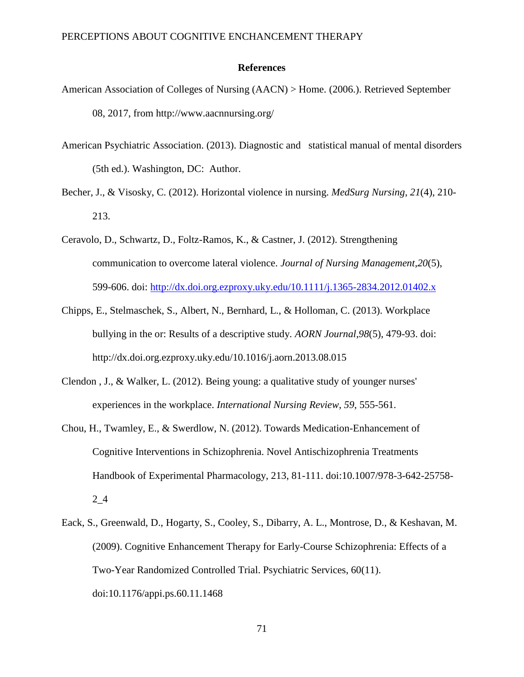#### **References**

- American Association of Colleges of Nursing (AACN) > Home. (2006.). Retrieved September 08, 2017, from http://www.aacnnursing.org/
- American Psychiatric Association. (2013). Diagnostic and statistical manual of mental disorders (5th ed.). Washington, DC: Author.
- Becher, J., & Visosky, C. (2012). Horizontal violence in nursing. *MedSurg Nursing*, *21*(4), 210- 213.
- Ceravolo, D., Schwartz, D., Foltz-Ramos, K., & Castner, J. (2012). Strengthening communication to overcome lateral violence. *Journal of Nursing Management*,*20*(5), 599-606. doi:<http://dx.doi.org.ezproxy.uky.edu/10.1111/j.1365-2834.2012.01402.x>
- Chipps, E., Stelmaschek, S., Albert, N., Bernhard, L., & Holloman, C. (2013). Workplace bullying in the or: Results of a descriptive study. *AORN Journal*,*98*(5), 479-93. doi: http://dx.doi.org.ezproxy.uky.edu/10.1016/j.aorn.2013.08.015
- Clendon , J., & Walker, L. (2012). Being young: a qualitative study of younger nurses' experiences in the workplace. *International Nursing Review*, *59*, 555-561.
- Chou, H., Twamley, E., & Swerdlow, N. (2012). Towards Medication-Enhancement of Cognitive Interventions in Schizophrenia. Novel Antischizophrenia Treatments Handbook of Experimental Pharmacology, 213, 81-111. doi:10.1007/978-3-642-25758- 2\_4
- Eack, S., Greenwald, D., Hogarty, S., Cooley, S., Dibarry, A. L., Montrose, D., & Keshavan, M. (2009). Cognitive Enhancement Therapy for Early-Course Schizophrenia: Effects of a Two-Year Randomized Controlled Trial. Psychiatric Services, 60(11). doi:10.1176/appi.ps.60.11.1468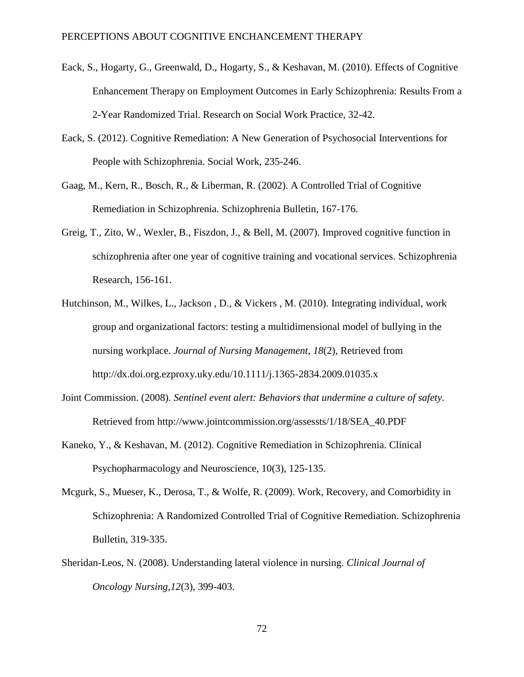- Eack, S., Hogarty, G., Greenwald, D., Hogarty, S., & Keshavan, M. (2010). Effects of Cognitive Enhancement Therapy on Employment Outcomes in Early Schizophrenia: Results From a 2-Year Randomized Trial. Research on Social Work Practice, 32-42.
- Eack, S. (2012). Cognitive Remediation: A New Generation of Psychosocial Interventions for People with Schizophrenia. Social Work, 235-246.
- Gaag, M., Kern, R., Bosch, R., & Liberman, R. (2002). A Controlled Trial of Cognitive Remediation in Schizophrenia. Schizophrenia Bulletin, 167-176.
- Greig, T., Zito, W., Wexler, B., Fiszdon, J., & Bell, M. (2007). Improved cognitive function in schizophrenia after one year of cognitive training and vocational services. Schizophrenia Research, 156-161.
- Hutchinson, M., Wilkes, L., Jackson , D., & Vickers , M. (2010). Integrating individual, work group and organizational factors: testing a multidimensional model of bullying in the nursing workplace. *Journal of Nursing Management*, *18*(2), Retrieved from http://dx.doi.org.ezproxy.uky.edu/10.1111/j.1365-2834.2009.01035.x
- Joint Commission. (2008). *Sentinel event alert: Behaviors that undermine a culture of safety.*  Retrieved from http://www.jointcommission.org/assessts/1/18/SEA\_40.PDF
- Kaneko, Y., & Keshavan, M. (2012). Cognitive Remediation in Schizophrenia. Clinical Psychopharmacology and Neuroscience, 10(3), 125-135.
- Mcgurk, S., Mueser, K., Derosa, T., & Wolfe, R. (2009). Work, Recovery, and Comorbidity in Schizophrenia: A Randomized Controlled Trial of Cognitive Remediation. Schizophrenia Bulletin, 319-335.
- Sheridan-Leos, N. (2008). Understanding lateral violence in nursing. *Clinical Journal of Oncology Nursing*,*12*(3), 399-403.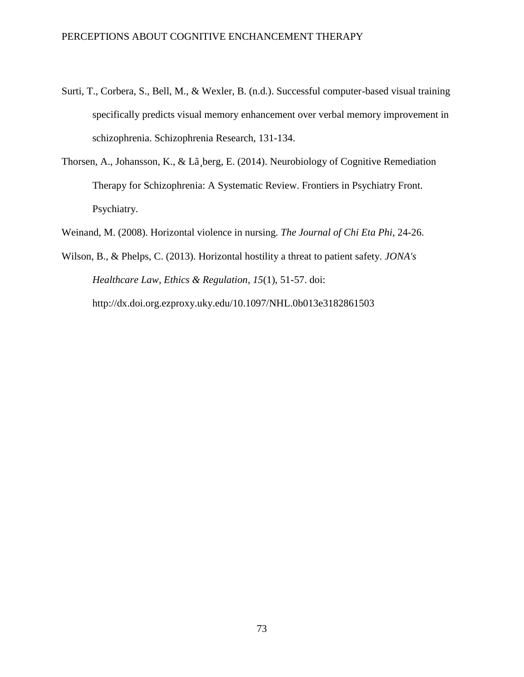- Surti, T., Corbera, S., Bell, M., & Wexler, B. (n.d.). Successful computer-based visual training specifically predicts visual memory enhancement over verbal memory improvement in schizophrenia. Schizophrenia Research, 131-134.
- Thorsen, A., Johansson, K., & Lã¸berg, E. (2014). Neurobiology of Cognitive Remediation Therapy for Schizophrenia: A Systematic Review. Frontiers in Psychiatry Front. Psychiatry.
- Weinand, M. (2008). Horizontal violence in nursing. *The Journal of Chi Eta Phi*, 24-26.

Wilson, B., & Phelps, C. (2013). Horizontal hostility a threat to patient safety. *JONA's Healthcare Law, Ethics & Regulation*, *15*(1), 51-57. doi: http://dx.doi.org.ezproxy.uky.edu/10.1097/NHL.0b013e3182861503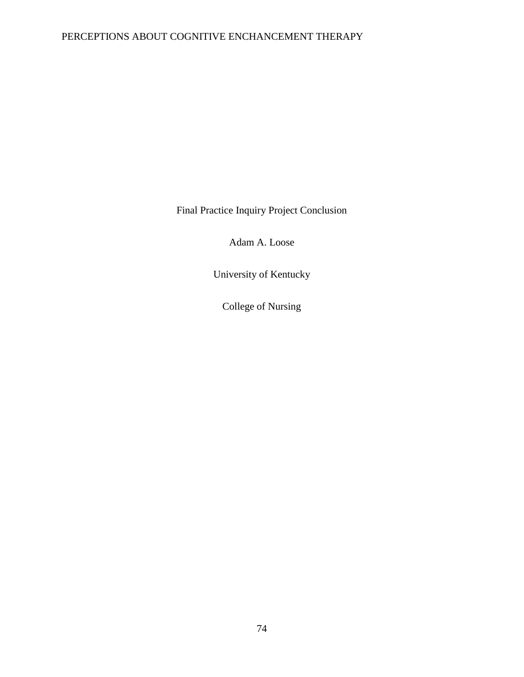Final Practice Inquiry Project Conclusion

Adam A. Loose

University of Kentucky

College of Nursing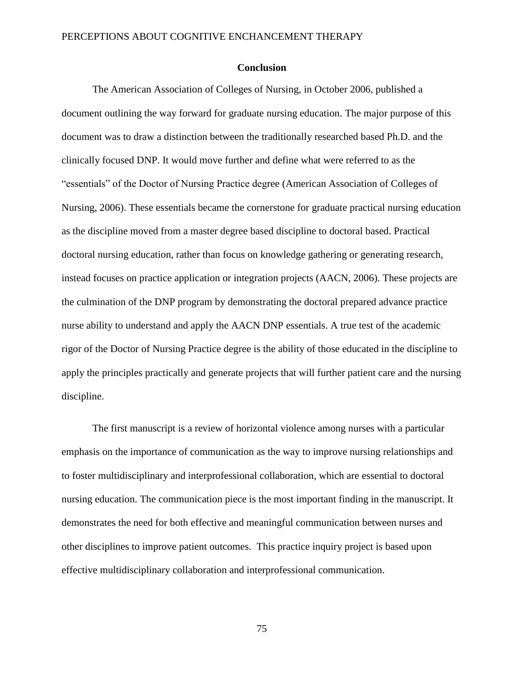#### **Conclusion**

The American Association of Colleges of Nursing, in October 2006, published a document outlining the way forward for graduate nursing education. The major purpose of this document was to draw a distinction between the traditionally researched based Ph.D. and the clinically focused DNP. It would move further and define what were referred to as the "essentials" of the Doctor of Nursing Practice degree (American Association of Colleges of Nursing, 2006). These essentials became the cornerstone for graduate practical nursing education as the discipline moved from a master degree based discipline to doctoral based. Practical doctoral nursing education, rather than focus on knowledge gathering or generating research, instead focuses on practice application or integration projects (AACN, 2006). These projects are the culmination of the DNP program by demonstrating the doctoral prepared advance practice nurse ability to understand and apply the AACN DNP essentials. A true test of the academic rigor of the Doctor of Nursing Practice degree is the ability of those educated in the discipline to apply the principles practically and generate projects that will further patient care and the nursing discipline.

The first manuscript is a review of horizontal violence among nurses with a particular emphasis on the importance of communication as the way to improve nursing relationships and to foster multidisciplinary and interprofessional collaboration, which are essential to doctoral nursing education. The communication piece is the most important finding in the manuscript. It demonstrates the need for both effective and meaningful communication between nurses and other disciplines to improve patient outcomes. This practice inquiry project is based upon effective multidisciplinary collaboration and interprofessional communication.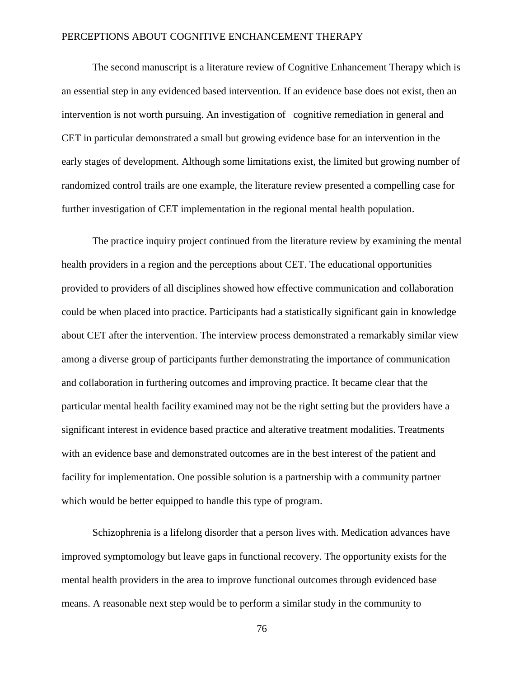The second manuscript is a literature review of Cognitive Enhancement Therapy which is an essential step in any evidenced based intervention. If an evidence base does not exist, then an intervention is not worth pursuing. An investigation of cognitive remediation in general and CET in particular demonstrated a small but growing evidence base for an intervention in the early stages of development. Although some limitations exist, the limited but growing number of randomized control trails are one example, the literature review presented a compelling case for further investigation of CET implementation in the regional mental health population.

The practice inquiry project continued from the literature review by examining the mental health providers in a region and the perceptions about CET. The educational opportunities provided to providers of all disciplines showed how effective communication and collaboration could be when placed into practice. Participants had a statistically significant gain in knowledge about CET after the intervention. The interview process demonstrated a remarkably similar view among a diverse group of participants further demonstrating the importance of communication and collaboration in furthering outcomes and improving practice. It became clear that the particular mental health facility examined may not be the right setting but the providers have a significant interest in evidence based practice and alterative treatment modalities. Treatments with an evidence base and demonstrated outcomes are in the best interest of the patient and facility for implementation. One possible solution is a partnership with a community partner which would be better equipped to handle this type of program.

Schizophrenia is a lifelong disorder that a person lives with. Medication advances have improved symptomology but leave gaps in functional recovery. The opportunity exists for the mental health providers in the area to improve functional outcomes through evidenced base means. A reasonable next step would be to perform a similar study in the community to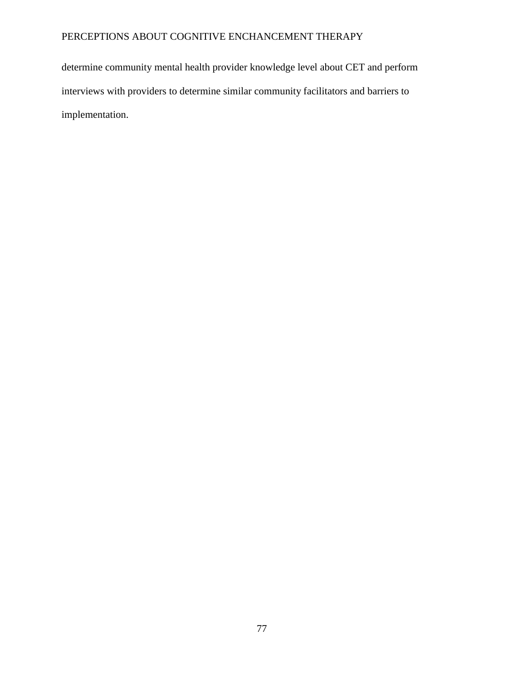determine community mental health provider knowledge level about CET and perform interviews with providers to determine similar community facilitators and barriers to implementation.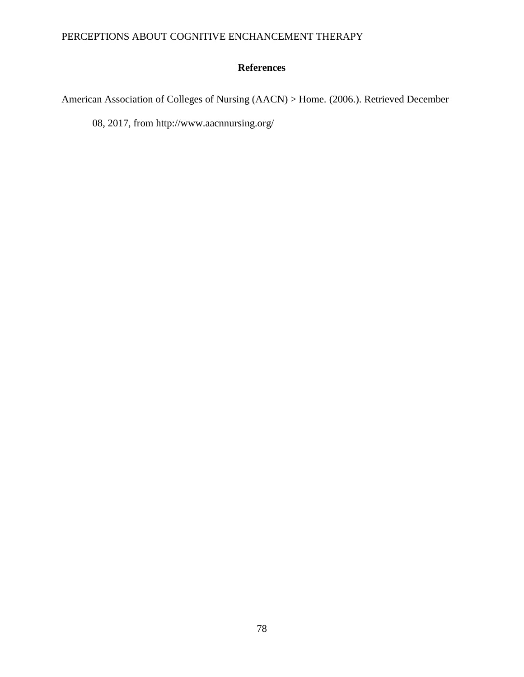## **References**

American Association of Colleges of Nursing (AACN) > Home. (2006.). Retrieved December

08, 2017, from http://www.aacnnursing.org/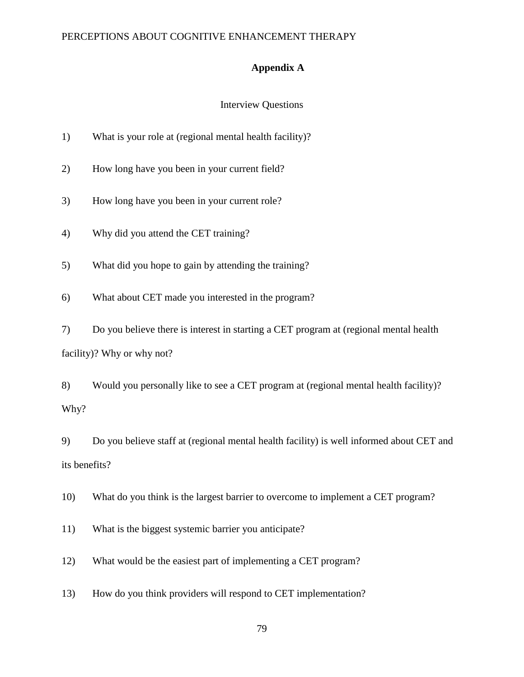### **Appendix A**

### Interview Questions

| 1) | What is your role at (regional mental health facility)? |  |  |  |
|----|---------------------------------------------------------|--|--|--|
|    |                                                         |  |  |  |

2) How long have you been in your current field?

3) How long have you been in your current role?

4) Why did you attend the CET training?

5) What did you hope to gain by attending the training?

6) What about CET made you interested in the program?

7) Do you believe there is interest in starting a CET program at (regional mental health facility)? Why or why not?

8) Would you personally like to see a CET program at (regional mental health facility)? Why?

9) Do you believe staff at (regional mental health facility) is well informed about CET and its benefits?

10) What do you think is the largest barrier to overcome to implement a CET program?

11) What is the biggest systemic barrier you anticipate?

12) What would be the easiest part of implementing a CET program?

13) How do you think providers will respond to CET implementation?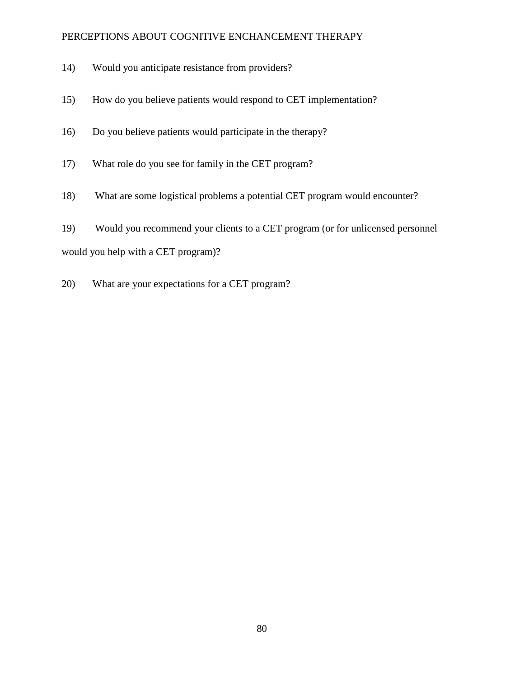- 14) Would you anticipate resistance from providers?
- 15) How do you believe patients would respond to CET implementation?
- 16) Do you believe patients would participate in the therapy?
- 17) What role do you see for family in the CET program?
- 18) What are some logistical problems a potential CET program would encounter?
- 19) Would you recommend your clients to a CET program (or for unlicensed personnel would you help with a CET program)?
- 20) What are your expectations for a CET program?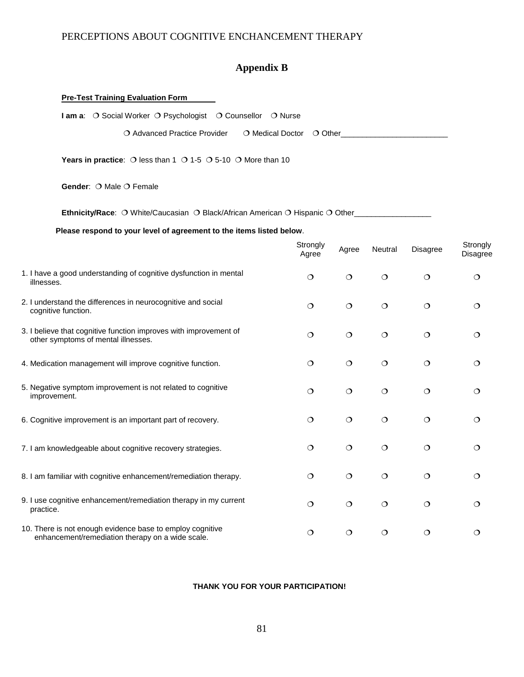# **Appendix B**

| <b>Pre-Test Training Evaluation Form</b>                                                                      |                   |         |                                                          |          |                             |
|---------------------------------------------------------------------------------------------------------------|-------------------|---------|----------------------------------------------------------|----------|-----------------------------|
| I am a: O Social Worker O Psychologist O Counsellor O Nurse                                                   |                   |         |                                                          |          |                             |
| O Advanced Practice Provider<br>O Medical Doctor                                                              |                   |         | $\overline{O}$ Other $\overline{O}$ Other $\overline{O}$ |          |                             |
| <b>Years in practice:</b> O less than 1 O 1-5 O 5-10 O More than 10                                           |                   |         |                                                          |          |                             |
| Gender: O Male O Female                                                                                       |                   |         |                                                          |          |                             |
| <b>Ethnicity/Race:</b> O White/Caucasian O Black/African American O Hispanic O Other_____________________     |                   |         |                                                          |          |                             |
| Please respond to your level of agreement to the items listed below.                                          |                   |         |                                                          |          |                             |
|                                                                                                               | Strongly<br>Agree | Agree   | Neutral                                                  | Disagree | Strongly<br><b>Disagree</b> |
| 1. I have a good understanding of cognitive dysfunction in mental<br>illnesses.                               | $\circ$           | $\circ$ | $\circ$                                                  | $\circ$  | $\circ$                     |
| 2. I understand the differences in neurocognitive and social<br>cognitive function.                           | $\circ$           | $\circ$ | $\circ$                                                  | $\circ$  | $\circ$                     |
| 3. I believe that cognitive function improves with improvement of<br>other symptoms of mental illnesses.      | $\circ$           | $\circ$ | $\circ$                                                  | $\circ$  | $\circ$                     |
| 4. Medication management will improve cognitive function.                                                     | $\circ$           | $\circ$ | $\circ$                                                  | $\circ$  | $\circ$                     |
| 5. Negative symptom improvement is not related to cognitive<br>improvement.                                   | $\circ$           | $\circ$ | $\circ$                                                  | $\circ$  | $\circ$                     |
| 6. Cognitive improvement is an important part of recovery.                                                    | $\circ$           | $\circ$ | $\circ$                                                  | $\circ$  | $\circ$                     |
| 7. I am knowledgeable about cognitive recovery strategies.                                                    | $\circ$           | $\circ$ | $\circ$                                                  | $\circ$  | $\circ$                     |
| 8. I am familiar with cognitive enhancement/remediation therapy.                                              | $\circ$           | $\circ$ | $\circ$                                                  | $\circ$  | $\circ$                     |
| 9. I use cognitive enhancement/remediation therapy in my current<br>practice.                                 | $\circ$           | $\circ$ | $\circ$                                                  | $\circ$  | $\circ$                     |
| 10. There is not enough evidence base to employ cognitive<br>enhancement/remediation therapy on a wide scale. | $\circ$           | $\circ$ | $\circ$                                                  | $\circ$  | $\circ$                     |

#### **THANK YOU FOR YOUR PARTICIPATION!**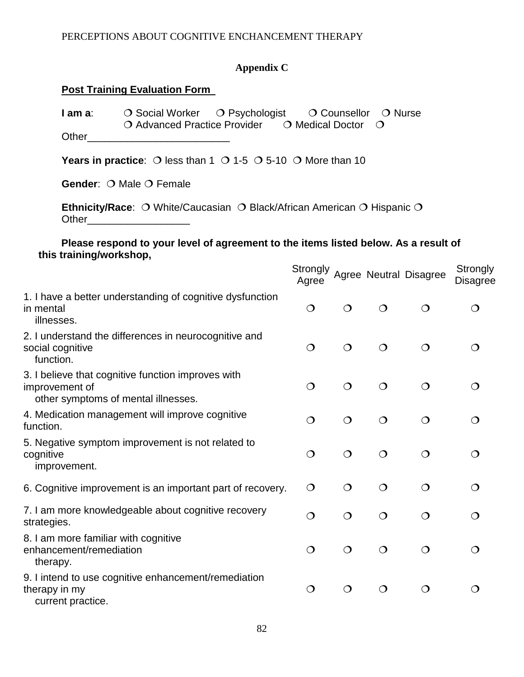# **Appendix C**

## **Post Training Evaluation Form**

| $\bigcirc$ Social Worker $\bigcirc$ Psychologist<br>I am a:<br>$\bigcirc$ Advanced Practice Provider $\bigcirc$ Medical Doctor<br>Other                                                                                                                                                                   |            | O Counsellor | $\bigcirc$ Nurse<br>$\Omega$ |                                 |                             |
|-----------------------------------------------------------------------------------------------------------------------------------------------------------------------------------------------------------------------------------------------------------------------------------------------------------|------------|--------------|------------------------------|---------------------------------|-----------------------------|
| <b>Years in practice:</b> O less than 1 O 1-5 O 5-10 O More than 10                                                                                                                                                                                                                                       |            |              |                              |                                 |                             |
| <b>Gender: O Male O Female</b>                                                                                                                                                                                                                                                                            |            |              |                              |                                 |                             |
| Ethnicity/Race: O White/Caucasian O Black/African American O Hispanic O<br>Other the contract of the contract of the contract of the contract of the contract of the contract of the contract of the contract of the contract of the contract of the contract of the contract of the contract of the cont |            |              |                              |                                 |                             |
| Please respond to your level of agreement to the items listed below. As a result of<br>this training/workshop,                                                                                                                                                                                            |            |              |                              |                                 |                             |
|                                                                                                                                                                                                                                                                                                           | Agree      |              |                              | Strongly Agree Neutral Disagree | Strongly<br><b>Disagree</b> |
| 1. I have a better understanding of cognitive dysfunction<br>in mental<br>illnesses.                                                                                                                                                                                                                      | $\circ$    | $\circ$      | $\overline{O}$               | $\circ$                         | $\circ$                     |
| 2. I understand the differences in neurocognitive and<br>social cognitive<br>function.                                                                                                                                                                                                                    | $\circ$    | $\circ$      | $\circ$                      | $\circ$                         | $\circ$                     |
| 3. I believe that cognitive function improves with<br>improvement of<br>other symptoms of mental illnesses.                                                                                                                                                                                               | $\circ$    | $\circ$      | $\Omega$                     | $\circ$                         | $\circ$                     |
| 4. Medication management will improve cognitive<br>function.                                                                                                                                                                                                                                              | $\circ$    | $\circ$      | $\overline{O}$               | $\circ$                         | $\bigcirc$                  |
| 5. Negative symptom improvement is not related to<br>cognitive<br>improvement.                                                                                                                                                                                                                            | $\circ$    | $\circ$      | $\circ$                      | $\circ$                         | $\Omega$                    |
| 6. Cognitive improvement is an important part of recovery.                                                                                                                                                                                                                                                | $\bigcirc$ | $\circ$      |                              |                                 |                             |
| 7. I am more knowledgeable about cognitive recovery<br>strategies.                                                                                                                                                                                                                                        | $\circ$    | $\circ$      | $\circ$                      | $\circ$                         | $\Omega$                    |
| 8. I am more familiar with cognitive<br>enhancement/remediation<br>therapy.                                                                                                                                                                                                                               | $\circ$    | $\circ$      | $\circ$                      | $\circ$                         | $\circ$                     |
| 9. I intend to use cognitive enhancement/remediation<br>therapy in my<br>current practice.                                                                                                                                                                                                                | $\circ$    | $\circ$      | $\circ$                      | $\circ$                         | $\circ$                     |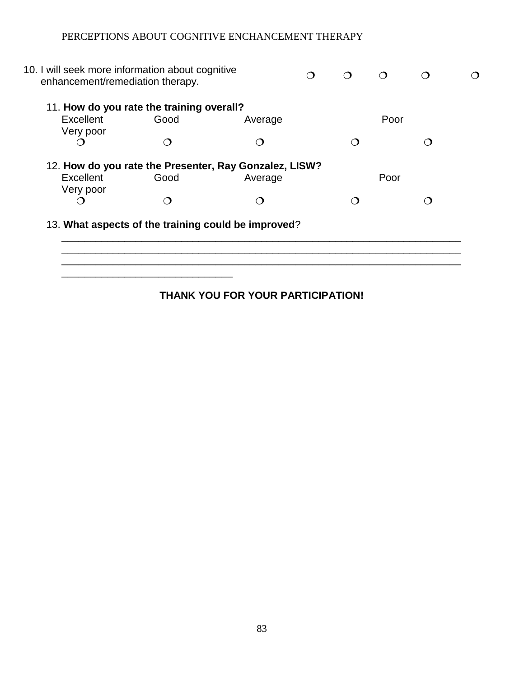$\overline{\phantom{a}}$  ,  $\overline{\phantom{a}}$  ,  $\overline{\phantom{a}}$  ,  $\overline{\phantom{a}}$  ,  $\overline{\phantom{a}}$  ,  $\overline{\phantom{a}}$  ,  $\overline{\phantom{a}}$  ,  $\overline{\phantom{a}}$  ,  $\overline{\phantom{a}}$  ,  $\overline{\phantom{a}}$  ,  $\overline{\phantom{a}}$  ,  $\overline{\phantom{a}}$  ,  $\overline{\phantom{a}}$  ,  $\overline{\phantom{a}}$  ,  $\overline{\phantom{a}}$  ,  $\overline{\phantom{a}}$ 

|                        | 11. How do you rate the training overall? |                                                                   |      |  |
|------------------------|-------------------------------------------|-------------------------------------------------------------------|------|--|
| Excellent              | Good                                      | Average                                                           | Poor |  |
| Very poor              |                                           |                                                                   |      |  |
|                        |                                           |                                                                   |      |  |
| Excellent<br>Very poor | Good                                      | 12. How do you rate the Presenter, Ray Gonzalez, LISW?<br>Average | Poor |  |
|                        |                                           |                                                                   |      |  |

## **THANK YOU FOR YOUR PARTICIPATION!**

\_\_\_\_\_\_\_\_\_\_\_\_\_\_\_\_\_\_\_\_\_\_\_\_\_\_\_\_\_\_\_\_\_\_\_\_\_\_\_\_\_\_\_\_\_\_\_\_\_\_\_\_\_\_\_\_\_\_\_\_\_\_\_\_\_\_\_\_\_\_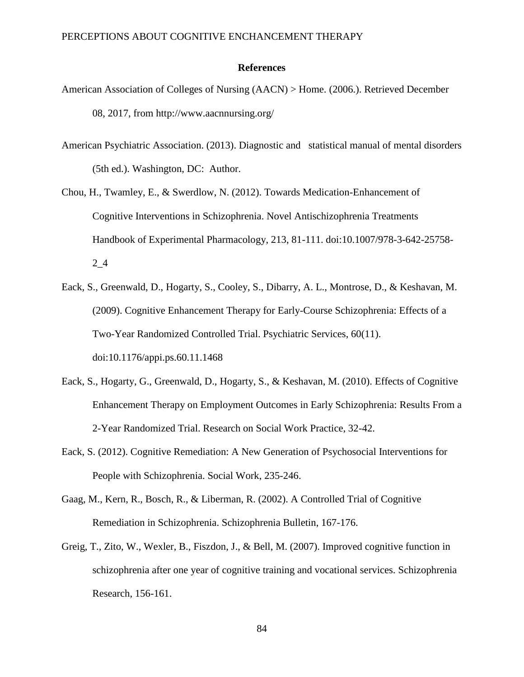#### **References**

- American Association of Colleges of Nursing (AACN) > Home. (2006.). Retrieved December 08, 2017, from http://www.aacnnursing.org/
- American Psychiatric Association. (2013). Diagnostic and statistical manual of mental disorders (5th ed.). Washington, DC: Author.
- Chou, H., Twamley, E., & Swerdlow, N. (2012). Towards Medication-Enhancement of Cognitive Interventions in Schizophrenia. Novel Antischizophrenia Treatments Handbook of Experimental Pharmacology, 213, 81-111. doi:10.1007/978-3-642-25758- 2\_4
- Eack, S., Greenwald, D., Hogarty, S., Cooley, S., Dibarry, A. L., Montrose, D., & Keshavan, M. (2009). Cognitive Enhancement Therapy for Early-Course Schizophrenia: Effects of a Two-Year Randomized Controlled Trial. Psychiatric Services, 60(11). doi:10.1176/appi.ps.60.11.1468
- Eack, S., Hogarty, G., Greenwald, D., Hogarty, S., & Keshavan, M. (2010). Effects of Cognitive Enhancement Therapy on Employment Outcomes in Early Schizophrenia: Results From a 2-Year Randomized Trial. Research on Social Work Practice, 32-42.
- Eack, S. (2012). Cognitive Remediation: A New Generation of Psychosocial Interventions for People with Schizophrenia. Social Work, 235-246.
- Gaag, M., Kern, R., Bosch, R., & Liberman, R. (2002). A Controlled Trial of Cognitive Remediation in Schizophrenia. Schizophrenia Bulletin, 167-176.
- Greig, T., Zito, W., Wexler, B., Fiszdon, J., & Bell, M. (2007). Improved cognitive function in schizophrenia after one year of cognitive training and vocational services. Schizophrenia Research, 156-161.